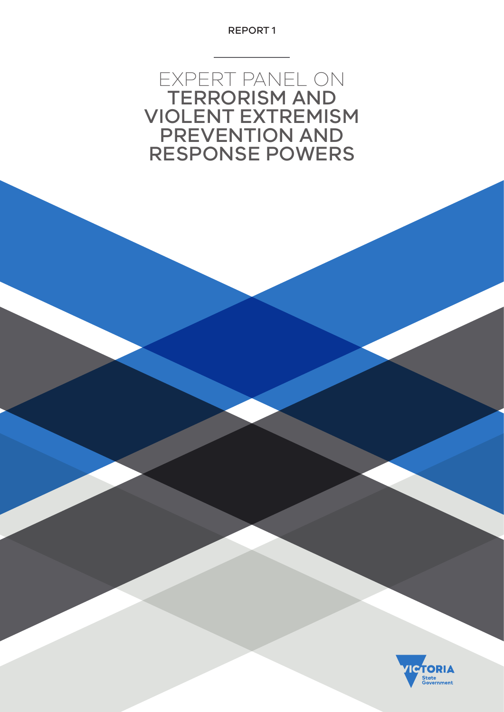REPORT 1

EXPERT PANEL ON TERRORISM AND VIOLENT EXTREMISM PREVENTION AND RESPONSE POWERS

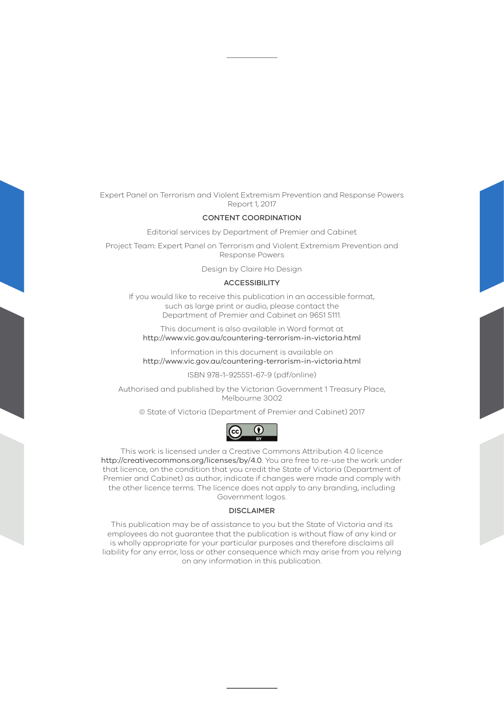Expert Panel on Terrorism and Violent Extremism Prevention and Response Powers Report 1, 2017

## CONTENT COORDINATION

Editorial services by Department of Premier and Cabinet

Project Team: Expert Panel on Terrorism and Violent Extremism Prevention and Response Powers

Design by Claire Ho Design

#### **ACCESSIBILITY**

If you would like to receive this publication in an accessible format, such as large print or audio, please contact the Department of Premier and Cabinet on 9651 5111.

This document is also available in Word format at <http://www.vic.gov.au/countering-terrorism-in-victoria.html>

Information in this document is available on <http://www.vic.gov.au/countering-terrorism-in-victoria.html>

ISBN 978-1-925551-67-9 (pdf/online)

Authorised and published by the Victorian Government 1 Treasury Place, Melbourne 3002

© State of Victoria (Department of Premier and Cabinet) 2017



This work is licensed under a Creative Commons Attribution 4.0 licence <http://creativecommons.org/licenses/by/4.0>. You are free to re-use the work under that licence, on the condition that you credit the State of Victoria (Department of Premier and Cabinet) as author, indicate if changes were made and comply with the other licence terms. The licence does not apply to any branding, including Government logos.

#### DISCLAIMER

This publication may be of assistance to you but the State of Victoria and its employees do not guarantee that the publication is without flaw of any kind or is wholly appropriate for your particular purposes and therefore disclaims all liability for any error, loss or other consequence which may arise from you relying on any information in this publication.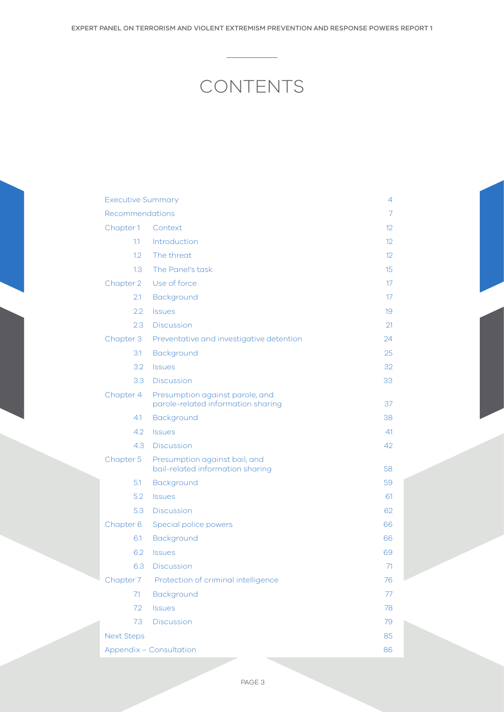# CONTENTS

| <b>Executive Summary</b>       |                                                                       | 4                 |
|--------------------------------|-----------------------------------------------------------------------|-------------------|
| Recommendations                |                                                                       | 7                 |
| Chapter 1                      | Context                                                               | 12                |
| 1.1                            | Introduction                                                          | $12 \overline{ }$ |
| 1.2                            | The threat                                                            | 12 <sup>°</sup>   |
| 1.3                            | The Panel's task                                                      | 15                |
| Chapter 2                      | Use of force                                                          | 17                |
| 2.1                            | Background                                                            | 17                |
| 2.2                            | <b>Issues</b>                                                         | 19                |
| 2.3                            | <b>Discussion</b>                                                     | 21                |
| Chapter 3                      | Preventative and investigative detention                              | 24                |
| 3.1                            | Background                                                            | 25                |
| 3.2                            | <b>Issues</b>                                                         | 32                |
| 3.3                            | <b>Discussion</b>                                                     | 33                |
| Chapter 4                      | Presumption against parole, and<br>parole-related information sharing | 37                |
| 4.1                            | Background                                                            | 38                |
| 4.2                            | <b>Issues</b>                                                         | 41                |
| 4.3                            | <b>Discussion</b>                                                     | 42                |
| Chapter 5                      | Presumption against bail, and<br>bail-related information sharing     | 58                |
| 5.1                            | Background                                                            | 59                |
| 5.2                            | <b>Issues</b>                                                         | 61                |
| 5.3                            | <b>Discussion</b>                                                     | 62                |
| Chapter 6                      | Special police powers                                                 | 66                |
| 6.1                            | Background                                                            | 66                |
| 6.2                            | <b>Issues</b>                                                         | 69                |
| 6.3                            | <b>Discussion</b>                                                     | 71                |
| Chapter 7                      | Protection of criminal intelligence                                   | 76                |
| 7.1                            | Background                                                            | 77                |
| 7.2                            | <b>Issues</b>                                                         | 78                |
| 7.3                            | <b>Discussion</b>                                                     | 79                |
| <b>Next Steps</b>              |                                                                       | 85                |
| <b>Appendix - Consultation</b> |                                                                       | 86                |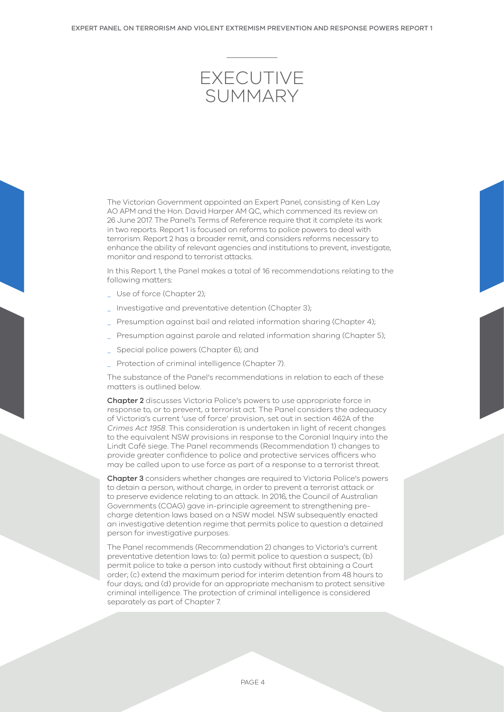<span id="page-3-0"></span>

The Victorian Government appointed an Expert Panel, consisting of Ken Lay AO APM and the Hon. David Harper AM QC, which commenced its review on 26 June 2017. The Panel's Terms of Reference require that it complete its work in two reports. Report 1 is focused on reforms to police powers to deal with terrorism. Report 2 has a broader remit, and considers reforms necessary to enhance the ability of relevant agencies and institutions to prevent, investigate, monitor and respond to terrorist attacks.

In this Report 1, the Panel makes a total of 16 recommendations relating to the following matters:

- Use of force (Chapter 2);
- \_ Investigative and preventative detention (Chapter 3);
- \_ Presumption against bail and related information sharing (Chapter 4);
- \_ Presumption against parole and related information sharing (Chapter 5);
- \_ Special police powers (Chapter 6); and
- \_ Protection of criminal intelligence (Chapter 7).

The substance of the Panel's recommendations in relation to each of these matters is outlined below.

Chapter 2 discusses Victoria Police's powers to use appropriate force in response to, or to prevent, a terrorist act. The Panel considers the adequacy of Victoria's current 'use of force' provision, set out in section 462A of the *Crimes Act 1958*. This consideration is undertaken in light of recent changes to the equivalent NSW provisions in response to the Coronial Inquiry into the Lindt Café siege. The Panel recommends (Recommendation 1) changes to provide greater confidence to police and protective services officers who may be called upon to use force as part of a response to a terrorist threat.

Chapter 3 considers whether changes are required to Victoria Police's powers to detain a person, without charge, in order to prevent a terrorist attack or to preserve evidence relating to an attack. In 2016, the Council of Australian Governments (COAG) gave in-principle agreement to strengthening precharge detention laws based on a NSW model. NSW subsequently enacted an investigative detention regime that permits police to question a detained person for investigative purposes.

The Panel recommends (Recommendation 2) changes to Victoria's current preventative detention laws to: (a) permit police to question a suspect; (b) permit police to take a person into custody without first obtaining a Court order; (c) extend the maximum period for interim detention from 48 hours to four days; and (d) provide for an appropriate mechanism to protect sensitive criminal intelligence. The protection of criminal intelligence is considered separately as part of Chapter 7.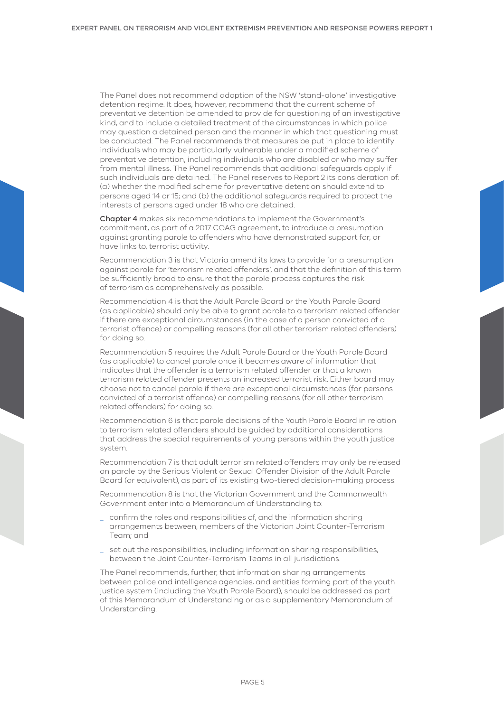The Panel does not recommend adoption of the NSW 'stand-alone' investigative detention regime. It does, however, recommend that the current scheme of preventative detention be amended to provide for questioning of an investigative kind, and to include a detailed treatment of the circumstances in which police may question a detained person and the manner in which that questioning must be conducted. The Panel recommends that measures be put in place to identify individuals who may be particularly vulnerable under a modified scheme of preventative detention, including individuals who are disabled or who may suffer from mental illness. The Panel recommends that additional safeguards apply if such individuals are detained. The Panel reserves to Report 2 its consideration of: (a) whether the modified scheme for preventative detention should extend to persons aged 14 or 15; and (b) the additional safeguards required to protect the interests of persons aged under 18 who are detained.

Chapter 4 makes six recommendations to implement the Government's commitment, as part of a 2017 COAG agreement, to introduce a presumption against granting parole to offenders who have demonstrated support for, or have links to, terrorist activity.

Recommendation 3 is that Victoria amend its laws to provide for a presumption against parole for 'terrorism related offenders', and that the definition of this term be sufficiently broad to ensure that the parole process captures the risk of terrorism as comprehensively as possible.

Recommendation 4 is that the Adult Parole Board or the Youth Parole Board (as applicable) should only be able to grant parole to a terrorism related offender if there are exceptional circumstances (in the case of a person convicted of a terrorist offence) or compelling reasons (for all other terrorism related offenders) for doing so.

Recommendation 5 requires the Adult Parole Board or the Youth Parole Board (as applicable) to cancel parole once it becomes aware of information that indicates that the offender is a terrorism related offender or that a known terrorism related offender presents an increased terrorist risk. Either board may choose not to cancel parole if there are exceptional circumstances (for persons convicted of a terrorist offence) or compelling reasons (for all other terrorism related offenders) for doing so.

Recommendation 6 is that parole decisions of the Youth Parole Board in relation to terrorism related offenders should be guided by additional considerations that address the special requirements of young persons within the youth justice system.

Recommendation 7 is that adult terrorism related offenders may only be released on parole by the Serious Violent or Sexual Offender Division of the Adult Parole Board (or equivalent), as part of its existing two-tiered decision-making process.

Recommendation 8 is that the Victorian Government and the Commonwealth Government enter into a Memorandum of Understanding to:

- \_ confirm the roles and responsibilities of, and the information sharing arrangements between, members of the Victorian Joint Counter-Terrorism Team; and
- \_ set out the responsibilities, including information sharing responsibilities, between the Joint Counter-Terrorism Teams in all jurisdictions.

The Panel recommends, further, that information sharing arrangements between police and intelligence agencies, and entities forming part of the youth justice system (including the Youth Parole Board), should be addressed as part of this Memorandum of Understanding or as a supplementary Memorandum of Understanding.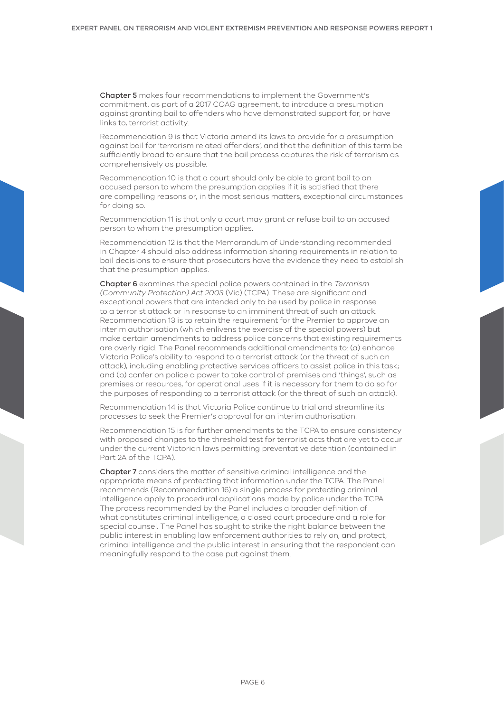Chapter 5 makes four recommendations to implement the Government's commitment, as part of a 2017 COAG agreement, to introduce a presumption against granting bail to offenders who have demonstrated support for, or have links to, terrorist activity.

Recommendation 9 is that Victoria amend its laws to provide for a presumption against bail for 'terrorism related offenders', and that the definition of this term be sufficiently broad to ensure that the bail process captures the risk of terrorism as comprehensively as possible.

Recommendation 10 is that a court should only be able to grant bail to an accused person to whom the presumption applies if it is satisfied that there are compelling reasons or, in the most serious matters, exceptional circumstances for doing so.

Recommendation 11 is that only a court may grant or refuse bail to an accused person to whom the presumption applies.

Recommendation 12 is that the Memorandum of Understanding recommended in Chapter 4 should also address information sharing requirements in relation to bail decisions to ensure that prosecutors have the evidence they need to establish that the presumption applies.

Chapter 6 examines the special police powers contained in the *Terrorism (Community Protection) Act 2003* (Vic) (TCPA). These are significant and exceptional powers that are intended only to be used by police in response to a terrorist attack or in response to an imminent threat of such an attack. Recommendation 13 is to retain the requirement for the Premier to approve an interim authorisation (which enlivens the exercise of the special powers) but make certain amendments to address police concerns that existing requirements are overly rigid. The Panel recommends additional amendments to: (a) enhance Victoria Police's ability to respond to a terrorist attack (or the threat of such an attack), including enabling protective services officers to assist police in this task; and (b) confer on police a power to take control of premises and 'things', such as premises or resources, for operational uses if it is necessary for them to do so for the purposes of responding to a terrorist attack (or the threat of such an attack).

Recommendation 14 is that Victoria Police continue to trial and streamline its processes to seek the Premier's approval for an interim authorisation.

Recommendation 15 is for further amendments to the TCPA to ensure consistency with proposed changes to the threshold test for terrorist acts that are yet to occur under the current Victorian laws permitting preventative detention (contained in Part 2A of the TCPA).

Chapter 7 considers the matter of sensitive criminal intelligence and the appropriate means of protecting that information under the TCPA. The Panel recommends (Recommendation 16) a single process for protecting criminal intelligence apply to procedural applications made by police under the TCPA. The process recommended by the Panel includes a broader definition of what constitutes criminal intelligence, a closed court procedure and a role for special counsel. The Panel has sought to strike the right balance between the public interest in enabling law enforcement authorities to rely on, and protect, criminal intelligence and the public interest in ensuring that the respondent can meaningfully respond to the case put against them.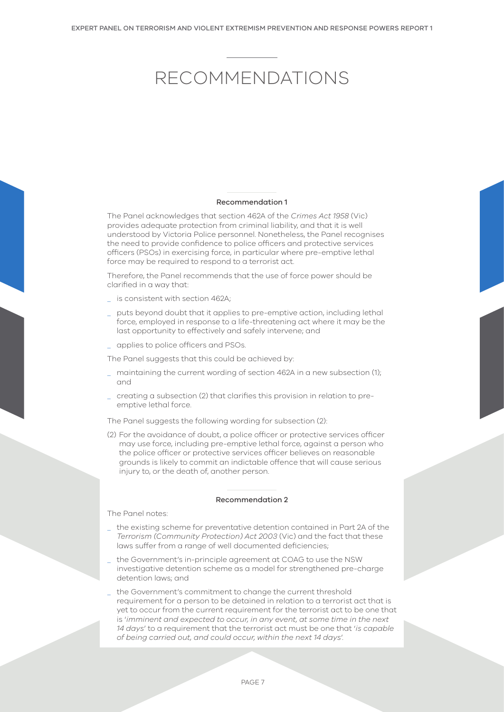# <span id="page-6-0"></span>RECOMMENDATIONS

#### Recommendation 1

The Panel acknowledges that section 462A of the *Crimes Act 1958* (Vic) provides adequate protection from criminal liability, and that it is well understood by Victoria Police personnel. Nonetheless, the Panel recognises the need to provide confidence to police officers and protective services officers (PSOs) in exercising force, in particular where pre-emptive lethal force may be required to respond to a terrorist act.

Therefore, the Panel recommends that the use of force power should be clarified in a way that:

- \_ is consistent with section 462A;
- \_ puts beyond doubt that it applies to pre-emptive action, including lethal force, employed in response to a life-threatening act where it may be the last opportunity to effectively and safely intervene; and
- \_ applies to police officers and PSOs.

The Panel suggests that this could be achieved by:

- \_ maintaining the current wording of section 462A in a new subsection (1); and
- \_ creating a subsection (2) that clarifies this provision in relation to preemptive lethal force.

The Panel suggests the following wording for subsection (2):

(2) For the avoidance of doubt, a police officer or protective services officer may use force, including pre-emptive lethal force, against a person who the police officer or protective services officer believes on reasonable grounds is likely to commit an indictable offence that will cause serious injury to, or the death of, another person.

#### Recommendation 2

The Panel notes:

- \_ the existing scheme for preventative detention contained in Part 2A of the *Terrorism (Community Protection) Act 2003* (Vic) and the fact that these laws suffer from a range of well documented deficiencies;
- the Government's in-principle agreement at COAG to use the NSW investigative detention scheme as a model for strengthened pre-charge detention laws; and
- the Government's commitment to change the current threshold requirement for a person to be detained in relation to a terrorist act that is yet to occur from the current requirement for the terrorist act to be one that is '*imminent and expected to occur, in any event, at some time in the next 14 days*' to a requirement that the terrorist act must be one that '*is capable of being carried out, and could occur, within the next 14 days*'.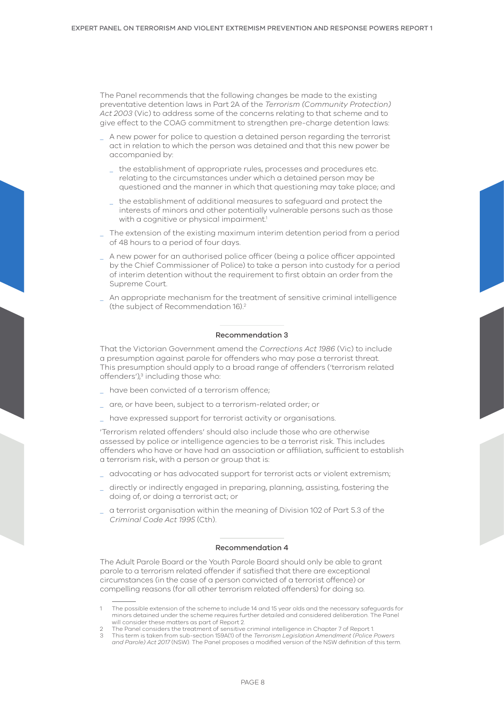The Panel recommends that the following changes be made to the existing preventative detention laws in Part 2A of the *Terrorism (Community Protection) Act 2003* (Vic) to address some of the concerns relating to that scheme and to give effect to the COAG commitment to strengthen pre-charge detention laws:

- \_ A new power for police to question a detained person regarding the terrorist act in relation to which the person was detained and that this new power be accompanied by:
	- the establishment of appropriate rules, processes and procedures etc. relating to the circumstances under which a detained person may be questioned and the manner in which that questioning may take place; and
	- \_ the establishment of additional measures to safeguard and protect the interests of minors and other potentially vulnerable persons such as those with a cognitive or physical impairment.<sup>1</sup>
- \_ The extension of the existing maximum interim detention period from a period of 48 hours to a period of four days.
- \_ A new power for an authorised police officer (being a police officer appointed by the Chief Commissioner of Police) to take a person into custody for a period of interim detention without the requirement to first obtain an order from the Supreme Court.
- An appropriate mechanism for the treatment of sensitive criminal intelligence (the subject of Recommendation 16).2

#### Recommendation 3

That the Victorian Government amend the *Corrections Act 1986* (Vic) to include a presumption against parole for offenders who may pose a terrorist threat. This presumption should apply to a broad range of offenders ('terrorism related offenders'),<sup>3</sup> including those who:

- \_ have been convicted of a terrorism offence;
- \_ are, or have been, subject to a terrorism-related order; or
- \_ have expressed support for terrorist activity or organisations.

'Terrorism related offenders' should also include those who are otherwise assessed by police or intelligence agencies to be a terrorist risk. This includes offenders who have or have had an association or affiliation, sufficient to establish a terrorism risk, with a person or group that is:

- \_ advocating or has advocated support for terrorist acts or violent extremism;
- directly or indirectly engaged in preparing, planning, assisting, fostering the doing of, or doing a terrorist act; or
- \_ a terrorist organisation within the meaning of Division 102 of Part 5.3 of the *Criminal Code Act 1995* (Cth).

#### Recommendation 4

The Adult Parole Board or the Youth Parole Board should only be able to grant parole to a terrorism related offender if satisfied that there are exceptional circumstances (in the case of a person convicted of a terrorist offence) or compelling reasons (for all other terrorism related offenders) for doing so.

<sup>1</sup> The possible extension of the scheme to include 14 and 15 year olds and the necessary safeguards for minors detained under the scheme requires further detailed and considered deliberation. The Panel will consider these matters as part of Report 2.

<sup>2</sup> The Panel considers the treatment of sensitive criminal intelligence in Chapter 7 of Report 1.

<sup>3</sup> This term is taken from sub-section 159A(1) of the *Terrorism Legislation Amendment (Police Powers and Parole) Act 2017* (NSW). The Panel proposes a modified version of the NSW definition of this term.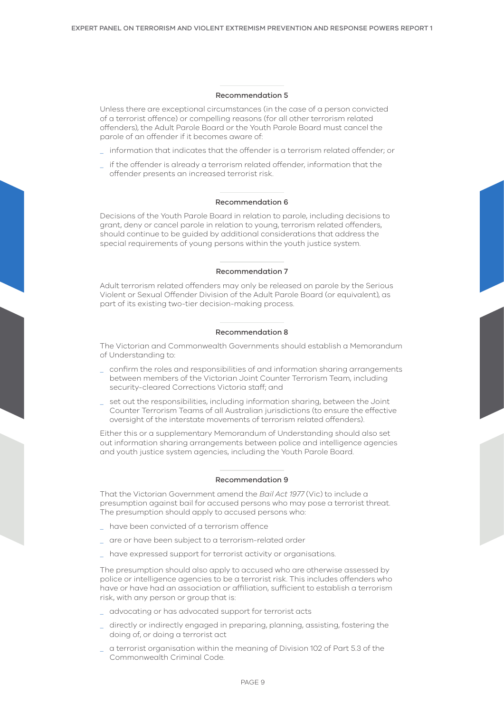#### Recommendation 5

Unless there are exceptional circumstances (in the case of a person convicted of a terrorist offence) or compelling reasons (for all other terrorism related offenders), the Adult Parole Board or the Youth Parole Board must cancel the parole of an offender if it becomes aware of:

- information that indicates that the offender is a terrorism related offender; or
- if the offender is already a terrorism related offender, information that the offender presents an increased terrorist risk.

#### Recommendation 6

Decisions of the Youth Parole Board in relation to parole, including decisions to grant, deny or cancel parole in relation to young, terrorism related offenders, should continue to be guided by additional considerations that address the special requirements of young persons within the youth justice system.

#### Recommendation 7

Adult terrorism related offenders may only be released on parole by the Serious Violent or Sexual Offender Division of the Adult Parole Board (or equivalent), as part of its existing two-tier decision-making process.

#### Recommendation 8

The Victorian and Commonwealth Governments should establish a Memorandum of Understanding to:

- \_ confirm the roles and responsibilities of and information sharing arrangements between members of the Victorian Joint Counter Terrorism Team, including security-cleared Corrections Victoria staff; and
- set out the responsibilities, including information sharing, between the Joint Counter Terrorism Teams of all Australian jurisdictions (to ensure the effective oversight of the interstate movements of terrorism related offenders).

Either this or a supplementary Memorandum of Understanding should also set out information sharing arrangements between police and intelligence agencies and youth justice system agencies, including the Youth Parole Board.

### Recommendation 9

That the Victorian Government amend the *Bail Act 1977* (Vic) to include a presumption against bail for accused persons who may pose a terrorist threat. The presumption should apply to accused persons who:

- have been convicted of a terrorism offence
- are or have been subject to a terrorism-related order
- \_ have expressed support for terrorist activity or organisations.

The presumption should also apply to accused who are otherwise assessed by police or intelligence agencies to be a terrorist risk. This includes offenders who have or have had an association or affiliation, sufficient to establish a terrorism risk, with any person or group that is:

- \_ advocating or has advocated support for terrorist acts
- \_ directly or indirectly engaged in preparing, planning, assisting, fostering the doing of, or doing a terrorist act
- \_ a terrorist organisation within the meaning of Division 102 of Part 5.3 of the Commonwealth Criminal Code.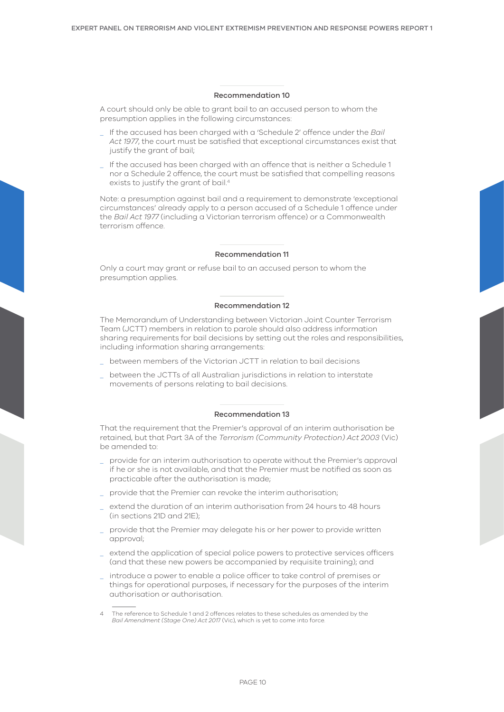#### Recommendation 10

A court should only be able to grant bail to an accused person to whom the presumption applies in the following circumstances:

- \_ If the accused has been charged with a 'Schedule 2' offence under the *Bail Act 1977*, the court must be satisfied that exceptional circumstances exist that justify the grant of bail;
- \_ If the accused has been charged with an offence that is neither a Schedule 1 nor a Schedule 2 offence, the court must be satisfied that compelling reasons exists to justify the grant of bail.<sup>4</sup>

Note: a presumption against bail and a requirement to demonstrate 'exceptional circumstances' already apply to a person accused of a Schedule 1 offence under the *Bail Act 1977* (including a Victorian terrorism offence) or a Commonwealth terrorism offence.

### Recommendation 11

Only a court may grant or refuse bail to an accused person to whom the presumption applies.

#### Recommendation 12

The Memorandum of Understanding between Victorian Joint Counter Terrorism Team (JCTT) members in relation to parole should also address information sharing requirements for bail decisions by setting out the roles and responsibilities, including information sharing arrangements:

- between members of the Victorian JCTT in relation to bail decisions
- between the JCTTs of all Australian jurisdictions in relation to interstate movements of persons relating to bail decisions.

#### Recommendation 13

That the requirement that the Premier's approval of an interim authorisation be retained, but that Part 3A of the *Terrorism (Community Protection) Act 2003* (Vic) be amended to:

- \_ provide for an interim authorisation to operate without the Premier's approval if he or she is not available, and that the Premier must be notified as soon as practicable after the authorisation is made;
- provide that the Premier can revoke the interim authorisation;
- \_ extend the duration of an interim authorisation from 24 hours to 48 hours (in sections 21D and 21E);
- \_ provide that the Premier may delegate his or her power to provide written approval;
- \_ extend the application of special police powers to protective services officers (and that these new powers be accompanied by requisite training); and
- \_ introduce a power to enable a police officer to take control of premises or things for operational purposes, if necessary for the purposes of the interim authorisation or authorisation.

<sup>4</sup> The reference to Schedule 1 and 2 offences relates to these schedules as amended by the *Bail Amendment (Stage One) Act 201*7 (Vic), which is yet to come into force.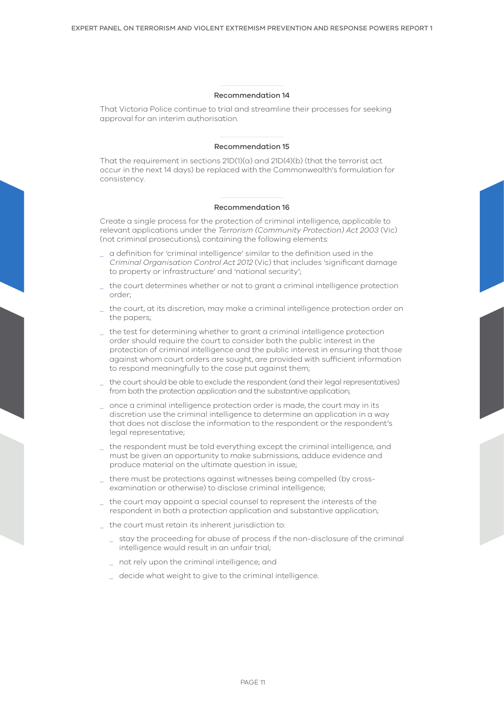#### Recommendation 14

That Victoria Police continue to trial and streamline their processes for seeking approval for an interim authorisation.

#### Recommendation 15

That the requirement in sections 21D(1)(a) and 21D(4)(b) (that the terrorist act occur in the next 14 days) be replaced with the Commonwealth's formulation for consistency.

#### Recommendation 16

Create a single process for the protection of criminal intelligence, applicable to relevant applications under the *Terrorism (Community Protection) Act 2003* (Vic) (not criminal prosecutions), containing the following elements:

- \_ a definition for 'criminal intelligence' similar to the definition used in the *Criminal Organisation Control Act 2012* (Vic) that includes 'significant damage to property or infrastructure' and 'national security';
- \_ the court determines whether or not to grant a criminal intelligence protection order;
- \_ the court, at its discretion, may make a criminal intelligence protection order on the papers;
- \_ the test for determining whether to grant a criminal intelligence protection order should require the court to consider both the public interest in the protection of criminal intelligence and the public interest in ensuring that those against whom court orders are sought, are provided with sufficient information to respond meaningfully to the case put against them;
- the court should be able to exclude the respondent (and their legal representatives) from both the protection application and the substantive application;
- \_ once a criminal intelligence protection order is made, the court may in its discretion use the criminal intelligence to determine an application in a way that does not disclose the information to the respondent or the respondent's legal representative;
- \_ the respondent must be told everything except the criminal intelligence, and must be given an opportunity to make submissions, adduce evidence and produce material on the ultimate question in issue;
- there must be protections against witnesses being compelled (by crossexamination or otherwise) to disclose criminal intelligence;
- \_ the court may appoint a special counsel to represent the interests of the respondent in both a protection application and substantive application;
- \_ the court must retain its inherent jurisdiction to:
	- \_ stay the proceeding for abuse of process if the non-disclosure of the criminal intelligence would result in an unfair trial;
	- \_ not rely upon the criminal intelligence; and
	- decide what weight to give to the criminal intelligence.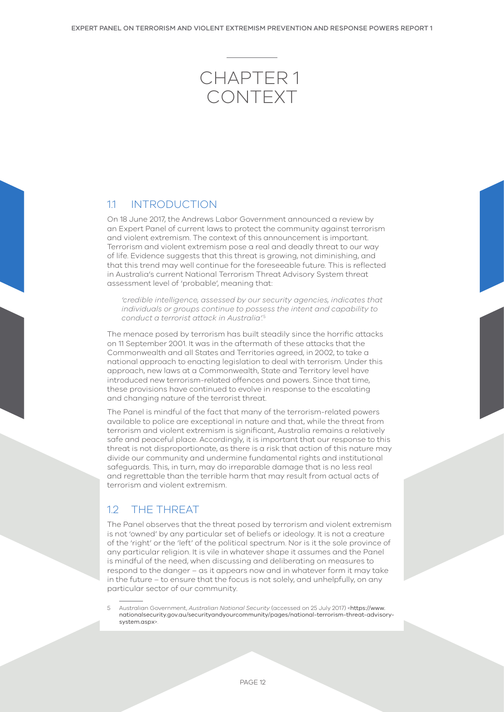# <span id="page-11-0"></span>Chapter 1 CONTEXT

## 11 INTRODUCTION

On 18 June 2017, the Andrews Labor Government announced a review by an Expert Panel of current laws to protect the community against terrorism and violent extremism. The context of this announcement is important. Terrorism and violent extremism pose a real and deadly threat to our way of life. Evidence suggests that this threat is growing, not diminishing, and that this trend may well continue for the foreseeable future. This is reflected in Australia's current National Terrorism Threat Advisory System threat assessment level of 'probable', meaning that:

*'credible intelligence, assessed by our security agencies, indicates that individuals or groups continue to possess the intent and capability to conduct a terrorist attack in Australia'.*<sup>5</sup>

The menace posed by terrorism has built steadily since the horrific attacks on 11 September 2001. It was in the aftermath of these attacks that the Commonwealth and all States and Territories agreed, in 2002, to take a national approach to enacting legislation to deal with terrorism. Under this approach, new laws at a Commonwealth, State and Territory level have introduced new terrorism-related offences and powers. Since that time, these provisions have continued to evolve in response to the escalating and changing nature of the terrorist threat.

The Panel is mindful of the fact that many of the terrorism-related powers available to police are exceptional in nature and that, while the threat from terrorism and violent extremism is significant, Australia remains a relatively safe and peaceful place. Accordingly, it is important that our response to this threat is not disproportionate, as there is a risk that action of this nature may divide our community and undermine fundamental rights and institutional safeguards. This, in turn, may do irreparable damage that is no less real and regrettable than the terrible harm that may result from actual acts of terrorism and violent extremism.

## 1.2 THE THREAT

The Panel observes that the threat posed by terrorism and violent extremism is not 'owned' by any particular set of beliefs or ideology. It is not a creature of the 'right' or the 'left' of the political spectrum. Nor is it the sole province of any particular religion. It is vile in whatever shape it assumes and the Panel is mindful of the need, when discussing and deliberating on measures to respond to the danger – as it appears now and in whatever form it may take in the future – to ensure that the focus is not solely, and unhelpfully, on any particular sector of our community.

5 Australian Government, *Australian National Security* (accessed on 25 July 2017) <[https://www.](https://www.nationalsecurity.gov.au/securityandyourcommunity/pages/national-terrorism-threat-advisory-system.aspx) [nationalsecurity.gov.au/securityandyourcommunity/pages/national-terrorism-threat-advisory](https://www.nationalsecurity.gov.au/securityandyourcommunity/pages/national-terrorism-threat-advisory-system.aspx)[system.aspx](https://www.nationalsecurity.gov.au/securityandyourcommunity/pages/national-terrorism-threat-advisory-system.aspx)>.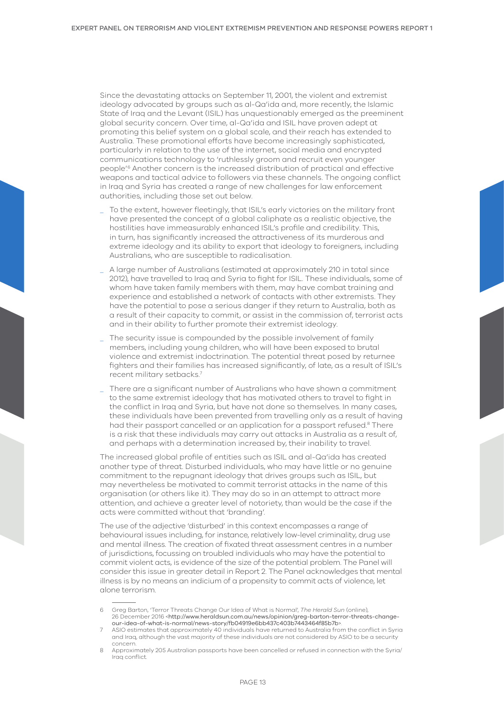Since the devastating attacks on September 11, 2001, the violent and extremist ideology advocated by groups such as al-Qa'ida and, more recently, the Islamic State of Iraq and the Levant (ISIL) has unquestionably emerged as the preeminent global security concern. Over time, al-Qa'ida and ISIL have proven adept at promoting this belief system on a global scale, and their reach has extended to Australia. These promotional efforts have become increasingly sophisticated, particularly in relation to the use of the internet, social media and encrypted communications technology to 'ruthlessly groom and recruit even younger people'.6 Another concern is the increased distribution of practical and effective weapons and tactical advice to followers via these channels. The ongoing conflict in Iraq and Syria has created a range of new challenges for law enforcement authorities, including those set out below.

- To the extent, however fleetingly, that ISIL's early victories on the military front have presented the concept of a global caliphate as a realistic objective, the hostilities have immeasurably enhanced ISIL's profile and credibility. This, in turn, has significantly increased the attractiveness of its murderous and extreme ideology and its ability to export that ideology to foreigners, including Australians, who are susceptible to radicalisation.
- A large number of Australians (estimated at approximately 210 in total since 2012), have travelled to Iraq and Syria to fight for ISIL. These individuals, some of whom have taken family members with them, may have combat training and experience and established a network of contacts with other extremists. They have the potential to pose a serious danger if they return to Australia, both as a result of their capacity to commit, or assist in the commission of, terrorist acts and in their ability to further promote their extremist ideology.
- The security issue is compounded by the possible involvement of family members, including young children, who will have been exposed to brutal violence and extremist indoctrination. The potential threat posed by returnee fighters and their families has increased significantly, of late, as a result of ISIL's recent military setbacks.7
- There are a significant number of Australians who have shown a commitment to the same extremist ideology that has motivated others to travel to fight in the conflict in Iraq and Syria, but have not done so themselves. In many cases, these individuals have been prevented from travelling only as a result of having had their passport cancelled or an application for a passport refused.<sup>8</sup> There is a risk that these individuals may carry out attacks in Australia as a result of, and perhaps with a determination increased by, their inability to travel.

The increased global profile of entities such as ISIL and al-Qa'ida has created another type of threat. Disturbed individuals, who may have little or no genuine commitment to the repugnant ideology that drives groups such as ISIL, but may nevertheless be motivated to commit terrorist attacks in the name of this organisation (or others like it). They may do so in an attempt to attract more attention, and achieve a greater level of notoriety, than would be the case if the acts were committed without that 'branding'.

The use of the adjective 'disturbed' in this context encompasses a range of behavioural issues including, for instance, relatively low-level criminality, drug use and mental illness. The creation of fixated threat assessment centres in a number of jurisdictions, focussing on troubled individuals who may have the potential to commit violent acts, is evidence of the size of the potential problem. The Panel will consider this issue in greater detail in Report 2. The Panel acknowledges that mental illness is by no means an indicium of a propensity to commit acts of violence, let alone terrorism.

<sup>6</sup> Greg Barton, 'Terror Threats Change Our Idea of What is Normal', *The Herald Sun* (online), 26 December 2016 <[http://www.heraldsun.com.au/news/opinion/greg-barton-terror-threats-change](http://www.heraldsun.com.au/news/opinion/greg-barton-terror-threats-change-our-idea-of-what-is-normal/news-story/fb04919e6bb437c403b7443464f85b7b)[our-idea-of-what-is-normal/news-story/fb04919e6bb437c403b7443464f85b7b](http://www.heraldsun.com.au/news/opinion/greg-barton-terror-threats-change-our-idea-of-what-is-normal/news-story/fb04919e6bb437c403b7443464f85b7b)>.

ASIO estimates that approximately 40 individuals have returned to Australia from the conflict in Syria and Iraq, although the vast majority of these individuals are not considered by ASIO to be a security concern.

<sup>8</sup> Approximately 205 Australian passports have been cancelled or refused in connection with the Syria/ Iraq conflict.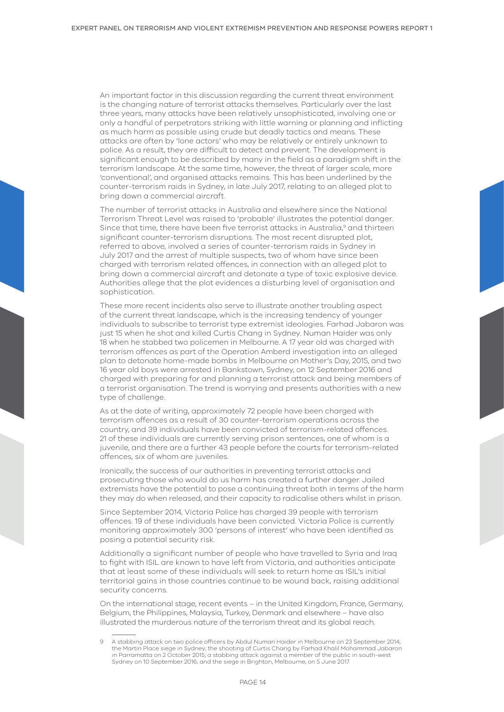An important factor in this discussion regarding the current threat environment is the changing nature of terrorist attacks themselves. Particularly over the last three years, many attacks have been relatively unsophisticated, involving one or only a handful of perpetrators striking with little warning or planning and inflicting as much harm as possible using crude but deadly tactics and means. These attacks are often by 'lone actors' who may be relatively or entirely unknown to police. As a result, they are difficult to detect and prevent. The development is significant enough to be described by many in the field as a paradigm shift in the terrorism landscape. At the same time, however, the threat of larger scale, more 'conventional', and organised attacks remains. This has been underlined by the counter-terrorism raids in Sydney, in late July 2017, relating to an alleged plot to bring down a commercial aircraft.

The number of terrorist attacks in Australia and elsewhere since the National Terrorism Threat Level was raised to 'probable' illustrates the potential danger. Since that time, there have been five terrorist attacks in Australia,9 and thirteen significant counter-terrorism disruptions. The most recent disrupted plot, referred to above, involved a series of counter-terrorism raids in Sydney in July 2017 and the arrest of multiple suspects, two of whom have since been charged with terrorism related offences, in connection with an alleged plot to bring down a commercial aircraft and detonate a type of toxic explosive device. Authorities allege that the plot evidences a disturbing level of organisation and sophistication.

These more recent incidents also serve to illustrate another troubling aspect of the current threat landscape, which is the increasing tendency of younger individuals to subscribe to terrorist type extremist ideologies. Farhad Jabaron was just 15 when he shot and killed Curtis Chang in Sydney. Numan Haider was only 18 when he stabbed two policemen in Melbourne. A 17 year old was charged with terrorism offences as part of the Operation Amberd investigation into an alleged plan to detonate home-made bombs in Melbourne on Mother's Day, 2015, and two 16 year old boys were arrested in Bankstown, Sydney, on 12 September 2016 and charged with preparing for and planning a terrorist attack and being members of a terrorist organisation. The trend is worrying and presents authorities with a new type of challenge.

As at the date of writing, approximately 72 people have been charged with terrorism offences as a result of 30 counter-terrorism operations across the country, and 39 individuals have been convicted of terrorism-related offences. 21 of these individuals are currently serving prison sentences, one of whom is a juvenile, and there are a further 43 people before the courts for terrorism-related offences, six of whom are juveniles.

Ironically, the success of our authorities in preventing terrorist attacks and prosecuting those who would do us harm has created a further danger. Jailed extremists have the potential to pose a continuing threat both in terms of the harm they may do when released, and their capacity to radicalise others whilst in prison.

Since September 2014, Victoria Police has charged 39 people with terrorism offences. 19 of these individuals have been convicted. Victoria Police is currently monitoring approximately 300 'persons of interest' who have been identified as posing a potential security risk.

Additionally a significant number of people who have travelled to Syria and Iraq to fight with ISIL are known to have left from Victoria, and authorities anticipate that at least some of these individuals will seek to return home as ISIL's initial territorial gains in those countries continue to be wound back, raising additional security concerns.

On the international stage, recent events – in the United Kingdom, France, Germany, Belgium, the Philippines, Malaysia, Turkey, Denmark and elsewhere – have also illustrated the murderous nature of the terrorism threat and its global reach.

<sup>9</sup> A stabbing attack on two police officers by Abdul Numan Haider in Melbourne on 23 September 2014; the Martin Place siege in Sydney; the shooting of Curtis Chang by Farhad Khalil Mohammad Jabaron in Parramatta on 2 October 2015; a stabbing attack against a member of the public in south-west Sydney on 10 September 2016; and the siege in Brighton, Melbourne, on 5 June 2017.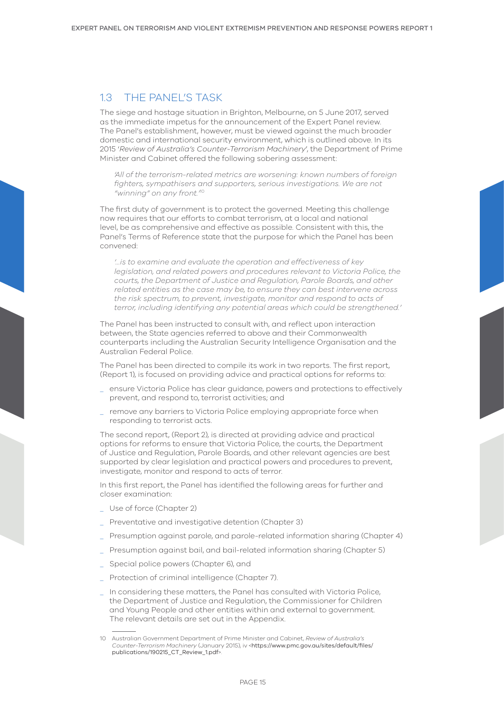## <span id="page-14-0"></span>1.3 THE PANEL'S TASK

The siege and hostage situation in Brighton, Melbourne, on 5 June 2017, served as the immediate impetus for the announcement of the Expert Panel review. The Panel's establishment, however, must be viewed against the much broader domestic and international security environment, which is outlined above. In its 2015 '*Review of Australia's Counter-Terrorism Machinery*', the Department of Prime Minister and Cabinet offered the following sobering assessment:

*'All of the terrorism-related metrics are worsening: known numbers of foreign fighters, sympathisers and supporters, serious investigations. We are not "winning" on any front.'*<sup>10</sup>

The first duty of government is to protect the governed. Meeting this challenge now requires that our efforts to combat terrorism, at a local and national level, be as comprehensive and effective as possible. Consistent with this, the Panel's Terms of Reference state that the purpose for which the Panel has been convened:

*'…is to examine and evaluate the operation and effectiveness of key legislation, and related powers and procedures relevant to Victoria Police, the courts, the Department of Justice and Regulation, Parole Boards, and other related entities as the case may be, to ensure they can best intervene across the risk spectrum, to prevent, investigate, monitor and respond to acts of terror, including identifying any potential areas which could be strengthened.'*

The Panel has been instructed to consult with, and reflect upon interaction between, the State agencies referred to above and their Commonwealth counterparts including the Australian Security Intelligence Organisation and the Australian Federal Police.

The Panel has been directed to compile its work in two reports. The first report, (Report 1), is focused on providing advice and practical options for reforms to:

- \_ ensure Victoria Police has clear guidance, powers and protections to effectively prevent, and respond to, terrorist activities; and
- \_ remove any barriers to Victoria Police employing appropriate force when responding to terrorist acts.

The second report, (Report 2), is directed at providing advice and practical options for reforms to ensure that Victoria Police, the courts, the Department of Justice and Regulation, Parole Boards, and other relevant agencies are best supported by clear legislation and practical powers and procedures to prevent, investigate, monitor and respond to acts of terror.

In this first report, the Panel has identified the following areas for further and closer examination:

- Use of force (Chapter 2)
- Preventative and investigative detention (Chapter 3)
- Presumption against parole, and parole-related information sharing (Chapter 4)
- Presumption against bail, and bail-related information sharing (Chapter 5)
- Special police powers (Chapter 6), and
- \_ Protection of criminal intelligence (Chapter 7).
- \_ In considering these matters, the Panel has consulted with Victoria Police, the Department of Justice and Regulation, the Commissioner for Children and Young People and other entities within and external to government. The relevant details are set out in the Appendix.

<sup>10</sup> Australian Government Department of Prime Minister and Cabinet, *Review of Australia's Counter-Terrorism Machinery* (January 2015), iv <[https://www.pmc.gov.au/sites/default/files/](https://www.pmc.gov.au/sites/default/files/publications/190215_CT_Review_1.pdf) [publications/190215\\_CT\\_Review\\_1.pdf](https://www.pmc.gov.au/sites/default/files/publications/190215_CT_Review_1.pdf)>.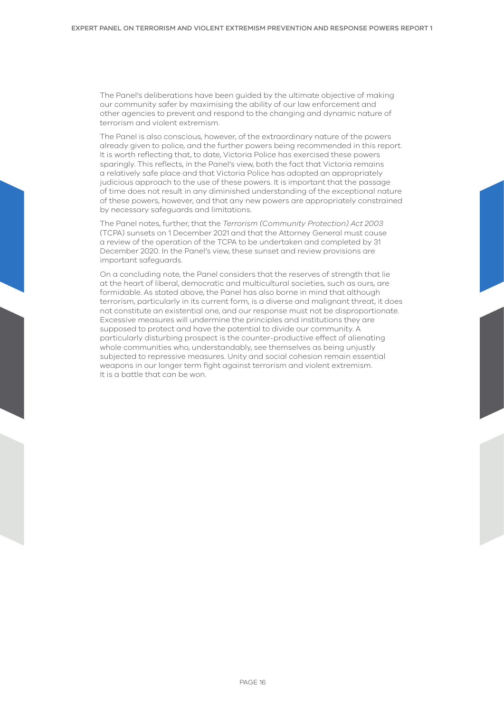The Panel's deliberations have been guided by the ultimate objective of making our community safer by maximising the ability of our law enforcement and other agencies to prevent and respond to the changing and dynamic nature of terrorism and violent extremism.

The Panel is also conscious, however, of the extraordinary nature of the powers already given to police, and the further powers being recommended in this report. It is worth reflecting that, to date, Victoria Police has exercised these powers sparingly. This reflects, in the Panel's view, both the fact that Victoria remains a relatively safe place and that Victoria Police has adopted an appropriately judicious approach to the use of these powers. It is important that the passage of time does not result in any diminished understanding of the exceptional nature of these powers, however, and that any new powers are appropriately constrained by necessary safeguards and limitations.

The Panel notes, further, that the *Terrorism (Community Protection) Act 2003* (TCPA) sunsets on 1 December 2021 and that the Attorney General must cause a review of the operation of the TCPA to be undertaken and completed by 31 December 2020. In the Panel's view, these sunset and review provisions are important safeguards.

On a concluding note, the Panel considers that the reserves of strength that lie at the heart of liberal, democratic and multicultural societies, such as ours, are formidable. As stated above, the Panel has also borne in mind that although terrorism, particularly in its current form, is a diverse and malignant threat, it does not constitute an existential one, and our response must not be disproportionate. Excessive measures will undermine the principles and institutions they are supposed to protect and have the potential to divide our community. A particularly disturbing prospect is the counter-productive effect of alienating whole communities who, understandably, see themselves as being unjustly subjected to repressive measures. Unity and social cohesion remain essential weapons in our longer term fight against terrorism and violent extremism. It is a battle that can be won.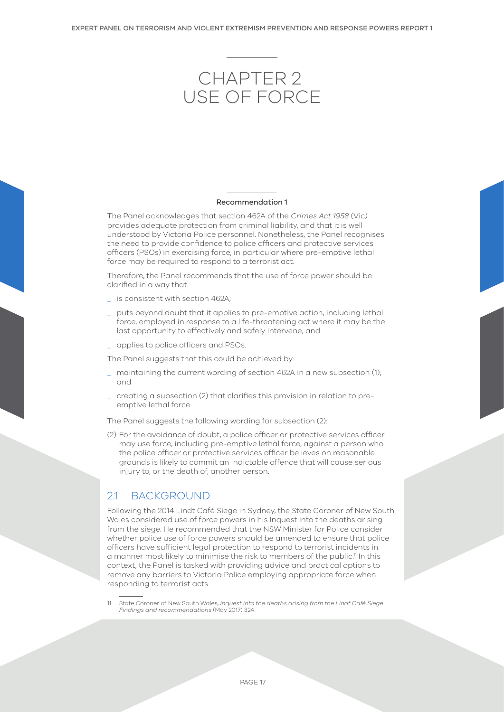# <span id="page-16-0"></span>Chapter 2 USE OF FORCE

#### Recommendation 1

The Panel acknowledges that section 462A of the *Crimes Act 1958* (Vic) provides adequate protection from criminal liability, and that it is well understood by Victoria Police personnel. Nonetheless, the Panel recognises the need to provide confidence to police officers and protective services officers (PSOs) in exercising force, in particular where pre-emptive lethal force may be required to respond to a terrorist act.

Therefore, the Panel recommends that the use of force power should be clarified in a way that:

- \_ is consistent with section 462A;
- \_ puts beyond doubt that it applies to pre-emptive action, including lethal force, employed in response to a life-threatening act where it may be the last opportunity to effectively and safely intervene; and
- \_ applies to police officers and PSOs.

The Panel suggests that this could be achieved by:

- \_ maintaining the current wording of section 462A in a new subsection (1); and
- \_ creating a subsection (2) that clarifies this provision in relation to preemptive lethal force.

The Panel suggests the following wording for subsection (2):

(2) For the avoidance of doubt, a police officer or protective services officer may use force, including pre-emptive lethal force, against a person who the police officer or protective services officer believes on reasonable grounds is likely to commit an indictable offence that will cause serious injury to, or the death of, another person.

## 2.1 BACKGROUND

Following the 2014 Lindt Café Siege in Sydney, the State Coroner of New South Wales considered use of force powers in his Inquest into the deaths arising from the siege. He recommended that the NSW Minister for Police consider whether police use of force powers should be amended to ensure that police officers have sufficient legal protection to respond to terrorist incidents in a manner most likely to minimise the risk to members of the public.<sup>11</sup> In this context, the Panel is tasked with providing advice and practical options to remove any barriers to Victoria Police employing appropriate force when responding to terrorist acts.

11 State Coroner of New South Wales, *Inquest into the deaths arising from the Lindt Café Siege: Findings and recommendations* (May 2017) 324.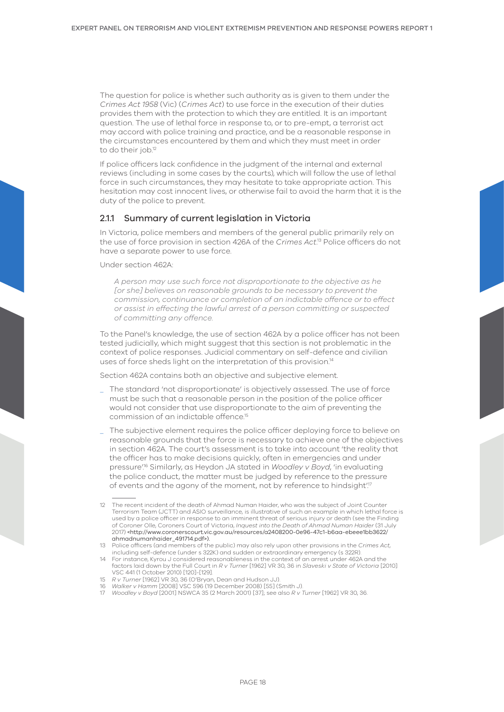The question for police is whether such authority as is given to them under the *Crimes Act 1958* (Vic) (*Crimes Act*) to use force in the execution of their duties provides them with the protection to which they are entitled. It is an important question. The use of lethal force in response to, or to pre-empt, a terrorist act may accord with police training and practice, and be a reasonable response in the circumstances encountered by them and which they must meet in order to do their job.<sup>12</sup>

If police officers lack confidence in the judgment of the internal and external reviews (including in some cases by the courts), which will follow the use of lethal force in such circumstances, they may hesitate to take appropriate action. This hesitation may cost innocent lives, or otherwise fail to avoid the harm that it is the duty of the police to prevent.

## 2.1.1 Summary of current legislation in Victoria

In Victoria, police members and members of the general public primarily rely on the use of force provision in section 426A of the *Crimes Act*. 13 Police officers do not have a separate power to use force.

Under section 462A:

*A person may use such force not disproportionate to the objective as he [or she] believes on reasonable grounds to be necessary to prevent the commission, continuance or completion of an indictable offence or to effect or assist in effecting the lawful arrest of a person committing or suspected of committing any offence.*

To the Panel's knowledge, the use of section 462A by a police officer has not been tested judicially, which might suggest that this section is not problematic in the context of police responses. Judicial commentary on self-defence and civilian uses of force sheds light on the interpretation of this provision.14

Section 462A contains both an objective and subjective element.

- \_ The standard 'not disproportionate' is objectively assessed. The use of force must be such that a reasonable person in the position of the police officer would not consider that use disproportionate to the aim of preventing the commission of an indictable offence.15
- \_ The subjective element requires the police officer deploying force to believe on reasonable grounds that the force is necessary to achieve one of the objectives in section 462A. The court's assessment is to take into account 'the reality that the officer has to make decisions quickly, often in emergencies and under pressure'.16 Similarly, as Heydon JA stated in *Woodley v Boyd*, 'in evaluating the police conduct, the matter must be judged by reference to the pressure of events and the agony of the moment, not by reference to hindsight".<sup>7</sup>

<sup>12</sup> The recent incident of the death of Ahmad Numan Haider, who was the subject of Joint Counter Terrorism Team (JCTT) and ASIO surveillance, is illustrative of such an example in which lethal force is used by a police officer in response to an imminent threat of serious injury or death (see the Finding of Coroner Olle, Coroners Court of Victoria, *Inquest into the Death of Ahmad Numan Haider* (31 July 2017) <http://www.coronerscourt.vic.gov.au/resources/a2408200-0e96-47c1-b6aa-ebeee1bb3622/ ahmadnumanhaider\_491714.pdf>).

<sup>13</sup> Police officers (and members of the public) may also rely upon other provisions in the *Crimes Act*, including self-defence (under s 322K) and sudden or extraordinary emergency (s 322R).

<sup>14</sup> For instance, Kyrou J considered reasonableness in the context of an arrest under 462A and the factors laid down by the Full Court in *R v Turner* [1962] VR 30, 36 in *Slaveski v State of Victoria* [2010] VSC 441 (1 October 2010) [120]-[129].

<sup>15</sup> *R v Turner* [1962] VR 30, 36 (O'Bryan, Dean and Hudson JJ).

<sup>16</sup> *Walker v Hamm* [2008] VSC 596 (19 December 2008) [55] (Smith J).

<sup>17</sup> *Woodley v Boyd* [2001] NSWCA 35 (2 March 2001) [37]; see also *R v Turner* [1962] VR 30, 36.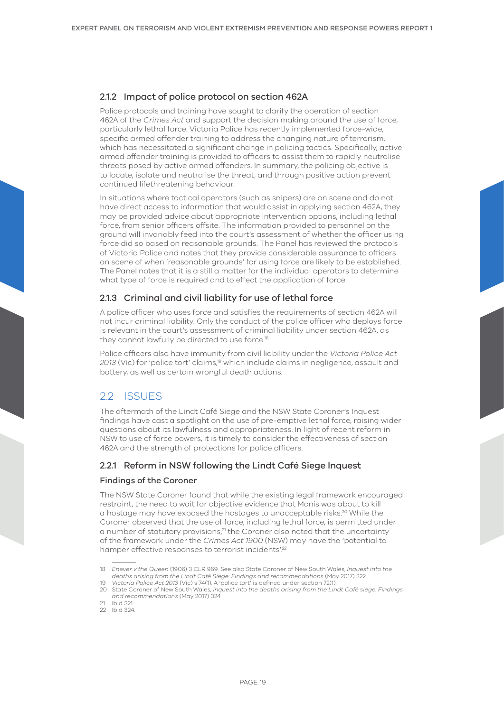## <span id="page-18-0"></span>2.1.2 Impact of police protocol on section 462A

Police protocols and training have sought to clarify the operation of section 462A of the *Crimes Act* and support the decision making around the use of force, particularly lethal force. Victoria Police has recently implemented force-wide, specific armed offender training to address the changing nature of terrorism, which has necessitated a significant change in policing tactics. Specifically, active armed offender training is provided to officers to assist them to rapidly neutralise threats posed by active armed offenders. In summary, the policing objective is to locate, isolate and neutralise the threat, and through positive action prevent continued lifethreatening behaviour.

In situations where tactical operators (such as snipers) are on scene and do not have direct access to information that would assist in applying section 462A, they may be provided advice about appropriate intervention options, including lethal force, from senior officers offsite. The information provided to personnel on the ground will invariably feed into the court's assessment of whether the officer using force did so based on reasonable grounds. The Panel has reviewed the protocols of Victoria Police and notes that they provide considerable assurance to officers on scene of when 'reasonable grounds' for using force are likely to be established. The Panel notes that it is a still a matter for the individual operators to determine what type of force is required and to effect the application of force.

## 2.1.3 Criminal and civil liability for use of lethal force

A police officer who uses force and satisfies the requirements of section 462A will not incur criminal liability. Only the conduct of the police officer who deploys force is relevant in the court's assessment of criminal liability under section 462A, as they cannot lawfully be directed to use force.<sup>18</sup>

Police officers also have immunity from civil liability under the *Victoria Police Act 2013* (Vic) for 'police tort' claims,19 which include claims in negligence, assault and battery, as well as certain wrongful death actions.

# 22 ISSUES

The aftermath of the Lindt Café Siege and the NSW State Coroner's Inquest findings have cast a spotlight on the use of pre-emptive lethal force, raising wider questions about its lawfulness and appropriateness. In light of recent reform in NSW to use of force powers, it is timely to consider the effectiveness of section 462A and the strength of protections for police officers.

## 2.2.1 Reform in NSW following the Lindt Café Siege Inquest

## Findings of the Coroner

The NSW State Coroner found that while the existing legal framework encouraged restraint, the need to wait for objective evidence that Monis was about to kill a hostage may have exposed the hostages to unacceptable risks.20 While the Coroner observed that the use of force, including lethal force, is permitted under a number of statutory provisions,<sup>21</sup> the Coroner also noted that the uncertainty of the framework under the *Crimes Act 1900* (NSW) may have the 'potential to hamper effective responses to terrorist incidents'.<sup>22</sup>

<sup>18</sup> *Enever v the Queen* (1906) 3 CLR 969. See also State Coroner of New South Wales, *Inquest into the deaths arising from the Lindt Café Siege: Findings and recommendations* (May 2017) 322.

<sup>19</sup> *Victoria Police Act 2013* (Vic) s 74(1). A 'police tort' is defined under section 72(1).

<sup>20</sup> State Coroner of New South Wales, *Inquest into the deaths arising from the Lindt Café siege: Findings and recommendations* (May 2017) 324.

<sup>21</sup> Ibid 321. 22 Ibid 324.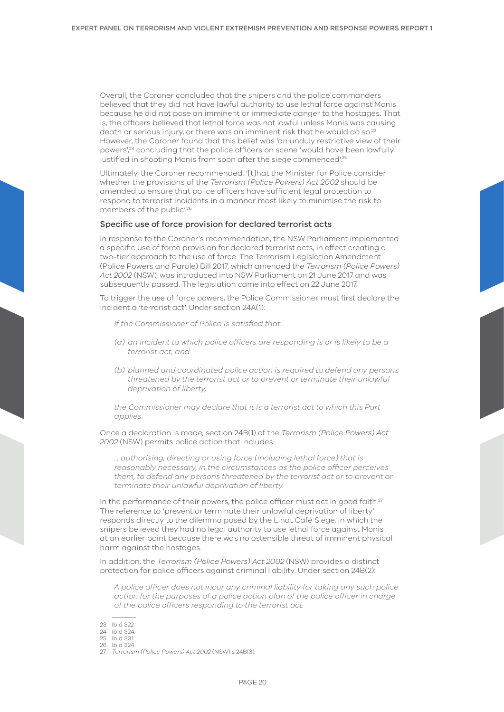Overall, the Coroner concluded that the snipers and the police commanders believed that they did not have lawful authority to use lethal force against Monis because he did not pose an imminent or immediate danger to the hostages. That is, the officers believed that lethal force was not lawful unless Monis was causing death or serious injury, or there was an imminent risk that he would do so.<sup>23</sup> However, the Coroner found that this belief was 'an unduly restrictive view of their powers',<sup>24</sup> concluding that the police officers on scene 'would have been lawfully justified in shooting Monis from soon after the siege commenced'.<sup>25</sup>

Ultimately, the Coroner recommended, '[t]hat the Minister for Police consider whether the provisions of the *Terrorism (Police Powers) Act 2002* should be amended to ensure that police officers have sufficient legal protection to respond to terrorist incidents in a manner most likely to minimise the risk to members of the public'.<sup>26</sup>

#### Specific use of force provision for declared terrorist acts

In response to the Coroner's recommendation, the NSW Parliament implemented a specific use of force provision for declared terrorist acts, in effect creating a two-tier approach to the use of force. The Terrorism Legislation Amendment (Police Powers and Parole) Bill 2017, which amended the *Terrorism (Police Powers) Act 2002* (NSW), was introduced into NSW Parliament on 21 June 2017 and was subsequently passed. The legislation came into effect on 22 June 2017.

To trigger the use of force powers, the Police Commissioner must first declare the incident a 'terrorist act'. Under section 24A(1):

*If the Commissioner of Police is satisfied that:*

- *(a) an incident to which police officers are responding is or is likely to be a terrorist act, and*
- *(b) planned and coordinated police action is required to defend any persons threatened by the terrorist act or to prevent or terminate their unlawful deprivation of liberty,*

*the Commissioner may declare that it is a terrorist act to which this Part applies.*

Once a declaration is made, section 24B(1) of the *Terrorism (Police Powers) Act 2002* (NSW) permits police action that includes:

*… authorising, directing or using force (including lethal force) that is reasonably necessary, in the circumstances as the police officer perceives them, to defend any persons threatened by the terrorist act or to prevent or terminate their unlawful deprivation of liberty.*

In the performance of their powers, the police officer must act in good faith.<sup>27</sup> The reference to 'prevent or terminate their unlawful deprivation of liberty' responds directly to the dilemma posed by the Lindt Café Siege, in which the snipers believed they had no legal authority to use lethal force against Monis at an earlier point because there was no ostensible threat of imminent physical harm against the hostages.

In addition, the *Terrorism (Police Powers) Act 2002* (NSW) provides a distinct protection for police officers against criminal liability. Under section 24B(2):

*A police officer does not incur any criminal liability for taking any such police action for the purposes of a police action plan of the police officer in charge of the police officers responding to the terrorist act.*

- 23 Ibid 322.
- 24 Ibid 324.

<sup>25</sup> Ibid 331. 26 Ibid 324.

<sup>27</sup> *Terrorism (Police Powers) Act 2002* (NSW) s 24B(3).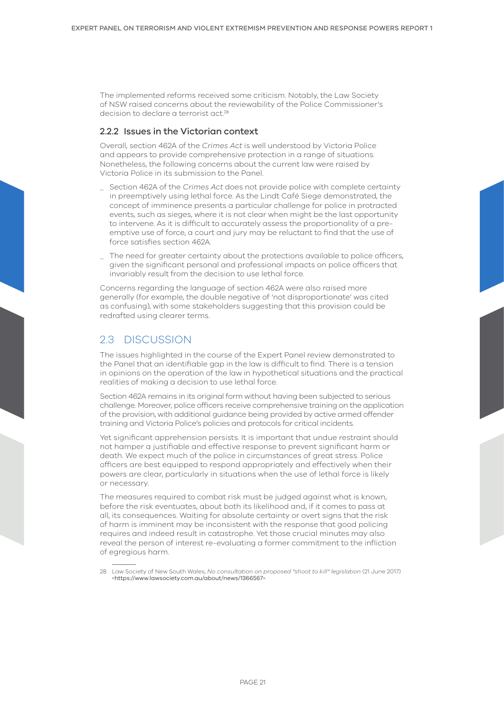<span id="page-20-0"></span>The implemented reforms received some criticism. Notably, the Law Society of NSW raised concerns about the reviewability of the Police Commissioner's decision to declare a terrorist act<sup>28</sup>

## 2.2.2 Issues in the Victorian context

Overall, section 462A of the *Crimes Act* is well understood by Victoria Police and appears to provide comprehensive protection in a range of situations. Nonetheless, the following concerns about the current law were raised by Victoria Police in its submission to the Panel.

- \_ Section 462A of the *Crimes Act* does not provide police with complete certainty in preemptively using lethal force. As the Lindt Café Siege demonstrated, the concept of imminence presents a particular challenge for police in protracted events, such as sieges, where it is not clear when might be the last opportunity to intervene. As it is difficult to accurately assess the proportionality of a preemptive use of force, a court and jury may be reluctant to find that the use of force satisfies section 462A.
- The need for greater certainty about the protections available to police officers, given the significant personal and professional impacts on police officers that invariably result from the decision to use lethal force.

Concerns regarding the language of section 462A were also raised more generally (for example, the double negative of 'not disproportionate' was cited as confusing), with some stakeholders suggesting that this provision could be redrafted using clearer terms.

# 2.3 DISCUSSION

The issues highlighted in the course of the Expert Panel review demonstrated to the Panel that an identifiable gap in the law is difficult to find. There is a tension in opinions on the operation of the law in hypothetical situations and the practical realities of making a decision to use lethal force.

Section 462A remains in its original form without having been subjected to serious challenge. Moreover, police officers receive comprehensive training on the application of the provision, with additional guidance being provided by active armed offender training and Victoria Police's policies and protocols for critical incidents.

Yet significant apprehension persists. It is important that undue restraint should not hamper a justifiable and effective response to prevent significant harm or death. We expect much of the police in circumstances of great stress. Police officers are best equipped to respond appropriately and effectively when their powers are clear, particularly in situations when the use of lethal force is likely or necessary.

The measures required to combat risk must be judged against what is known, before the risk eventuates, about both its likelihood and, if it comes to pass at all, its consequences. Waiting for absolute certainty or overt signs that the risk of harm is imminent may be inconsistent with the response that good policing requires and indeed result in catastrophe. Yet those crucial minutes may also reveal the person of interest re-evaluating a former commitment to the infliction of egregious harm.

<sup>28</sup> Law Society of New South Wales, *No consultation on proposed "shoot to kill" legislation* (21 June 2017) <<https://www.lawsociety.com.au/about/news/1366567>>.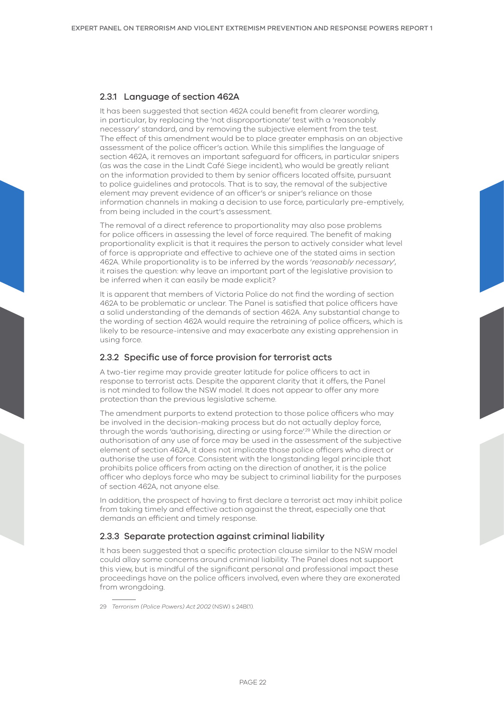## 2.3.1 Language of section 462A

It has been suggested that section 462A could benefit from clearer wording, in particular, by replacing the 'not disproportionate' test with a 'reasonably necessary' standard, and by removing the subjective element from the test. The effect of this amendment would be to place greater emphasis on an objective assessment of the police officer's action. While this simplifies the language of section 462A, it removes an important safeguard for officers, in particular snipers (as was the case in the Lindt Café Siege incident), who would be greatly reliant on the information provided to them by senior officers located offsite, pursuant to police guidelines and protocols. That is to say, the removal of the subjective element may prevent evidence of an officer's or sniper's reliance on those information channels in making a decision to use force, particularly pre-emptively, from being included in the court's assessment.

The removal of a direct reference to proportionality may also pose problems for police officers in assessing the level of force required. The benefit of making proportionality explicit is that it requires the person to actively consider what level of force is appropriate and effective to achieve one of the stated aims in section 462A. While proportionality is to be inferred by the words '*reasonably necessary*', it raises the question: why leave an important part of the legislative provision to be inferred when it can easily be made explicit?

It is apparent that members of Victoria Police do not find the wording of section 462A to be problematic or unclear. The Panel is satisfied that police officers have a solid understanding of the demands of section 462A. Any substantial change to the wording of section 462A would require the retraining of police officers, which is likely to be resource-intensive and may exacerbate any existing apprehension in using force.

## 2.3.2 Specific use of force provision for terrorist acts

A two-tier regime may provide greater latitude for police officers to act in response to terrorist acts. Despite the apparent clarity that it offers, the Panel is not minded to follow the NSW model. It does not appear to offer any more protection than the previous legislative scheme.

The amendment purports to extend protection to those police officers who may be involved in the decision-making process but do not actually deploy force, through the words 'authorising, directing or using force'.<sup>29</sup> While the direction or authorisation of any use of force may be used in the assessment of the subjective element of section 462A, it does not implicate those police officers who direct or authorise the use of force. Consistent with the longstanding legal principle that prohibits police officers from acting on the direction of another, it is the police officer who deploys force who may be subject to criminal liability for the purposes of section 462A, not anyone else.

In addition, the prospect of having to first declare a terrorist act may inhibit police from taking timely and effective action against the threat, especially one that demands an efficient and timely response.

## 2.3.3 Separate protection against criminal liability

It has been suggested that a specific protection clause similar to the NSW model could allay some concerns around criminal liability. The Panel does not support this view, but is mindful of the significant personal and professional impact these proceedings have on the police officers involved, even where they are exonerated from wrongdoing.

<sup>29</sup> *Terrorism (Police Powers) Act 2002* (NSW) s 24B(1).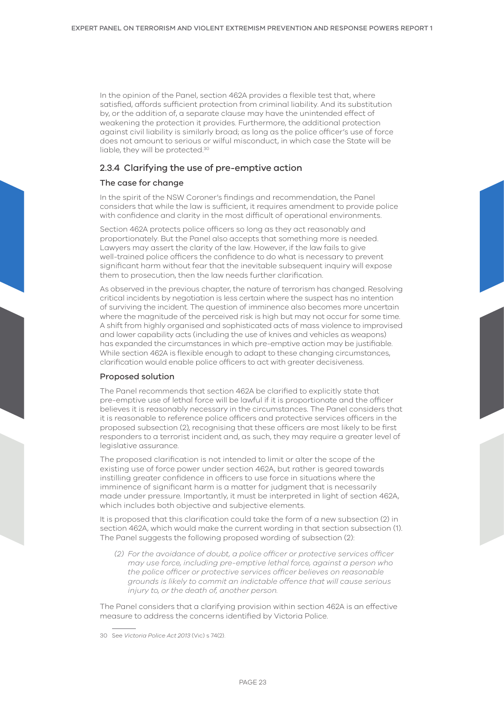In the opinion of the Panel, section 462A provides a flexible test that, where satisfied, affords sufficient protection from criminal liability. And its substitution by, or the addition of, a separate clause may have the unintended effect of weakening the protection it provides. Furthermore, the additional protection against civil liability is similarly broad; as long as the police officer's use of force does not amount to serious or wilful misconduct, in which case the State will be liable, they will be protected.30

## 2.3.4 Clarifying the use of pre-emptive action

### The case for change

In the spirit of the NSW Coroner's findings and recommendation, the Panel considers that while the law is sufficient, it requires amendment to provide police with confidence and clarity in the most difficult of operational environments.

Section 462A protects police officers so long as they act reasonably and proportionately. But the Panel also accepts that something more is needed. Lawyers may assert the clarity of the law. However, if the law fails to give well-trained police officers the confidence to do what is necessary to prevent significant harm without fear that the inevitable subsequent inquiry will expose them to prosecution, then the law needs further clarification.

As observed in the previous chapter, the nature of terrorism has changed. Resolving critical incidents by negotiation is less certain where the suspect has no intention of surviving the incident. The question of imminence also becomes more uncertain where the magnitude of the perceived risk is high but may not occur for some time. A shift from highly organised and sophisticated acts of mass violence to improvised and lower capability acts (including the use of knives and vehicles as weapons) has expanded the circumstances in which pre-emptive action may be justifiable. While section 462A is flexible enough to adapt to these changing circumstances, clarification would enable police officers to act with greater decisiveness.

#### Proposed solution

The Panel recommends that section 462A be clarified to explicitly state that pre-emptive use of lethal force will be lawful if it is proportionate and the officer believes it is reasonably necessary in the circumstances. The Panel considers that it is reasonable to reference police officers and protective services officers in the proposed subsection (2), recognising that these officers are most likely to be first responders to a terrorist incident and, as such, they may require a greater level of legislative assurance.

The proposed clarification is not intended to limit or alter the scope of the existing use of force power under section 462A, but rather is geared towards instilling greater confidence in officers to use force in situations where the imminence of significant harm is a matter for judgment that is necessarily made under pressure. Importantly, it must be interpreted in light of section 462A, which includes both objective and subjective elements.

It is proposed that this clarification could take the form of a new subsection (2) in section 462A, which would make the current wording in that section subsection (1). The Panel suggests the following proposed wording of subsection (2):

*(2) For the avoidance of doubt, a police officer or protective services officer may use force, including pre-emptive lethal force, against a person who the police officer or protective services officer believes on reasonable grounds is likely to commit an indictable offence that will cause serious injury to, or the death of, another person.*

The Panel considers that a clarifying provision within section 462A is an effective measure to address the concerns identified by Victoria Police.

<sup>30</sup> See *Victoria Police Act 2013* (Vic) s 74(2).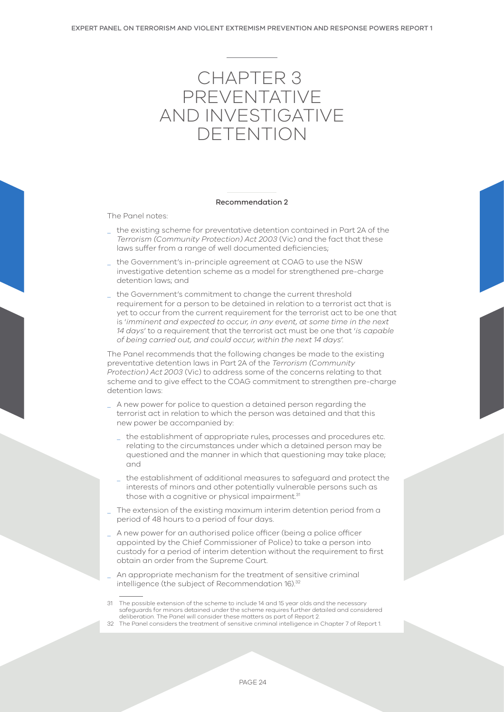# <span id="page-23-0"></span>CHAPTER 3 PREVENTATIVE AND INVESTIGATIVE DETENTION

#### Recommendation 2

The Panel notes:

- the existing scheme for preventative detention contained in Part 2A of the *Terrorism (Community Protection) Act 2003* (Vic) and the fact that these laws suffer from a range of well documented deficiencies;
- the Government's in-principle agreement at COAG to use the NSW investigative detention scheme as a model for strengthened pre-charge detention laws; and
- the Government's commitment to change the current threshold requirement for a person to be detained in relation to a terrorist act that is yet to occur from the current requirement for the terrorist act to be one that is '*imminent and expected to occur, in any event, at some time in the next 14 days*' to a requirement that the terrorist act must be one that '*is capable of being carried out, and could occur, within the next 14 days*'.

The Panel recommends that the following changes be made to the existing preventative detention laws in Part 2A of the *Terrorism (Community Protection) Act 2003* (Vic) to address some of the concerns relating to that scheme and to give effect to the COAG commitment to strengthen pre-charge detention laws:

- A new power for police to question a detained person regarding the terrorist act in relation to which the person was detained and that this new power be accompanied by:
	- the establishment of appropriate rules, processes and procedures etc. relating to the circumstances under which a detained person may be questioned and the manner in which that questioning may take place; and
	- the establishment of additional measures to safeguard and protect the interests of minors and other potentially vulnerable persons such as those with a cognitive or physical impairment.<sup>31</sup>
- The extension of the existing maximum interim detention period from a period of 48 hours to a period of four days.
- A new power for an authorised police officer (being a police officer appointed by the Chief Commissioner of Police) to take a person into custody for a period of interim detention without the requirement to first obtain an order from the Supreme Court.
- An appropriate mechanism for the treatment of sensitive criminal intelligence (the subject of Recommendation 16).<sup>32</sup>

<sup>31</sup> The possible extension of the scheme to include 14 and 15 year olds and the necessary safeguards for minors detained under the scheme requires further detailed and considered deliberation. The Panel will consider these matters as part of Report 2.

<sup>32</sup> The Panel considers the treatment of sensitive criminal intelligence in Chapter 7 of Report 1.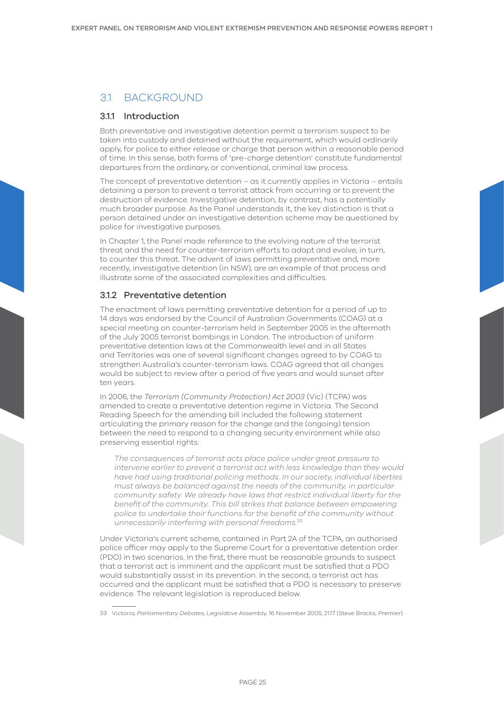# <span id="page-24-0"></span>3.1 BACKGROUND

## 3.1.1 Introduction

Both preventative and investigative detention permit a terrorism suspect to be taken into custody and detained without the requirement, which would ordinarily apply, for police to either release or charge that person within a reasonable period of time. In this sense, both forms of 'pre-charge detention' constitute fundamental departures from the ordinary, or conventional, criminal law process.

The concept of preventative detention – as it currently applies in Victoria – entails detaining a person to prevent a terrorist attack from occurring or to prevent the destruction of evidence. Investigative detention, by contrast, has a potentially much broader purpose. As the Panel understands it, the key distinction is that a person detained under an investigative detention scheme may be questioned by police for investigative purposes.

In Chapter 1, the Panel made reference to the evolving nature of the terrorist threat and the need for counter-terrorism efforts to adapt and evolve, in turn, to counter this threat. The advent of laws permitting preventative and, more recently, investigative detention (in NSW), are an example of that process and illustrate some of the associated complexities and difficulties.

## 312 Preventative detention

The enactment of laws permitting preventative detention for a period of up to 14 days was endorsed by the Council of Australian Governments (COAG) at a special meeting on counter-terrorism held in September 2005 in the aftermath of the July 2005 terrorist bombings in London. The introduction of uniform preventative detention laws at the Commonwealth level and in all States and Territories was one of several significant changes agreed to by COAG to strengthen Australia's counter-terrorism laws. COAG agreed that all changes would be subject to review after a period of five years and would sunset after ten years.

In 2006, the *Terrorism (Community Protection) Act 2003* (Vic) (TCPA) was amended to create a preventative detention regime in Victoria. The Second Reading Speech for the amending bill included the following statement articulating the primary reason for the change and the (ongoing) tension between the need to respond to a changing security environment while also preserving essential rights:

*The consequences of terrorist acts place police under great pressure to intervene earlier to prevent a terrorist act with less knowledge than they would have had using traditional policing methods. In our society, individual liberties must always be balanced against the needs of the community, in particular community safety. We already have laws that restrict individual liberty for the benefit of the community. This bill strikes that balance between empowering police to undertake their functions for the benefit of the community without unnecessarily interfering with personal freedoms.*<sup>33</sup>

Under Victoria's current scheme, contained in Part 2A of the TCPA, an authorised police officer may apply to the Supreme Court for a preventative detention order (PDO) in two scenarios. In the first, there must be reasonable grounds to suspect that a terrorist act is imminent and the applicant must be satisfied that a PDO would substantially assist in its prevention. In the second, a terrorist act has occurred and the applicant must be satisfied that a PDO is necessary to preserve evidence. The relevant legislation is reproduced below.

33 Victoria, *Parliamentary Debates*, Legislative Assembly, 16 November 2005, 2177 (Steve Bracks, Premier).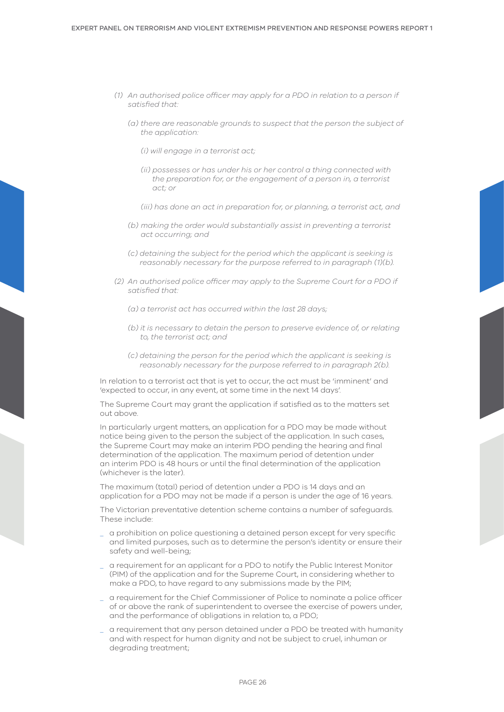- *(1) An authorised police officer may apply for a PDO in relation to a person if satisfied that:* 
	- *(a) there are reasonable grounds to suspect that the person the subject of the application:*
		- *(i) will engage in a terrorist act;*
		- *(ii) possesses or has under his or her control a thing connected with the preparation for, or the engagement of a person in, a terrorist act; or*
		- *(iii) has done an act in preparation for, or planning, a terrorist act, and*
	- *(b) making the order would substantially assist in preventing a terrorist act occurring; and*
	- *(c) detaining the subject for the period which the applicant is seeking is reasonably necessary for the purpose referred to in paragraph (1)(b).*
- *(2) An authorised police officer may apply to the Supreme Court for a PDO if satisfied that:*
	- *(a) a terrorist act has occurred within the last 28 days;*
	- *(b) it is necessary to detain the person to preserve evidence of, or relating to, the terrorist act; and*
	- *(c) detaining the person for the period which the applicant is seeking is reasonably necessary for the purpose referred to in paragraph 2(b).*

In relation to a terrorist act that is yet to occur, the act must be 'imminent' and 'expected to occur, in any event, at some time in the next 14 days'.

The Supreme Court may grant the application if satisfied as to the matters set out above.

In particularly urgent matters, an application for a PDO may be made without notice being given to the person the subject of the application. In such cases, the Supreme Court may make an interim PDO pending the hearing and final determination of the application. The maximum period of detention under an interim PDO is 48 hours or until the final determination of the application (whichever is the later).

The maximum (total) period of detention under a PDO is 14 days and an application for a PDO may not be made if a person is under the age of 16 years.

The Victorian preventative detention scheme contains a number of safeguards. These include:

- \_ a prohibition on police questioning a detained person except for very specific and limited purposes, such as to determine the person's identity or ensure their safety and well-being;
- \_ a requirement for an applicant for a PDO to notify the Public Interest Monitor (PIM) of the application and for the Supreme Court, in considering whether to make a PDO, to have regard to any submissions made by the PIM;
- \_ a requirement for the Chief Commissioner of Police to nominate a police officer of or above the rank of superintendent to oversee the exercise of powers under, and the performance of obligations in relation to, a PDO;
- \_ a requirement that any person detained under a PDO be treated with humanity and with respect for human dignity and not be subject to cruel, inhuman or degrading treatment;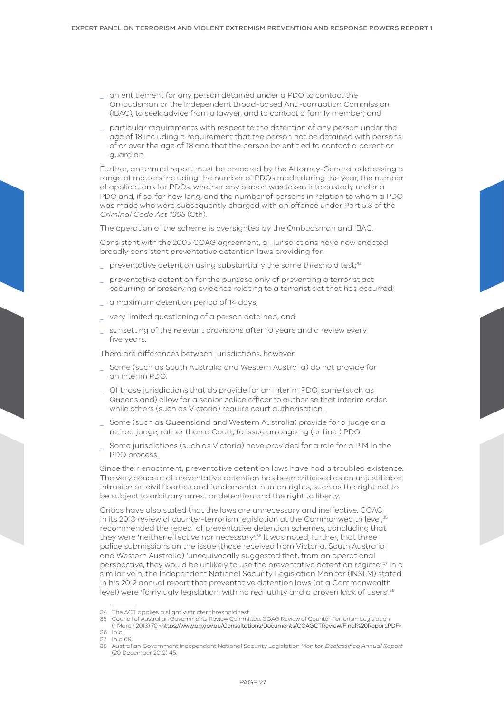- \_ an entitlement for any person detained under a PDO to contact the Ombudsman or the Independent Broad-based Anti-corruption Commission (IBAC), to seek advice from a lawyer, and to contact a family member; and
- \_ particular requirements with respect to the detention of any person under the age of 18 including a requirement that the person not be detained with persons of or over the age of 18 and that the person be entitled to contact a parent or guardian.

Further, an annual report must be prepared by the Attorney-General addressing a range of matters including the number of PDOs made during the year, the number of applications for PDOs, whether any person was taken into custody under a PDO and, if so, for how long, and the number of persons in relation to whom a PDO was made who were subsequently charged with an offence under Part 5.3 of the *Criminal Code Act 1995* (Cth).

The operation of the scheme is oversighted by the Ombudsman and IBAC.

Consistent with the 2005 COAG agreement, all jurisdictions have now enacted broadly consistent preventative detention laws providing for:

- preventative detention using substantially the same threshold test;<sup>34</sup>
- preventative detention for the purpose only of preventing a terrorist act occurring or preserving evidence relating to a terrorist act that has occurred;
- \_ a maximum detention period of 14 days;
- \_ very limited questioning of a person detained; and
- sunsetting of the relevant provisions after 10 years and a review every five years.

There are differences between jurisdictions, however.

- \_ Some (such as South Australia and Western Australia) do not provide for an interim PDO.
- \_ Of those jurisdictions that do provide for an interim PDO, some (such as Queensland) allow for a senior police officer to authorise that interim order, while others (such as Victoria) require court authorisation.
- \_ Some (such as Queensland and Western Australia) provide for a judge or a retired judge, rather than a Court, to issue an ongoing (or final) PDO.
- \_ Some jurisdictions (such as Victoria) have provided for a role for a PIM in the PDO process.

Since their enactment, preventative detention laws have had a troubled existence. The very concept of preventative detention has been criticised as an unjustifiable intrusion on civil liberties and fundamental human rights, such as the right not to be subject to arbitrary arrest or detention and the right to liberty.

Critics have also stated that the laws are unnecessary and ineffective. COAG, in its 2013 review of counter-terrorism legislation at the Commonwealth level, 35 recommended the repeal of preventative detention schemes, concluding that they were 'neither effective nor necessary'.<sup>36</sup> It was noted, further, that three police submissions on the issue (those received from Victoria, South Australia and Western Australia) 'unequivocally suggested that, from an operational perspective, they would be unlikely to use the preventative detention regime<sup>137</sup> In a similar vein, the Independent National Security Legislation Monitor (INSLM) stated in his 2012 annual report that preventative detention laws (at a Commonwealth level) were 'fairly ugly legislation, with no real utility and a proven lack of users'.<sup>38</sup>

<sup>34</sup> The ACT applies a slightly stricter threshold test.

<sup>35</sup> Council of Australian Governments Review Committee, COAG Review of Counter-Terrorism Legislation

<sup>(1</sup> March 2013) 70 <<https://www.ag.gov.au/Consultations/Documents/COAGCTReview/Final%20Report.PDF>>. 36 Ibid.

<sup>37</sup> Ibid 69.

<sup>38</sup> Australian Government Independent National Security Legislation Monitor, *Declassified Annual Report* (20 December 2012) 45.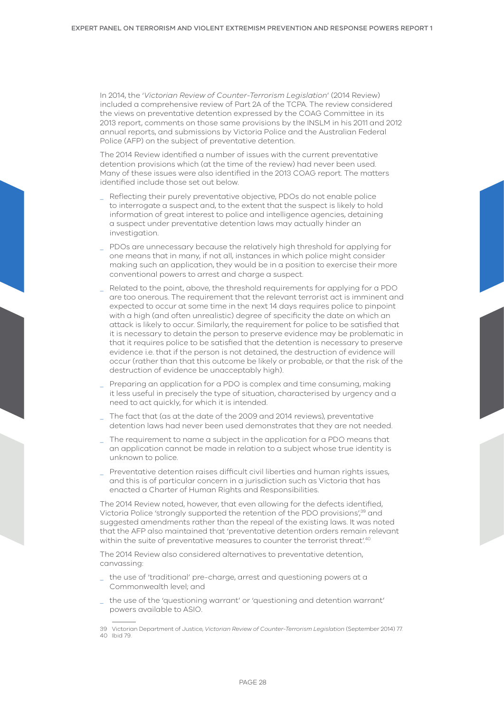In 2014, the '*Victorian Review of Counter-Terrorism Legislation*' (2014 Review) included a comprehensive review of Part 2A of the TCPA. The review considered the views on preventative detention expressed by the COAG Committee in its 2013 report, comments on those same provisions by the INSLM in his 2011 and 2012 annual reports, and submissions by Victoria Police and the Australian Federal Police (AFP) on the subject of preventative detention.

The 2014 Review identified a number of issues with the current preventative detention provisions which (at the time of the review) had never been used. Many of these issues were also identified in the 2013 COAG report. The matters identified include those set out below.

- Reflecting their purely preventative objective, PDOs do not enable police to interrogate a suspect and, to the extent that the suspect is likely to hold information of great interest to police and intelligence agencies, detaining a suspect under preventative detention laws may actually hinder an investigation.
- \_ PDOs are unnecessary because the relatively high threshold for applying for one means that in many, if not all, instances in which police might consider making such an application, they would be in a position to exercise their more conventional powers to arrest and charge a suspect.
- \_ Related to the point, above, the threshold requirements for applying for a PDO are too onerous. The requirement that the relevant terrorist act is imminent and expected to occur at some time in the next 14 days requires police to pinpoint with a high (and often unrealistic) degree of specificity the date on which an attack is likely to occur. Similarly, the requirement for police to be satisfied that it is necessary to detain the person to preserve evidence may be problematic in that it requires police to be satisfied that the detention is necessary to preserve evidence i.e. that if the person is not detained, the destruction of evidence will occur (rather than that this outcome be likely or probable, or that the risk of the destruction of evidence be unacceptably high).
- \_ Preparing an application for a PDO is complex and time consuming, making it less useful in precisely the type of situation, characterised by urgency and a need to act quickly, for which it is intended.
- The fact that (as at the date of the 2009 and 2014 reviews), preventative detention laws had never been used demonstrates that they are not needed.
- \_ The requirement to name a subject in the application for a PDO means that an application cannot be made in relation to a subject whose true identity is unknown to police.
- \_ Preventative detention raises difficult civil liberties and human rights issues, and this is of particular concern in a jurisdiction such as Victoria that has enacted a Charter of Human Rights and Responsibilities.

The 2014 Review noted, however, that even allowing for the defects identified, Victoria Police 'strongly supported the retention of the PDO provisions',<sup>39</sup> and suggested amendments rather than the repeal of the existing laws. It was noted that the AFP also maintained that 'preventative detention orders remain relevant within the suite of preventative measures to counter the terrorist threat<sup>140</sup>

The 2014 Review also considered alternatives to preventative detention, canvassing:

- \_ the use of 'traditional' pre-charge, arrest and questioning powers at a Commonwealth level; and
- \_ the use of the 'questioning warrant' or 'questioning and detention warrant' powers available to ASIO.

<sup>39</sup> Victorian Department of Justice, *Victorian Review of Counter-Terrorism Legislation* (September 2014) 77. 40 Ibid 79.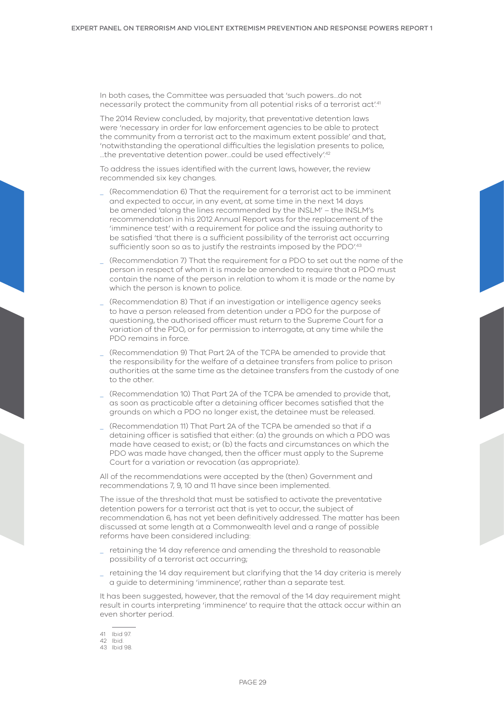In both cases, the Committee was persuaded that 'such powers…do not necessarily protect the community from all potential risks of a terrorist act!<sup>41</sup>

The 2014 Review concluded, by majority, that preventative detention laws were 'necessary in order for law enforcement agencies to be able to protect the community from a terrorist act to the maximum extent possible' and that, 'notwithstanding the operational difficulties the legislation presents to police, …the preventative detention power…could be used effectively'.42

To address the issues identified with the current laws, however, the review recommended six key changes.

- \_ (Recommendation 6) That the requirement for a terrorist act to be imminent and expected to occur, in any event, at some time in the next 14 days be amended 'along the lines recommended by the INSLM' – the INSLM's recommendation in his 2012 Annual Report was for the replacement of the 'imminence test' with a requirement for police and the issuing authority to be satisfied 'that there is a sufficient possibility of the terrorist act occurring sufficiently soon so as to justify the restraints imposed by the PDO<sup>'43</sup>
- \_ (Recommendation 7) That the requirement for a PDO to set out the name of the person in respect of whom it is made be amended to require that a PDO must contain the name of the person in relation to whom it is made or the name by which the person is known to police.
- \_ (Recommendation 8) That if an investigation or intelligence agency seeks to have a person released from detention under a PDO for the purpose of questioning, the authorised officer must return to the Supreme Court for a variation of the PDO, or for permission to interrogate, at any time while the PDO remains in force.
- \_ (Recommendation 9) That Part 2A of the TCPA be amended to provide that the responsibility for the welfare of a detainee transfers from police to prison authorities at the same time as the detainee transfers from the custody of one to the other.
- \_ (Recommendation 10) That Part 2A of the TCPA be amended to provide that, as soon as practicable after a detaining officer becomes satisfied that the grounds on which a PDO no longer exist, the detainee must be released.
- (Recommendation 11) That Part 2A of the TCPA be amended so that if a detaining officer is satisfied that either: (a) the grounds on which a PDO was made have ceased to exist; or (b) the facts and circumstances on which the PDO was made have changed, then the officer must apply to the Supreme Court for a variation or revocation (as appropriate).

All of the recommendations were accepted by the (then) Government and recommendations 7, 9, 10 and 11 have since been implemented.

The issue of the threshold that must be satisfied to activate the preventative detention powers for a terrorist act that is yet to occur, the subject of recommendation 6, has not yet been definitively addressed. The matter has been discussed at some length at a Commonwealth level and a range of possible reforms have been considered including:

- \_ retaining the 14 day reference and amending the threshold to reasonable possibility of a terrorist act occurring;
- \_ retaining the 14 day requirement but clarifying that the 14 day criteria is merely a guide to determining 'imminence', rather than a separate test.

It has been suggested, however, that the removal of the 14 day requirement might result in courts interpreting 'imminence' to require that the attack occur within an even shorter period.

<sup>41</sup> Ibid 97.

<sup>42</sup> Ibid.

<sup>43</sup> Ibid 98.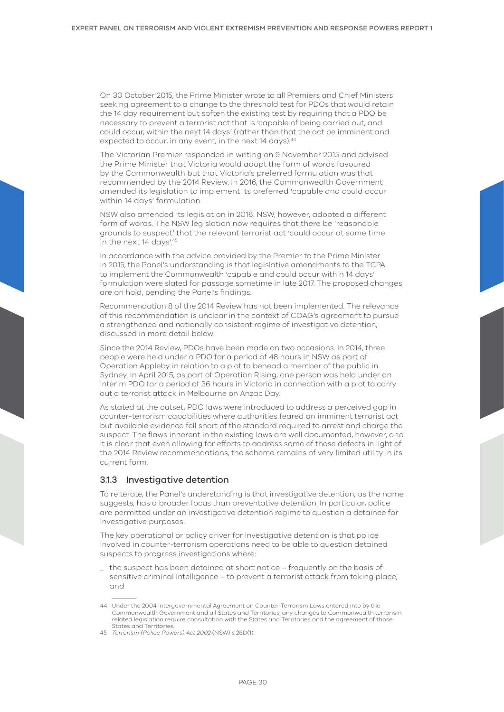On 30 October 2015, the Prime Minister wrote to all Premiers and Chief Ministers seeking agreement to a change to the threshold test for PDOs that would retain the 14 day requirement but soften the existing test by requiring that a PDO be necessary to prevent a terrorist act that is 'capable of being carried out, and could occur, within the next 14 days' (rather than that the act be imminent and expected to occur, in any event, in the next 14 days).<sup>44</sup>

The Victorian Premier responded in writing on 9 November 2015 and advised the Prime Minister that Victoria would adopt the form of words favoured by the Commonwealth but that Victoria's preferred formulation was that recommended by the 2014 Review. In 2016, the Commonwealth Government amended its legislation to implement its preferred 'capable and could occur within 14 days' formulation.

NSW also amended its legislation in 2016. NSW, however, adopted a different form of words. The NSW legislation now requires that there be 'reasonable grounds to suspect' that the relevant terrorist act 'could occur at some time in the next 14 days'.<sup>45</sup>

In accordance with the advice provided by the Premier to the Prime Minister in 2015, the Panel's understanding is that legislative amendments to the TCPA to implement the Commonwealth 'capable and could occur within 14 days' formulation were slated for passage sometime in late 2017. The proposed changes are on hold, pending the Panel's findings.

Recommendation 8 of the 2014 Review has not been implemented. The relevance of this recommendation is unclear in the context of COAG's agreement to pursue a strengthened and nationally consistent regime of investigative detention, discussed in more detail below.

Since the 2014 Review, PDOs have been made on two occasions. In 2014, three people were held under a PDO for a period of 48 hours in NSW as part of Operation Appleby in relation to a plot to behead a member of the public in Sydney. In April 2015, as part of Operation Rising, one person was held under an interim PDO for a period of 36 hours in Victoria in connection with a plot to carry out a terrorist attack in Melbourne on Anzac Day.

As stated at the outset, PDO laws were introduced to address a perceived gap in counter-terrorism capabilities where authorities feared an imminent terrorist act but available evidence fell short of the standard required to arrest and charge the suspect. The flaws inherent in the existing laws are well documented, however, and it is clear that even allowing for efforts to address some of these defects in light of the 2014 Review recommendations, the scheme remains of very limited utility in its current form.

## 3.1.3 Investigative detention

To reiterate, the Panel's understanding is that investigative detention, as the name suggests, has a broader focus than preventative detention. In particular, police are permitted under an investigative detention regime to question a detainee for investigative purposes.

The key operational or policy driver for investigative detention is that police involved in counter-terrorism operations need to be able to question detained suspects to progress investigations where:

the suspect has been detained at short notice – frequently on the basis of sensitive criminal intelligence – to prevent a terrorist attack from taking place; and

<sup>44</sup> Under the 2004 Intergovernmental Agreement on Counter-Terrorism Laws entered into by the Commonwealth Government and all States and Territories, any changes to Commonwealth terrorism related legislation require consultation with the States and Territories and the agreement of those States and Territories.

<sup>45</sup> *Terrorism (Police Powers) Act 2002* (NSW) s 26D(1).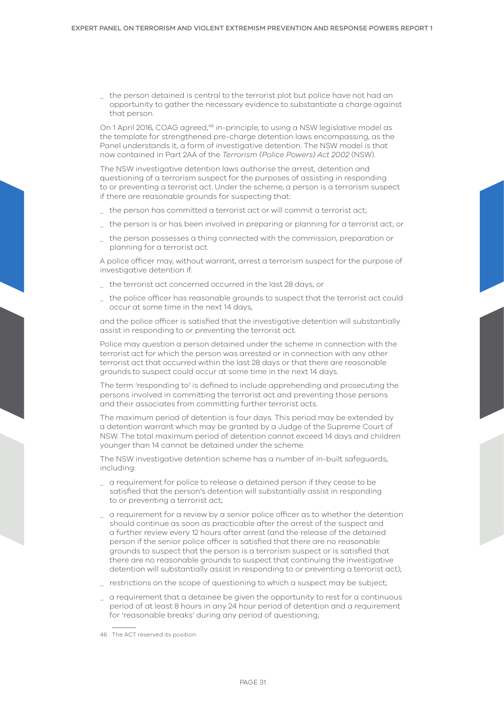\_ the person detained is central to the terrorist plot but police have not had an opportunity to gather the necessary evidence to substantiate a charge against that person.

On 1 April 2016, COAG agreed,46 in-principle, to using a NSW legislative model as the template for strengthened pre-charge detention laws encompassing, as the Panel understands it, a form of investigative detention. The NSW model is that now contained in Part 2AA of the *Terrorism (Police Powers) Act 2002* (NSW).

The NSW investigative detention laws authorise the arrest, detention and questioning of a terrorism suspect for the purposes of assisting in responding to or preventing a terrorist act. Under the scheme, a person is a terrorism suspect if there are reasonable grounds for suspecting that:

- \_ the person has committed a terrorist act or will commit a terrorist act;
- \_ the person is or has been involved in preparing or planning for a terrorist act; or
- the person possesses a thing connected with the commission, preparation or planning for a terrorist act.

A police officer may, without warrant, arrest a terrorism suspect for the purpose of investigative detention if:

- the terrorist act concerned occurred in the last 28 days; or
- \_ the police officer has reasonable grounds to suspect that the terrorist act could occur at some time in the next 14 days,

and the police officer is satisfied that the investigative detention will substantially assist in responding to or preventing the terrorist act.

Police may question a person detained under the scheme in connection with the terrorist act for which the person was arrested or in connection with any other terrorist act that occurred within the last 28 days or that there are reasonable grounds to suspect could occur at some time in the next 14 days.

The term 'responding to' is defined to include apprehending and prosecuting the persons involved in committing the terrorist act and preventing those persons and their associates from committing further terrorist acts.

The maximum period of detention is four days. This period may be extended by a detention warrant which may be granted by a Judge of the Supreme Court of NSW. The total maximum period of detention cannot exceed 14 days and children younger than 14 cannot be detained under the scheme.

The NSW investigative detention scheme has a number of in-built safeguards, including:

- \_ a requirement for police to release a detained person if they cease to be satisfied that the person's detention will substantially assist in responding to or preventing a terrorist act;
- \_ a requirement for a review by a senior police officer as to whether the detention should continue as soon as practicable after the arrest of the suspect and a further review every 12 hours after arrest (and the release of the detained person if the senior police officer is satisfied that there are no reasonable grounds to suspect that the person is a terrorism suspect or is satisfied that there are no reasonable grounds to suspect that continuing the investigative detention will substantially assist in responding to or preventing a terrorist act);
- restrictions on the scope of questioning to which a suspect may be subject;
- a requirement that a detainee be given the opportunity to rest for a continuous period of at least 8 hours in any 24 hour period of detention and a requirement for 'reasonable breaks' during any period of questioning;

<sup>46</sup> The ACT reserved its position.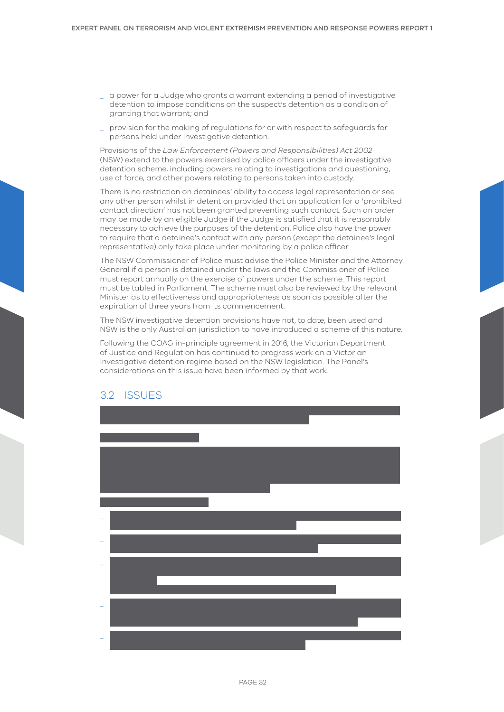- <span id="page-31-0"></span>\_ a power for a Judge who grants a warrant extending a period of investigative detention to impose conditions on the suspect's detention as a condition of granting that warrant; and
- \_ provision for the making of regulations for or with respect to safeguards for persons held under investigative detention.

Provisions of the *Law Enforcement (Powers and Responsibilities) Act 2002*  (NSW) extend to the powers exercised by police officers under the investigative detention scheme, including powers relating to investigations and questioning, use of force, and other powers relating to persons taken into custody.

There is no restriction on detainees' ability to access legal representation or see any other person whilst in detention provided that an application for a 'prohibited contact direction' has not been granted preventing such contact. Such an order may be made by an eligible Judge if the Judge is satisfied that it is reasonably necessary to achieve the purposes of the detention. Police also have the power to require that a detainee's contact with any person (except the detainee's legal representative) only take place under monitoring by a police officer.

The NSW Commissioner of Police must advise the Police Minister and the Attorney General if a person is detained under the laws and the Commissioner of Police must report annually on the exercise of powers under the scheme. This report must be tabled in Parliament. The scheme must also be reviewed by the relevant Minister as to effectiveness and appropriateness as soon as possible after the expiration of three years from its commencement.

The NSW investigative detention provisions have not, to date, been used and NSW is the only Australian jurisdiction to have introduced a scheme of this nature.

Following the COAG in-principle agreement in 2016, the Victorian Department of Justice and Regulation has continued to progress work on a Victorian investigative detention regime based on the NSW legislation. The Panel's considerations on this issue have been informed by that work.

## 3.2 ISSUES

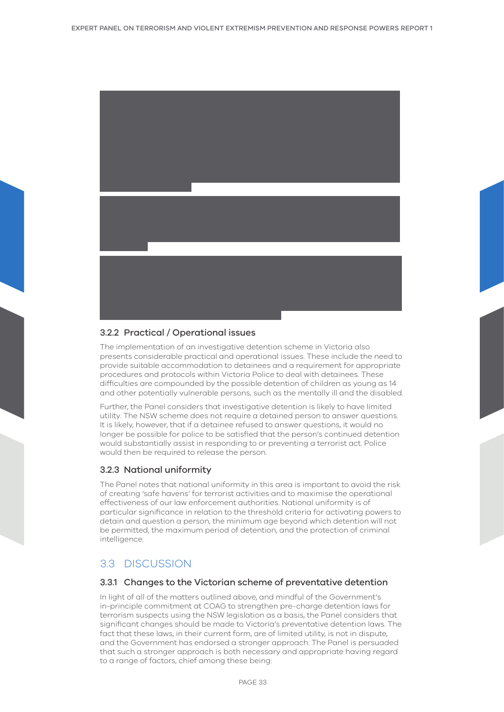<span id="page-32-0"></span>

## 3.2.2 Practical / Operational issues

The implementation of an investigative detention scheme in Victoria also presents considerable practical and operational issues. These include the need to provide suitable accommodation to detainees and a requirement for appropriate procedures and protocols within Victoria Police to deal with detainees. These difficulties are compounded by the possible detention of children as young as 14 and other potentially vulnerable persons, such as the mentally ill and the disabled.

Further, the Panel considers that investigative detention is likely to have limited utility. The NSW scheme does not require a detained person to answer questions. It is likely, however, that if a detainee refused to answer questions, it would no longer be possible for police to be satisfied that the person's continued detention would substantially assist in responding to or preventing a terrorist act. Police would then be required to release the person.

## 3.2.3 National uniformity

The Panel notes that national uniformity in this area is important to avoid the risk of creating 'safe havens' for terrorist activities and to maximise the operational effectiveness of our law enforcement authorities. National uniformity is of particular significance in relation to the threshold criteria for activating powers to detain and question a person, the minimum age beyond which detention will not be permitted, the maximum period of detention, and the protection of criminal intelligence.

## 3.3 DISCUSSION

## 3.3.1 Changes to the Victorian scheme of preventative detention

In light of all of the matters outlined above, and mindful of the Government's in-principle commitment at COAG to strengthen pre-charge detention laws for terrorism suspects using the NSW legislation as a basis, the Panel considers that significant changes should be made to Victoria's preventative detention laws. The fact that these laws, in their current form, are of limited utility, is not in dispute, and the Government has endorsed a stronger approach. The Panel is persuaded that such a stronger approach is both necessary and appropriate having regard to a range of factors, chief among these being: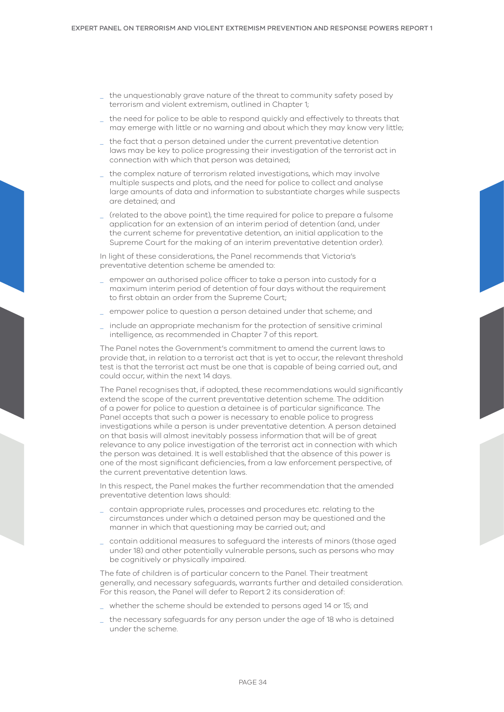- \_ the unquestionably grave nature of the threat to community safety posed by terrorism and violent extremism, outlined in Chapter 1;
- the need for police to be able to respond quickly and effectively to threats that may emerge with little or no warning and about which they may know very little;
- \_ the fact that a person detained under the current preventative detention laws may be key to police progressing their investigation of the terrorist act in connection with which that person was detained;
- the complex nature of terrorism related investigations, which may involve multiple suspects and plots, and the need for police to collect and analyse large amounts of data and information to substantiate charges while suspects are detained; and
- \_ (related to the above point), the time required for police to prepare a fulsome application for an extension of an interim period of detention (and, under the current scheme for preventative detention, an initial application to the Supreme Court for the making of an interim preventative detention order).

In light of these considerations, the Panel recommends that Victoria's preventative detention scheme be amended to:

- \_ empower an authorised police officer to take a person into custody for a maximum interim period of detention of four days without the requirement to first obtain an order from the Supreme Court;
- \_ empower police to question a person detained under that scheme; and
- include an appropriate mechanism for the protection of sensitive criminal intelligence, as recommended in Chapter 7 of this report.

The Panel notes the Government's commitment to amend the current laws to provide that, in relation to a terrorist act that is yet to occur, the relevant threshold test is that the terrorist act must be one that is capable of being carried out, and could occur, within the next 14 days.

The Panel recognises that, if adopted, these recommendations would significantly extend the scope of the current preventative detention scheme. The addition of a power for police to question a detainee is of particular significance. The Panel accepts that such a power is necessary to enable police to progress investigations while a person is under preventative detention. A person detained on that basis will almost inevitably possess information that will be of great relevance to any police investigation of the terrorist act in connection with which the person was detained. It is well established that the absence of this power is one of the most significant deficiencies, from a law enforcement perspective, of the current preventative detention laws.

In this respect, the Panel makes the further recommendation that the amended preventative detention laws should:

- \_ contain appropriate rules, processes and procedures etc. relating to the circumstances under which a detained person may be questioned and the manner in which that questioning may be carried out; and
- \_ contain additional measures to safeguard the interests of minors (those aged under 18) and other potentially vulnerable persons, such as persons who may be cognitively or physically impaired.

The fate of children is of particular concern to the Panel. Their treatment generally, and necessary safeguards, warrants further and detailed consideration. For this reason, the Panel will defer to Report 2 its consideration of:

whether the scheme should be extended to persons aged 14 or 15; and

\_ the necessary safeguards for any person under the age of 18 who is detained under the scheme.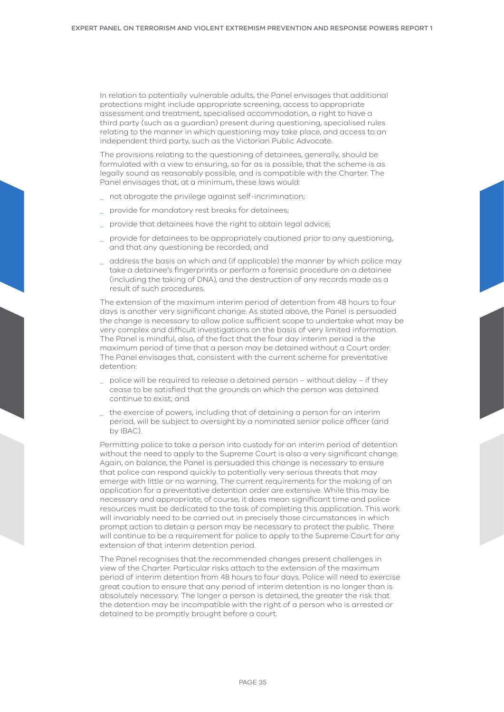In relation to potentially vulnerable adults, the Panel envisages that additional protections might include appropriate screening, access to appropriate assessment and treatment, specialised accommodation, a right to have a third party (such as a guardian) present during questioning, specialised rules relating to the manner in which questioning may take place, and access to an independent third party, such as the Victorian Public Advocate.

The provisions relating to the questioning of detainees, generally, should be formulated with a view to ensuring, so far as is possible, that the scheme is as legally sound as reasonably possible, and is compatible with the Charter. The Panel envisages that, at a minimum, these laws would:

- not abrogate the privilege against self-incrimination;
- \_ provide for mandatory rest breaks for detainees;
- provide that detainees have the right to obtain legal advice;
- provide for detainees to be appropriately cautioned prior to any questioning, and that any questioning be recorded; and
- \_ address the basis on which and (if applicable) the manner by which police may take a detainee's fingerprints or perform a forensic procedure on a detainee (including the taking of DNA), and the destruction of any records made as a result of such procedures.

The extension of the maximum interim period of detention from 48 hours to four days is another very significant change. As stated above, the Panel is persuaded the change is necessary to allow police sufficient scope to undertake what may be very complex and difficult investigations on the basis of very limited information. The Panel is mindful, also, of the fact that the four day interim period is the maximum period of time that a person may be detained without a Court order. The Panel envisages that, consistent with the current scheme for preventative detention:

- \_ police will be required to release a detained person without delay if they cease to be satisfied that the grounds on which the person was detained continue to exist; and
- \_ the exercise of powers, including that of detaining a person for an interim period, will be subject to oversight by a nominated senior police officer (and by IBAC).

Permitting police to take a person into custody for an interim period of detention without the need to apply to the Supreme Court is also a very significant change. Again, on balance, the Panel is persuaded this change is necessary to ensure that police can respond quickly to potentially very serious threats that may emerge with little or no warning. The current requirements for the making of an application for a preventative detention order are extensive. While this may be necessary and appropriate, of course, it does mean significant time and police resources must be dedicated to the task of completing this application. This work will invariably need to be carried out in precisely those circumstances in which prompt action to detain a person may be necessary to protect the public. There will continue to be a requirement for police to apply to the Supreme Court for any extension of that interim detention period.

The Panel recognises that the recommended changes present challenges in view of the Charter. Particular risks attach to the extension of the maximum period of interim detention from 48 hours to four days. Police will need to exercise great caution to ensure that any period of interim detention is no longer than is absolutely necessary. The longer a person is detained, the greater the risk that the detention may be incompatible with the right of a person who is arrested or detained to be promptly brought before a court.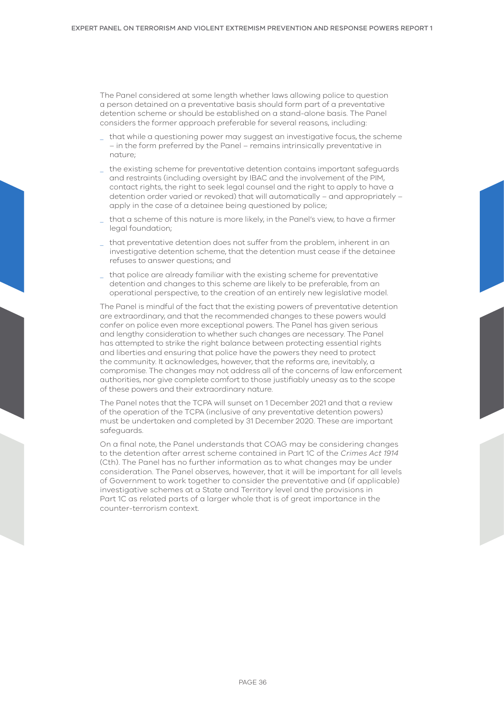The Panel considered at some length whether laws allowing police to question a person detained on a preventative basis should form part of a preventative detention scheme or should be established on a stand-alone basis. The Panel considers the former approach preferable for several reasons, including:

- \_ that while a questioning power may suggest an investigative focus, the scheme – in the form preferred by the Panel – remains intrinsically preventative in nature;
- \_ the existing scheme for preventative detention contains important safeguards and restraints (including oversight by IBAC and the involvement of the PIM, contact rights, the right to seek legal counsel and the right to apply to have a detention order varied or revoked) that will automatically – and appropriately – apply in the case of a detainee being questioned by police;
- \_ that a scheme of this nature is more likely, in the Panel's view, to have a firmer legal foundation;
- \_ that preventative detention does not suffer from the problem, inherent in an investigative detention scheme, that the detention must cease if the detainee refuses to answer questions; and
- that police are already familiar with the existing scheme for preventative detention and changes to this scheme are likely to be preferable, from an operational perspective, to the creation of an entirely new legislative model.

The Panel is mindful of the fact that the existing powers of preventative detention are extraordinary, and that the recommended changes to these powers would confer on police even more exceptional powers. The Panel has given serious and lengthy consideration to whether such changes are necessary. The Panel has attempted to strike the right balance between protecting essential rights and liberties and ensuring that police have the powers they need to protect the community. It acknowledges, however, that the reforms are, inevitably, a compromise. The changes may not address all of the concerns of law enforcement authorities, nor give complete comfort to those justifiably uneasy as to the scope of these powers and their extraordinary nature.

The Panel notes that the TCPA will sunset on 1 December 2021 and that a review of the operation of the TCPA (inclusive of any preventative detention powers) must be undertaken and completed by 31 December 2020. These are important safeguards.

On a final note, the Panel understands that COAG may be considering changes to the detention after arrest scheme contained in Part 1C of the *Crimes Act 1914* (Cth). The Panel has no further information as to what changes may be under consideration. The Panel observes, however, that it will be important for all levels of Government to work together to consider the preventative and (if applicable) investigative schemes at a State and Territory level and the provisions in Part 1C as related parts of a larger whole that is of great importance in the counter-terrorism context.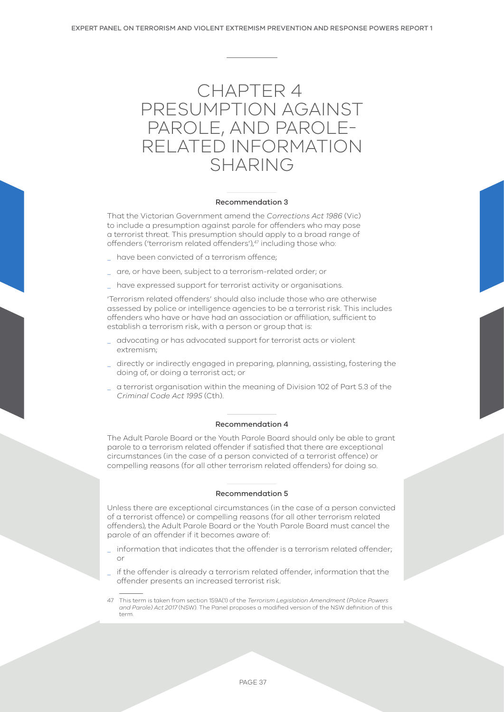

#### Recommendation 3

That the Victorian Government amend the *Corrections Act 1986* (Vic) to include a presumption against parole for offenders who may pose a terrorist threat. This presumption should apply to a broad range of offenders ('terrorism related offenders'),<sup>47</sup> including those who:

- \_ have been convicted of a terrorism offence;
- \_ are, or have been, subject to a terrorism-related order; or
- have expressed support for terrorist activity or organisations.

'Terrorism related offenders' should also include those who are otherwise assessed by police or intelligence agencies to be a terrorist risk. This includes offenders who have or have had an association or affiliation, sufficient to establish a terrorism risk, with a person or group that is:

- advocating or has advocated support for terrorist acts or violent extremism;
- \_ directly or indirectly engaged in preparing, planning, assisting, fostering the doing of, or doing a terrorist act; or
- \_ a terrorist organisation within the meaning of Division 102 of Part 5.3 of the *Criminal Code Act 1995* (Cth).

#### Recommendation 4

The Adult Parole Board or the Youth Parole Board should only be able to grant parole to a terrorism related offender if satisfied that there are exceptional circumstances (in the case of a person convicted of a terrorist offence) or compelling reasons (for all other terrorism related offenders) for doing so.

#### Recommendation 5

Unless there are exceptional circumstances (in the case of a person convicted of a terrorist offence) or compelling reasons (for all other terrorism related offenders), the Adult Parole Board or the Youth Parole Board must cancel the parole of an offender if it becomes aware of:

- information that indicates that the offender is a terrorism related offender; or
- \_ if the offender is already a terrorism related offender, information that the offender presents an increased terrorist risk.
- 47 This term is taken from section 159A(1) of the *Terrorism Legislation Amendment (Police Powers and Parole) Act 2017* (NSW). The Panel proposes a modified version of the NSW definition of this term.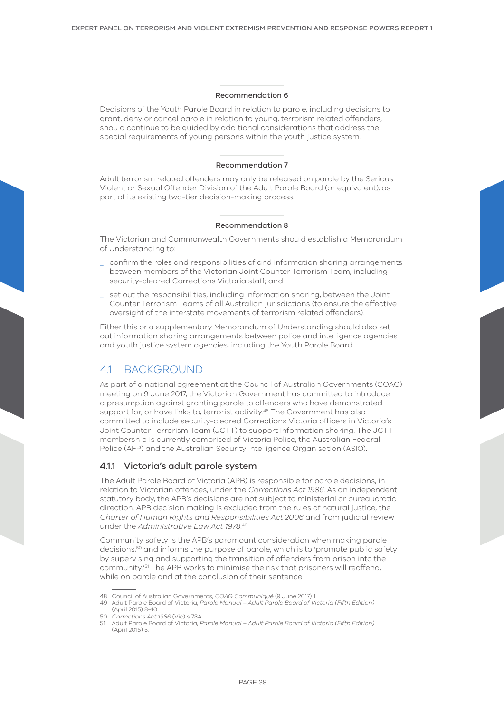#### Recommendation 6

Decisions of the Youth Parole Board in relation to parole, including decisions to grant, deny or cancel parole in relation to young, terrorism related offenders, should continue to be guided by additional considerations that address the special requirements of young persons within the youth justice system.

#### Recommendation 7

Adult terrorism related offenders may only be released on parole by the Serious Violent or Sexual Offender Division of the Adult Parole Board (or equivalent), as part of its existing two-tier decision-making process.

#### Recommendation 8

The Victorian and Commonwealth Governments should establish a Memorandum of Understanding to:

- \_ confirm the roles and responsibilities of and information sharing arrangements between members of the Victorian Joint Counter Terrorism Team, including security-cleared Corrections Victoria staff; and
- \_ set out the responsibilities, including information sharing, between the Joint Counter Terrorism Teams of all Australian jurisdictions (to ensure the effective oversight of the interstate movements of terrorism related offenders).

Either this or a supplementary Memorandum of Understanding should also set out information sharing arrangements between police and intelligence agencies and youth justice system agencies, including the Youth Parole Board.

# 4.1 BACKGROUND

As part of a national agreement at the Council of Australian Governments (COAG) meeting on 9 June 2017, the Victorian Government has committed to introduce a presumption against granting parole to offenders who have demonstrated support for, or have links to, terrorist activity.<sup>48</sup> The Government has also committed to include security-cleared Corrections Victoria officers in Victoria's Joint Counter Terrorism Team (JCTT) to support information sharing. The JCTT membership is currently comprised of Victoria Police, the Australian Federal Police (AFP) and the Australian Security Intelligence Organisation (ASIO).

## 4.1.1 Victoria's adult parole system

The Adult Parole Board of Victoria (APB) is responsible for parole decisions, in relation to Victorian offences, under the *Corrections Act 1986*. As an independent statutory body, the APB's decisions are not subject to ministerial or bureaucratic direction. APB decision making is excluded from the rules of natural justice, the *Charter of Human Rights and Responsibilities Act 2006* and from judicial review under the *Administrative Law Act 1978*. 49

Community safety is the APB's paramount consideration when making parole decisions,<sup>50</sup> and informs the purpose of parole, which is to 'promote public safety by supervising and supporting the transition of offenders from prison into the community.'51 The APB works to minimise the risk that prisoners will reoffend, while on parole and at the conclusion of their sentence.

<sup>48</sup> Council of Australian Governments, *COAG Communiqué* (9 June 2017) 1.

<sup>49</sup> Adult Parole Board of Victoria, *Parole Manual – Adult Parole Board of Victoria (Fifth Edition)* (April 2015) 8–10.

<sup>50</sup> *Corrections Act 1986* (Vic) s 73A.

<sup>51</sup> Adult Parole Board of Victoria, *Parole Manual – Adult Parole Board of Victoria (Fifth Edition)* (April 2015) 5.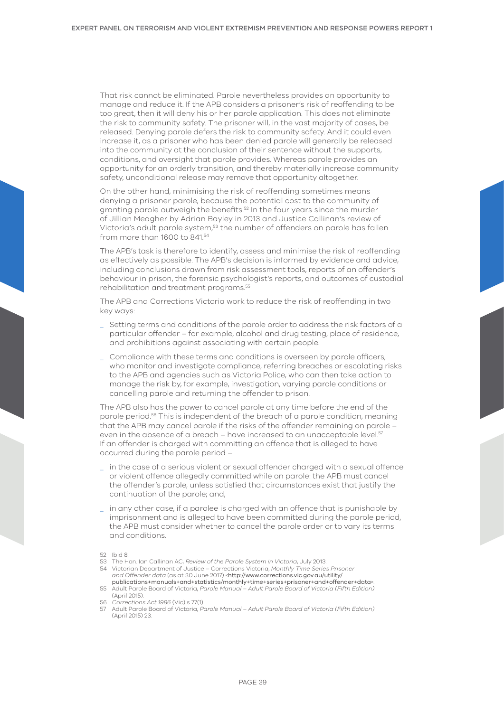That risk cannot be eliminated. Parole nevertheless provides an opportunity to manage and reduce it. If the APB considers a prisoner's risk of reoffending to be too great, then it will deny his or her parole application. This does not eliminate the risk to community safety. The prisoner will, in the vast majority of cases, be released. Denying parole defers the risk to community safety. And it could even increase it, as a prisoner who has been denied parole will generally be released into the community at the conclusion of their sentence without the supports, conditions, and oversight that parole provides. Whereas parole provides an opportunity for an orderly transition, and thereby materially increase community safety, unconditional release may remove that opportunity altogether.

On the other hand, minimising the risk of reoffending sometimes means denying a prisoner parole, because the potential cost to the community of granting parole outweigh the benefits.<sup>52</sup> In the four years since the murder of Jillian Meagher by Adrian Bayley in 2013 and Justice Callinan's review of Victoria's adult parole system,53 the number of offenders on parole has fallen from more than 1600 to 841.54

The APB's task is therefore to identify, assess and minimise the risk of reoffending as effectively as possible. The APB's decision is informed by evidence and advice, including conclusions drawn from risk assessment tools, reports of an offender's behaviour in prison, the forensic psychologist's reports, and outcomes of custodial rehabilitation and treatment programs.55

The APB and Corrections Victoria work to reduce the risk of reoffending in two key ways:

- \_ Setting terms and conditions of the parole order to address the risk factors of a particular offender – for example, alcohol and drug testing, place of residence, and prohibitions against associating with certain people.
- \_ Compliance with these terms and conditions is overseen by parole officers, who monitor and investigate compliance, referring breaches or escalating risks to the APB and agencies such as Victoria Police, who can then take action to manage the risk by, for example, investigation, varying parole conditions or cancelling parole and returning the offender to prison.

The APB also has the power to cancel parole at any time before the end of the parole period.56 This is independent of the breach of a parole condition, meaning that the APB may cancel parole if the risks of the offender remaining on parole – even in the absence of a breach – have increased to an unacceptable level.<sup>57</sup> If an offender is charged with committing an offence that is alleged to have occurred during the parole period –

- \_ in the case of a serious violent or sexual offender charged with a sexual offence or violent offence allegedly committed while on parole: the APB must cancel the offender's parole, unless satisfied that circumstances exist that justify the continuation of the parole; and,
- \_ in any other case, if a parolee is charged with an offence that is punishable by imprisonment and is alleged to have been committed during the parole period, the APB must consider whether to cancel the parole order or to vary its terms and conditions.

54 Victorian Department of Justice – Corrections Victoria, *Monthly Time Series Prisoner and Offender data* (as at 30 June 2017) <[http://www.corrections.vic.gov.au/utility/](http://www.corrections.vic.gov.au/utility/publications+manuals+and+statistics/monthly+time+series+prisoner+and+offender+data) [publications+manuals+and+statistics/monthly+time+series+prisoner+and+offender+data](http://www.corrections.vic.gov.au/utility/publications+manuals+and+statistics/monthly+time+series+prisoner+and+offender+data)>.

55 Adult Parole Board of Victoria, *Parole Manual – Adult Parole Board of Victoria (Fifth Edition)* (April 2015).

<sup>52</sup> Ibid 8.

<sup>53</sup> The Hon. Ian Callinan AC, *Review of the Parole System in Victoria*, July 2013.

<sup>56</sup> *Corrections Act 1986* (Vic) s 77(1).

<sup>57</sup> Adult Parole Board of Victoria, *Parole Manual – Adult Parole Board of Victoria (Fifth Edition)* (April 2015) 23.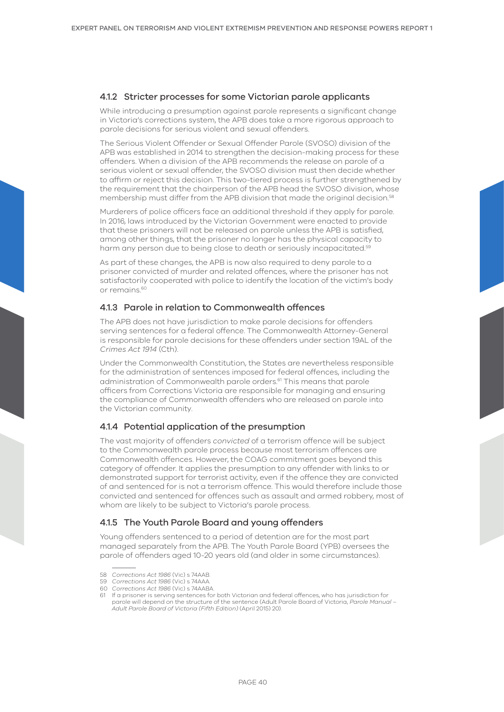# 4.1.2 Stricter processes for some Victorian parole applicants

While introducing a presumption against parole represents a significant change in Victoria's corrections system, the APB does take a more rigorous approach to parole decisions for serious violent and sexual offenders.

The Serious Violent Offender or Sexual Offender Parole (SVOSO) division of the APB was established in 2014 to strengthen the decision-making process for these offenders. When a division of the APB recommends the release on parole of a serious violent or sexual offender, the SVOSO division must then decide whether to affirm or reject this decision. This two-tiered process is further strengthened by the requirement that the chairperson of the APB head the SVOSO division, whose membership must differ from the APB division that made the original decision.58

Murderers of police officers face an additional threshold if they apply for parole. In 2016, laws introduced by the Victorian Government were enacted to provide that these prisoners will not be released on parole unless the APB is satisfied, among other things, that the prisoner no longer has the physical capacity to harm any person due to being close to death or seriously incapacitated.<sup>59</sup>

As part of these changes, the APB is now also required to deny parole to a prisoner convicted of murder and related offences, where the prisoner has not satisfactorily cooperated with police to identify the location of the victim's body or remains.<sup>60</sup>

# 4.1.3 Parole in relation to Commonwealth offences

The APB does not have jurisdiction to make parole decisions for offenders serving sentences for a federal offence. The Commonwealth Attorney-General is responsible for parole decisions for these offenders under section 19AL of the *Crimes Act 1914* (Cth).

Under the Commonwealth Constitution, the States are nevertheless responsible for the administration of sentences imposed for federal offences, including the administration of Commonwealth parole orders.<sup>61</sup> This means that parole officers from Corrections Victoria are responsible for managing and ensuring the compliance of Commonwealth offenders who are released on parole into the Victorian community.

# 4.1.4 Potential application of the presumption

The vast majority of offenders *convicted* of a terrorism offence will be subject to the Commonwealth parole process because most terrorism offences are Commonwealth offences. However, the COAG commitment goes beyond this category of offender. It applies the presumption to any offender with links to or demonstrated support for terrorist activity, even if the offence they are convicted of and sentenced for is not a terrorism offence. This would therefore include those convicted and sentenced for offences such as assault and armed robbery, most of whom are likely to be subject to Victoria's parole process.

# 4.1.5 The Youth Parole Board and young offenders

Young offenders sentenced to a period of detention are for the most part managed separately from the APB. The Youth Parole Board (YPB) oversees the parole of offenders aged 10-20 years old (and older in some circumstances).

<sup>58</sup> *Corrections Act 1986* (Vic) s 74AAB.

<sup>59</sup> *Corrections Act 1986* (Vic) s 74AAA.

<sup>60</sup> *Corrections Act 1986* (Vic) s 74AABA.

<sup>61</sup> If a prisoner is serving sentences for both Victorian and federal offences, who has jurisdiction for parole will depend on the structure of the sentence (Adult Parole Board of Victoria, *Parole Manual – Adult Parole Board of Victoria (Fifth Edition)* (April 2015) 20).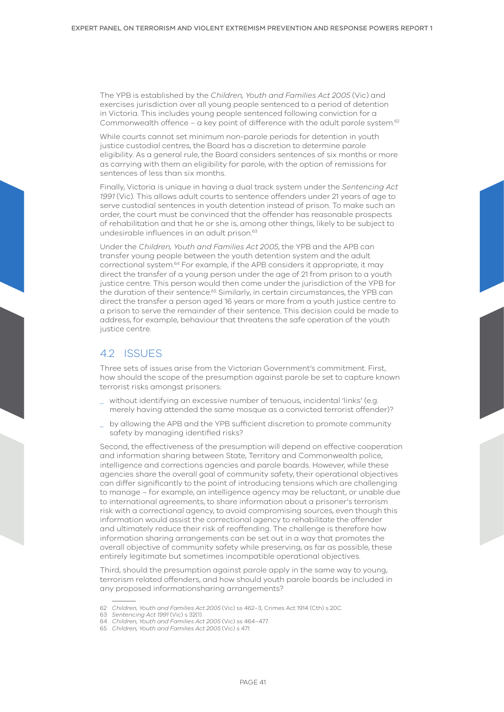The YPB is established by the *Children, Youth and Families Act 2005* (Vic) and exercises jurisdiction over all young people sentenced to a period of detention in Victoria. This includes young people sentenced following conviction for a Commonwealth offence – a key point of difference with the adult parole system.<sup>62</sup>

While courts cannot set minimum non-parole periods for detention in youth justice custodial centres, the Board has a discretion to determine parole eligibility. As a general rule, the Board considers sentences of six months or more as carrying with them an eligibility for parole, with the option of remissions for sentences of less than six months.

Finally, Victoria is unique in having a dual track system under the *Sentencing Act 1991* (Vic)*.* This allows adult courts to sentence offenders under 21 years of age to serve custodial sentences in youth detention instead of prison. To make such an order, the court must be convinced that the offender has reasonable prospects of rehabilitation and that he or she is, among other things, likely to be subject to undesirable influences in an adult prison.<sup>63</sup>

Under the *Children, Youth and Families Act 2005*, the YPB and the APB can transfer young people between the youth detention system and the adult correctional system.64 For example, if the APB considers it appropriate, it may direct the transfer of a young person under the age of 21 from prison to a youth justice centre. This person would then come under the jurisdiction of the YPB for the duration of their sentence.<sup>65</sup> Similarly, in certain circumstances, the YPB can direct the transfer a person aged 16 years or more from a youth justice centre to a prison to serve the remainder of their sentence. This decision could be made to address, for example, behaviour that threatens the safe operation of the youth justice centre.

# 42 ISSUES

Three sets of issues arise from the Victorian Government's commitment. First, how should the scope of the presumption against parole be set to capture known terrorist risks amongst prisoners:

- \_ without identifying an excessive number of tenuous, incidental 'links' (e.g. merely having attended the same mosque as a convicted terrorist offender)?
- \_ by allowing the APB and the YPB sufficient discretion to promote community safety by managing identified risks?

Second, the effectiveness of the presumption will depend on effective cooperation and information sharing between State, Territory and Commonwealth police, intelligence and corrections agencies and parole boards. However, while these agencies share the overall goal of community safety, their operational objectives can differ significantly to the point of introducing tensions which are challenging to manage – for example, an intelligence agency may be reluctant, or unable due to international agreements, to share information about a prisoner's terrorism risk with a correctional agency, to avoid compromising sources, even though this information would assist the correctional agency to rehabilitate the offender and ultimately reduce their risk of reoffending. The challenge is therefore how information sharing arrangements can be set out in a way that promotes the overall objective of community safety while preserving, as far as possible, these entirely legitimate but sometimes incompatible operational objectives.

Third, should the presumption against parole apply in the same way to young, terrorism related offenders, and how should youth parole boards be included in any proposed informationsharing arrangements?

<sup>62</sup> *Children, Youth and Families Act 2005* (Vic) ss 462–3; Crimes Act 1914 (Cth) s 20C.

<sup>63</sup> *Sentencing Act 1991* (Vic) s 32(1).

<sup>64</sup> *Children, Youth and Families Act 2005* (Vic) ss 464–477.

<sup>65</sup> *Children, Youth and Families Act 2005* (Vic) s 471.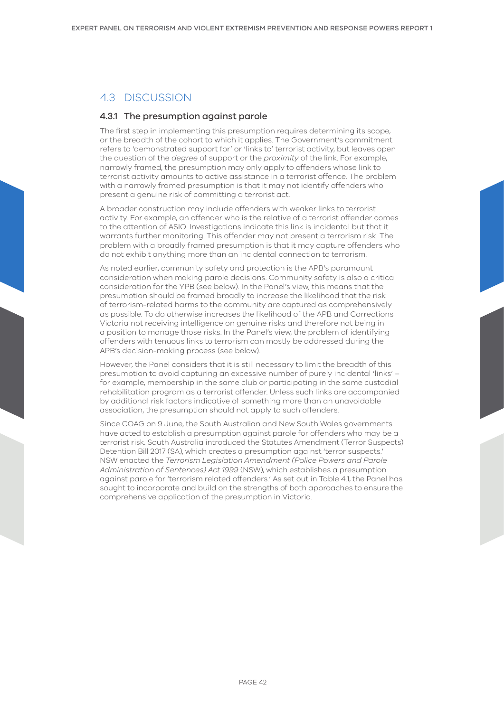# 4.3 DISCUSSION

# 4.3.1 The presumption against parole

The first step in implementing this presumption requires determining its scope, or the breadth of the cohort to which it applies. The Government's commitment refers to 'demonstrated support for' or 'links to' terrorist activity, but leaves open the question of the *degree* of support or the *proximity* of the link. For example, narrowly framed, the presumption may only apply to offenders whose link to terrorist activity amounts to active assistance in a terrorist offence. The problem with a narrowly framed presumption is that it may not identify offenders who present a genuine risk of committing a terrorist act.

A broader construction may include offenders with weaker links to terrorist activity. For example, an offender who is the relative of a terrorist offender comes to the attention of ASIO. Investigations indicate this link is incidental but that it warrants further monitoring. This offender may not present a terrorism risk. The problem with a broadly framed presumption is that it may capture offenders who do not exhibit anything more than an incidental connection to terrorism.

As noted earlier, community safety and protection is the APB's paramount consideration when making parole decisions. Community safety is also a critical consideration for the YPB (see below). In the Panel's view, this means that the presumption should be framed broadly to increase the likelihood that the risk of terrorism-related harms to the community are captured as comprehensively as possible. To do otherwise increases the likelihood of the APB and Corrections Victoria not receiving intelligence on genuine risks and therefore not being in a position to manage those risks. In the Panel's view, the problem of identifying offenders with tenuous links to terrorism can mostly be addressed during the APB's decision-making process (see below).

However, the Panel considers that it is still necessary to limit the breadth of this presumption to avoid capturing an excessive number of purely incidental 'links' – for example, membership in the same club or participating in the same custodial rehabilitation program as a terrorist offender. Unless such links are accompanied by additional risk factors indicative of something more than an unavoidable association, the presumption should not apply to such offenders.

Since COAG on 9 June, the South Australian and New South Wales governments have acted to establish a presumption against parole for offenders who may be a terrorist risk. South Australia introduced the Statutes Amendment (Terror Suspects) Detention Bill 2017 (SA), which creates a presumption against 'terror suspects.' NSW enacted the *Terrorism Legislation Amendment (Police Powers and Parole Administration of Sentences) Act 1999* (NSW), which establishes a presumption against parole for 'terrorism related offenders.' As set out in Table 4.1, the Panel has sought to incorporate and build on the strengths of both approaches to ensure the comprehensive application of the presumption in Victoria.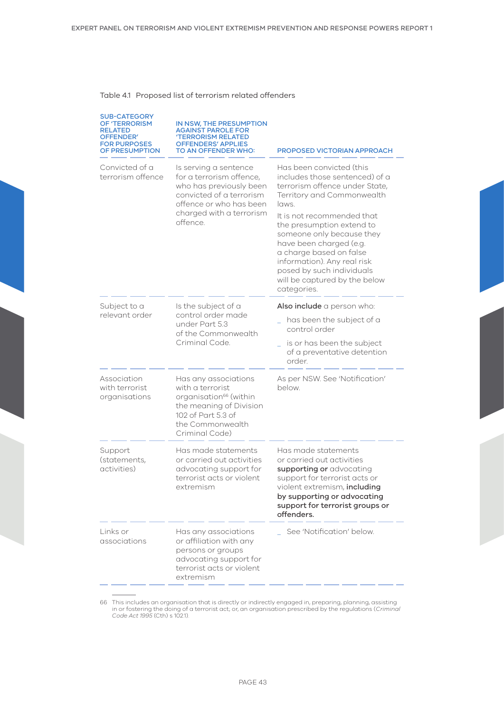# Table 4.1 Proposed list of terrorism related offenders

| <b>SUB-CATEGORY</b><br>OF 'TERRORISM<br>RELATED<br><b>OFFENDER'</b><br><b>FOR PURPOSES</b><br>OF PRESUMPTION | IN NSW, THE PRESUMPTION<br>AGAINST PAROLE FOR<br>'TERRORISM RELATED<br><b>OFFENDERS' APPLIES</b><br>TO AN OFFENDER WHO:                                                     | PROPOSED VICTORIAN APPROACH                                                                                                                                                                                                                                                                                                                                                                   |
|--------------------------------------------------------------------------------------------------------------|-----------------------------------------------------------------------------------------------------------------------------------------------------------------------------|-----------------------------------------------------------------------------------------------------------------------------------------------------------------------------------------------------------------------------------------------------------------------------------------------------------------------------------------------------------------------------------------------|
| Convicted of a<br>terrorism offence                                                                          | Is serving a sentence<br>for a terrorism offence,<br>who has previously been<br>convicted of a terrorism<br>offence or who has been<br>charged with a terrorism<br>offence. | Has been convicted (this<br>includes those sentenced) of a<br>terrorism offence under State,<br>Territory and Commonwealth<br>laws.<br>It is not recommended that<br>the presumption extend to<br>someone only because they<br>have been charged (e.g.<br>a charge based on false<br>information). Any real risk<br>posed by such individuals<br>will be captured by the below<br>categories. |
| Subject to a                                                                                                 | Is the subject of a<br>control order made<br>under Part 5.3<br>of the Commonwealth<br>Criminal Code.                                                                        | Also include a person who:                                                                                                                                                                                                                                                                                                                                                                    |
| relevant order                                                                                               |                                                                                                                                                                             | has been the subject of a<br>control order                                                                                                                                                                                                                                                                                                                                                    |
|                                                                                                              |                                                                                                                                                                             | is or has been the subject<br>of a preventative detention<br>order.                                                                                                                                                                                                                                                                                                                           |
| Association<br>with terrorist<br>organisations                                                               | Has any associations<br>with a terrorist<br>organisation <sup>66</sup> (within<br>the meaning of Division<br>102 of Part 5.3 of<br>the Commonwealth<br>Criminal Code)       | As per NSW. See 'Notification'<br>below.                                                                                                                                                                                                                                                                                                                                                      |
| Support<br>(statements,<br>activities)                                                                       | Has made statements<br>or carried out activities<br>advocating support for<br>terrorist acts or violent<br>extremism                                                        | Has made statements<br>or carried out activities<br>supporting or advocating<br>support for terrorist acts or<br>violent extremism, including<br>by supporting or advocating<br>support for terrorist groups or<br>offenders.                                                                                                                                                                 |
| Links or<br>associations                                                                                     | Has any associations<br>or affiliation with any<br>persons or groups<br>advocating support for<br>terrorist acts or violent<br>extremism                                    | See 'Notification' below.                                                                                                                                                                                                                                                                                                                                                                     |

66 This includes an organisation that is directly or indirectly engaged in, preparing, planning, assisting in or fostering the doing of a terrorist act; or, an organisation prescribed by the regulations (*Criminal Code Act 1995* (Cth) s 102.1).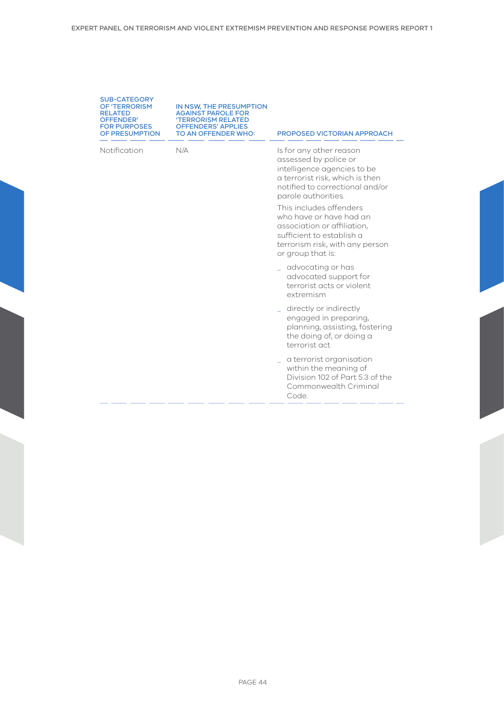| <b>SUB-CATEGORY</b>  |  |
|----------------------|--|
| <b>OF 'TERRORISM</b> |  |
| <b>RELATED</b>       |  |
| OFFENDER'            |  |
| <b>FOR PURPOSES</b>  |  |
| OF PRESUMPTION       |  |

IN NSW, THE PRESUMPTION AGAINST PAROLE FOR 'TERRORISM RELATED OFFENDERS' APPLIES

TO AN OFFENDER WHO: PROPOSED VICTORIAN APPROACH

Notification N/A Is for any other reason assessed by police or intelligence agencies to be a terrorist risk, which is then notified to correctional and/or parole authorities.

> This includes offenders who have or have had an association or affiliation, sufficient to establish a terrorism risk, with any person or group that is:

- \_ advocating or has advocated support for terrorist acts or violent extremism
- \_ directly or indirectly engaged in preparing, planning, assisting, fostering the doing of, or doing a terrorist act
- a terrorist organisation within the meaning of Division 102 of Part 5.3 of the Commonwealth Criminal Code.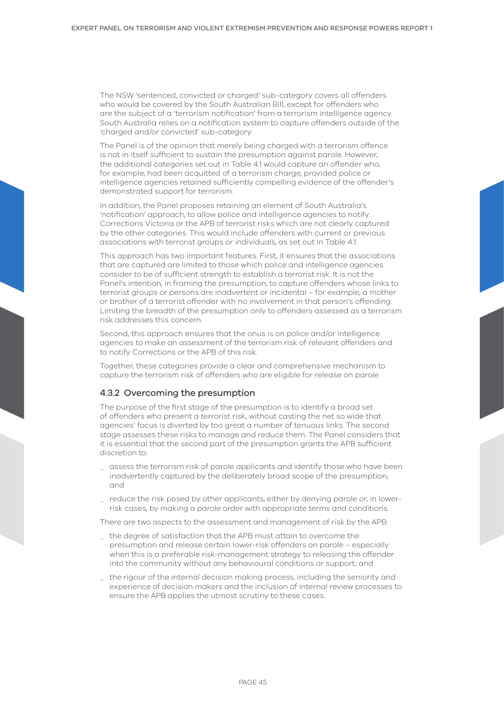The NSW 'sentenced, convicted or charged' sub-category covers all offenders who would be covered by the South Australian Bill, except for offenders who are the subject of a 'terrorism notification' from a terrorism intelligence agency. South Australia relies on a notification system to capture offenders outside of the 'charged and/or convicted' sub-category.

The Panel is of the opinion that merely being charged with a terrorism offence is not in itself sufficient to sustain the presumption against parole. However, the additional categories set out in Table 4.1 would capture an offender who, for example, had been acquitted of a terrorism charge, provided police or intelligence agencies retained sufficiently compelling evidence of the offender's demonstrated support for terrorism.

In addition, the Panel proposes retaining an element of South Australia's 'notification' approach, to allow police and intelligence agencies to notify Corrections Victoria or the APB of terrorist risks which are not clearly captured by the other categories. This would include offenders with current or previous associations with terrorist groups or individuals, as set out in Table 4.1.

This approach has two important features. First, it ensures that the associations that are captured are limited to those which police and intelligence agencies consider to be of sufficient strength to establish a terrorist risk. It is not the Panel's intention, in framing the presumption, to capture offenders whose links to terrorist groups or persons are inadvertent or incidental – for example, a mother or brother of a terrorist offender with no involvement in that person's offending. Limiting the breadth of the presumption only to offenders assessed as a terrorism risk addresses this concern.

Second, this approach ensures that the onus is on police and/or intelligence agencies to make an assessment of the terrorism risk of relevant offenders and to notify Corrections or the APB of this risk.

Together, these categories provide a clear and comprehensive mechanism to capture the terrorism risk of offenders who are eligible for release on parole.

# 4.3.2 Overcoming the presumption

The purpose of the first stage of the presumption is to identify a broad set of offenders who present a terrorist risk, without casting the net so wide that agencies' focus is diverted by too great a number of tenuous links. The second stage assesses these risks to manage and reduce them. The Panel considers that it is essential that the second part of the presumption grants the APB sufficient discretion to:

- \_ assess the terrorism risk of parole applicants and identify those who have been inadvertently captured by the deliberately broad scope of the presumption; and
- reduce the risk posed by other applicants, either by denyina parole or, in lowerrisk cases, by making a parole order with appropriate terms and conditions.

There are two aspects to the assessment and management of risk by the APB:

- \_ the degree of satisfaction that the APB must attain to overcome the presumption and release certain lower-risk offenders on parole – especially when this is a preferable risk-management strategy to releasing the offender into the community without any behavioural conditions or support; and
- \_ the rigour of the internal decision making process, including the seniority and experience of decision makers and the inclusion of internal review processes to ensure the APB applies the utmost scrutiny to these cases.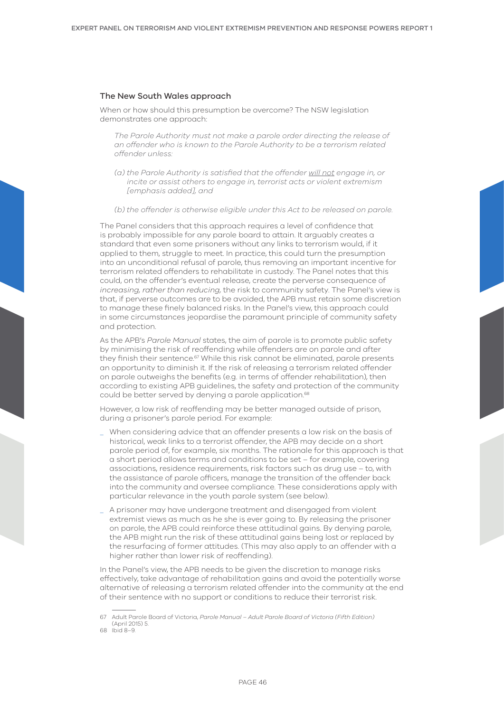#### The New South Wales approach

When or how should this presumption be overcome? The NSW legislation demonstrates one approach:

*The Parole Authority must not make a parole order directing the release of an offender who is known to the Parole Authority to be a terrorism related offender unless:*

- *(a) the Parole Authority is satisfied that the offender will not engage in, or incite or assist others to engage in, terrorist acts or violent extremism [emphasis added], and*
- *(b) the offender is otherwise eligible under this Act to be released on parole.*

The Panel considers that this approach requires a level of confidence that is probably impossible for any parole board to attain. It arguably creates a standard that even some prisoners without any links to terrorism would, if it applied to them, struggle to meet. In practice, this could turn the presumption into an unconditional refusal of parole, thus removing an important incentive for terrorism related offenders to rehabilitate in custody. The Panel notes that this could, on the offender's eventual release, create the perverse consequence of *increasing, rather than reducing,* the risk to community safety. The Panel's view is that, if perverse outcomes are to be avoided, the APB must retain some discretion to manage these finely balanced risks. In the Panel's view, this approach could in some circumstances jeopardise the paramount principle of community safety and protection.

As the APB's *Parole Manual* states, the aim of parole is to promote public safety by minimising the risk of reoffending while offenders are on parole and after they finish their sentence.<sup>67</sup> While this risk cannot be eliminated, parole presents an opportunity to diminish it. If the risk of releasing a terrorism related offender on parole outweighs the benefits (e.g. in terms of offender rehabilitation), then according to existing APB guidelines, the safety and protection of the community could be better served by denying a parole application.<sup>68</sup>

However, a low risk of reoffending may be better managed outside of prison, during a prisoner's parole period. For example:

- When considering advice that an offender presents a low risk on the basis of historical, weak links to a terrorist offender, the APB may decide on a short parole period of, for example, six months. The rationale for this approach is that a short period allows terms and conditions to be set – for example, covering associations, residence requirements, risk factors such as drug use – to, with the assistance of parole officers, manage the transition of the offender back into the community and oversee compliance. These considerations apply with particular relevance in the youth parole system (see below).
- \_ A prisoner may have undergone treatment and disengaged from violent extremist views as much as he she is ever going to. By releasing the prisoner on parole, the APB could reinforce these attitudinal gains. By denying parole, the APB might run the risk of these attitudinal gains being lost or replaced by the resurfacing of former attitudes. (This may also apply to an offender with a higher rather than lower risk of reoffending).

In the Panel's view, the APB needs to be given the discretion to manage risks effectively, take advantage of rehabilitation gains and avoid the potentially worse alternative of releasing a terrorism related offender into the community at the end of their sentence with no support or conditions to reduce their terrorist risk.

<sup>67</sup> Adult Parole Board of Victoria, *Parole Manual – Adult Parole Board of Victoria (Fifth Edition)* (April 2015) 5.

<sup>68</sup> Ibid 8–9.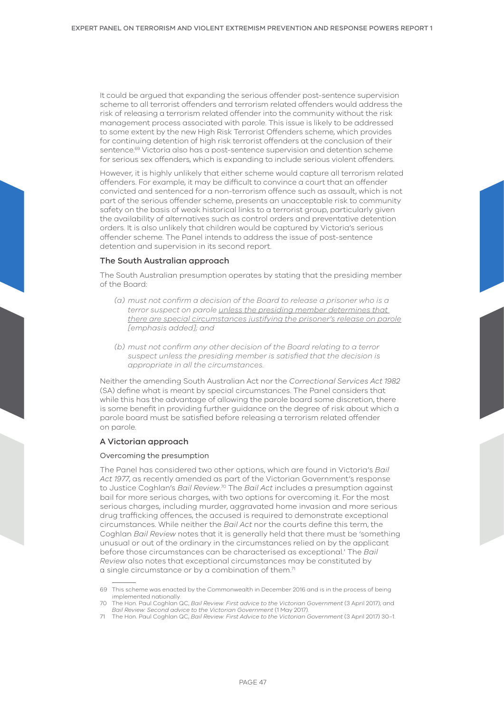It could be argued that expanding the serious offender post-sentence supervision scheme to all terrorist offenders and terrorism related offenders would address the risk of releasing a terrorism related offender into the community without the risk management process associated with parole. This issue is likely to be addressed to some extent by the new High Risk Terrorist Offenders scheme, which provides for continuing detention of high risk terrorist offenders at the conclusion of their sentence.<sup>69</sup> Victoria also has a post-sentence supervision and detention scheme for serious sex offenders, which is expanding to include serious violent offenders.

However, it is highly unlikely that either scheme would capture all terrorism related offenders. For example, it may be difficult to convince a court that an offender convicted and sentenced for a non-terrorism offence such as assault, which is not part of the serious offender scheme, presents an unacceptable risk to community safety on the basis of weak historical links to a terrorist group, particularly given the availability of alternatives such as control orders and preventative detention orders. It is also unlikely that children would be captured by Victoria's serious offender scheme. The Panel intends to address the issue of post-sentence detention and supervision in its second report.

#### The South Australian approach

The South Australian presumption operates by stating that the presiding member of the Board:

- *(a) must not confirm a decision of the Board to release a prisoner who is a terror suspect on parole unless the presiding member determines that there are special circumstances justifying the prisoner's release on parole [emphasis added]; and*
- *(b) must not confirm any other decision of the Board relating to a terror suspect unless the presiding member is satisfied that the decision is appropriate in all the circumstances.*

Neither the amending South Australian Act nor the *Correctional Services Act 1982*  (SA) define what is meant by special circumstances. The Panel considers that while this has the advantage of allowing the parole board some discretion, there is some benefit in providing further guidance on the degree of risk about which a parole board must be satisfied before releasing a terrorism related offender on parole.

#### A Victorian approach

#### Overcoming the presumption

The Panel has considered two other options, which are found in Victoria's *Bail Act 1977*, as recently amended as part of the Victorian Government's response to Justice Coghlan's *Bail Review*. 70 The *Bail Act* includes a presumption against bail for more serious charges, with two options for overcoming it. For the most serious charges, including murder, aggravated home invasion and more serious drug trafficking offences, the accused is required to demonstrate exceptional circumstances. While neither the *Bail Act* nor the courts define this term, the Coghlan *Bail Review* notes that it is generally held that there must be 'something unusual or out of the ordinary in the circumstances relied on by the applicant before those circumstances can be characterised as exceptional.' The *Bail Review* also notes that exceptional circumstances may be constituted by a single circumstance or by a combination of them.<sup>71</sup>

<sup>69</sup> This scheme was enacted by the Commonwealth in December 2016 and is in the process of being implemented nationally.

<sup>70</sup> The Hon. Paul Coghlan QC, *Bail Review: First advice to the Victorian Government* (3 April 2017); and *Bail Review: Second advice to the Victorian Government* (1 May 2017).

<sup>71</sup> The Hon. Paul Coghlan QC, *Bail Review: First Advice to the Victorian Government* (3 April 2017) 30–1.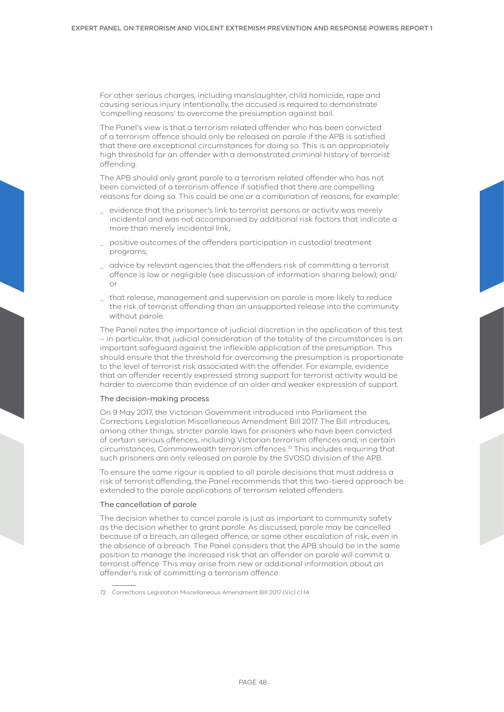For other serious charges, including manslaughter, child homicide, rape and causing serious injury intentionally, the accused is required to demonstrate 'compelling reasons' to overcome the presumption against bail.

The Panel's view is that a terrorism related offender who has been convicted of a terrorism offence should only be released on parole if the APB is satisfied that there are exceptional circumstances for doing so. This is an appropriately high threshold for an offender with a demonstrated criminal history of terrorist offending.

The APB should only grant parole to a terrorism related offender who has not been convicted of a terrorism offence if satisfied that there are compelling reasons for doing so. This could be one or a combination of reasons, for example:

- \_ evidence that the prisoner's link to terrorist persons or activity was merely incidental and was not accompanied by additional risk factors that indicate a more than merely incidental link;
- \_ positive outcomes of the offenders participation in custodial treatment programs;
- \_ advice by relevant agencies that the offenders risk of committing a terrorist offence is low or negligible (see discussion of information sharing below); and/ or
- \_ that release, management and supervision on parole is more likely to reduce the risk of terrorist offending than an unsupported release into the community without parole.

The Panel notes the importance of judicial discretion in the application of this test – in particular, that judicial consideration of the totality of the circumstances is an important safeguard against the inflexible application of the presumption. This should ensure that the threshold for overcoming the presumption is proportionate to the level of terrorist risk associated with the offender. For example, evidence that an offender recently expressed strong support for terrorist activity would be harder to overcome than evidence of an older and weaker expression of support.

#### The decision-making process

On 9 May 2017, the Victorian Government introduced into Parliament the Corrections Legislation Miscellaneous Amendment Bill 2017. The Bill introduces, among other things, stricter parole laws for prisoners who have been convicted of certain serious offences, including Victorian terrorism offences and, in certain circumstances, Commonwealth terrorism offences.72 This includes requiring that such prisoners are only released on parole by the SVOSO division of the APB.

To ensure the same rigour is applied to all parole decisions that must address a risk of terrorist offending, the Panel recommends that this two-tiered approach be extended to the parole applications of terrorism related offenders.

#### The cancellation of parole

The decision whether to cancel parole is just as important to community safety as the decision whether to grant parole. As discussed, parole may be cancelled because of a breach, an alleged offence, or some other escalation of risk, even in the absence of a breach. The Panel considers that the APB should be in the same position to manage the increased risk that an offender on parole will commit a terrorist offence. This may arise from new or additional information about an offender's risk of committing a terrorism offence.

<sup>72</sup> Corrections Legislation Miscellaneous Amendment Bill 2017 (Vic) cl 14.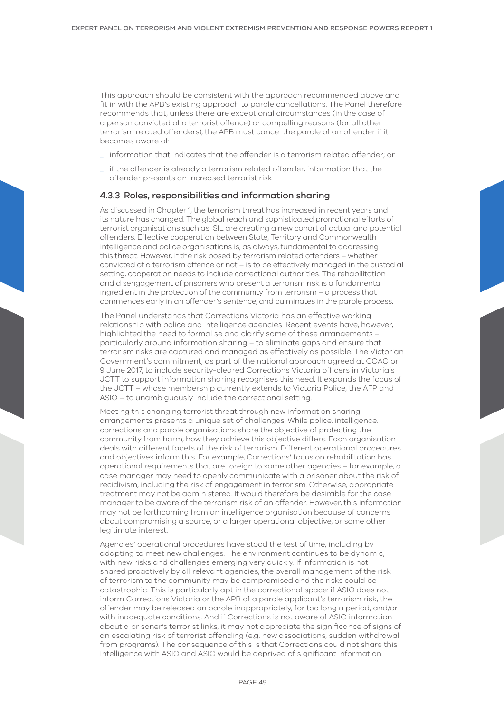This approach should be consistent with the approach recommended above and fit in with the APB's existing approach to parole cancellations. The Panel therefore recommends that, unless there are exceptional circumstances (in the case of a person convicted of a terrorist offence) or compelling reasons (for all other terrorism related offenders), the APB must cancel the parole of an offender if it becomes aware of:

- \_ information that indicates that the offender is a terrorism related offender; or
- if the offender is already a terrorism related offender, information that the offender presents an increased terrorist risk.

## 4.3.3 Roles, responsibilities and information sharing

As discussed in Chapter 1, the terrorism threat has increased in recent years and its nature has changed. The global reach and sophisticated promotional efforts of terrorist organisations such as ISIL are creating a new cohort of actual and potential offenders. Effective cooperation between State, Territory and Commonwealth intelligence and police organisations is, as always, fundamental to addressing this threat. However, if the risk posed by terrorism related offenders – whether convicted of a terrorism offence or not – is to be effectively managed in the custodial setting, cooperation needs to include correctional authorities. The rehabilitation and disengagement of prisoners who present a terrorism risk is a fundamental ingredient in the protection of the community from terrorism – a process that commences early in an offender's sentence, and culminates in the parole process.

The Panel understands that Corrections Victoria has an effective working relationship with police and intelligence agencies. Recent events have, however, highlighted the need to formalise and clarify some of these arrangements – particularly around information sharing – to eliminate gaps and ensure that terrorism risks are captured and managed as effectively as possible. The Victorian Government's commitment, as part of the national approach agreed at COAG on 9 June 2017, to include security-cleared Corrections Victoria officers in Victoria's JCTT to support information sharing recognises this need. It expands the focus of the JCTT – whose membership currently extends to Victoria Police, the AFP and ASIO – to unambiguously include the correctional setting.

Meeting this changing terrorist threat through new information sharing arrangements presents a unique set of challenges. While police, intelligence, corrections and parole organisations share the objective of protecting the community from harm, how they achieve this objective differs. Each organisation deals with different facets of the risk of terrorism. Different operational procedures and objectives inform this. For example, Corrections' focus on rehabilitation has operational requirements that are foreign to some other agencies – for example, a case manager may need to openly communicate with a prisoner about the risk of recidivism, including the risk of engagement in terrorism. Otherwise, appropriate treatment may not be administered. It would therefore be desirable for the case manager to be aware of the terrorism risk of an offender. However, this information may not be forthcoming from an intelligence organisation because of concerns about compromising a source, or a larger operational objective, or some other legitimate interest.

Agencies' operational procedures have stood the test of time, including by adapting to meet new challenges. The environment continues to be dynamic, with new risks and challenges emerging very quickly. If information is not shared proactively by all relevant agencies, the overall management of the risk of terrorism to the community may be compromised and the risks could be catastrophic. This is particularly apt in the correctional space: if ASIO does not inform Corrections Victoria or the APB of a parole applicant's terrorism risk, the offender may be released on parole inappropriately, for too long a period, and/or with inadequate conditions. And if Corrections is not aware of ASIO information about a prisoner's terrorist links, it may not appreciate the significance of signs of an escalating risk of terrorist offending (e.g. new associations, sudden withdrawal from programs). The consequence of this is that Corrections could not share this intelligence with ASIO and ASIO would be deprived of significant information.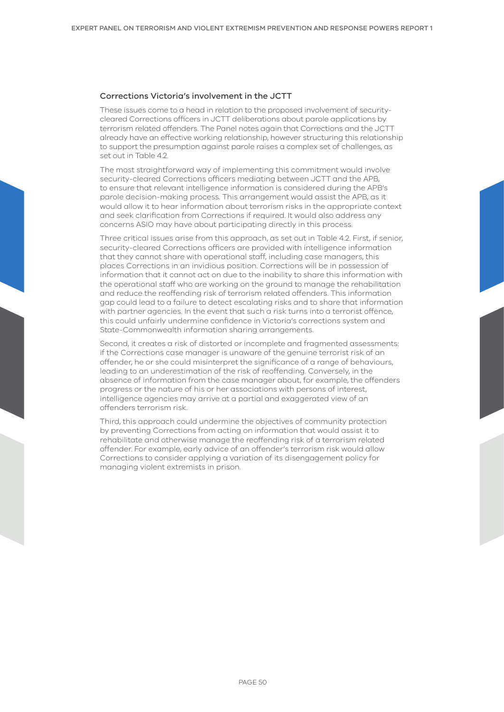#### Corrections Victoria's involvement in the JCTT

These issues come to a head in relation to the proposed involvement of securitycleared Corrections officers in JCTT deliberations about parole applications by terrorism related offenders. The Panel notes again that Corrections and the JCTT already have an effective working relationship, however structuring this relationship to support the presumption against parole raises a complex set of challenges, as set out in Table 4.2.

The most straightforward way of implementing this commitment would involve security-cleared Corrections officers mediating between JCTT and the APB, to ensure that relevant intelligence information is considered during the APB's parole decision-making process. This arrangement would assist the APB, as it would allow it to hear information about terrorism risks in the appropriate context and seek clarification from Corrections if required. It would also address any concerns ASIO may have about participating directly in this process.

Three critical issues arise from this approach, as set out in Table 4.2. First, if senior, security-cleared Corrections officers are provided with intelligence information that they cannot share with operational staff, including case managers, this places Corrections in an invidious position. Corrections will be in possession of information that it cannot act on due to the inability to share this information with the operational staff who are working on the ground to manage the rehabilitation and reduce the reoffending risk of terrorism related offenders. This information gap could lead to a failure to detect escalating risks and to share that information with partner agencies. In the event that such a risk turns into a terrorist offence, this could unfairly undermine confidence in Victoria's corrections system and State-Commonwealth information sharing arrangements.

Second, it creates a risk of distorted or incomplete and fragmented assessments: if the Corrections case manager is unaware of the genuine terrorist risk of an offender, he or she could misinterpret the significance of a range of behaviours, leading to an underestimation of the risk of reoffending. Conversely, in the absence of information from the case manager about, for example, the offenders progress or the nature of his or her associations with persons of interest, intelligence agencies may arrive at a partial and exaggerated view of an offenders terrorism risk.

Third, this approach could undermine the objectives of community protection by preventing Corrections from acting on information that would assist it to rehabilitate and otherwise manage the reoffending risk of a terrorism related offender. For example, early advice of an offender's terrorism risk would allow Corrections to consider applying a variation of its disengagement policy for managing violent extremists in prison.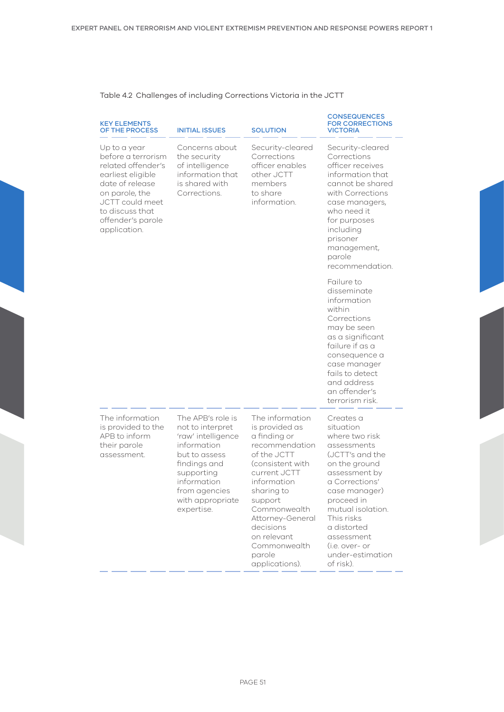# Table 4.2 Challenges of including Corrections Victoria in the JCTT

| <b>KEY ELEMENTS</b><br>OF THE PROCESS                                                                                                                                                                | <b>INITIAL ISSUES</b>                                                                                                                                                                       | <b>SOLUTION</b>                                                                                                                                                                                                                                                            | <b>CONSEQUENCES</b><br><b>FOR CORRECTIONS</b><br><b>VICTORIA</b>                                                                                                                                                                                                                 |
|------------------------------------------------------------------------------------------------------------------------------------------------------------------------------------------------------|---------------------------------------------------------------------------------------------------------------------------------------------------------------------------------------------|----------------------------------------------------------------------------------------------------------------------------------------------------------------------------------------------------------------------------------------------------------------------------|----------------------------------------------------------------------------------------------------------------------------------------------------------------------------------------------------------------------------------------------------------------------------------|
| Up to a year<br>before a terrorism<br>related offender's<br>earliest eligible<br>date of release<br>on parole, the<br><b>JCTT</b> could meet<br>to discuss that<br>offender's parole<br>application. | Concerns about<br>the security<br>of intelligence<br>information that<br>is shared with<br>Corrections.                                                                                     | Security-cleared<br>Corrections<br>officer enables<br>other JCTT<br>members<br>to share<br>information.                                                                                                                                                                    | Security-cleared<br>Corrections<br>officer receives<br>information that<br>cannot be shared<br>with Corrections<br>case managers,<br>who need it<br>for purposes<br>including<br>prisoner<br>management,<br>parole<br>recommendation.                                            |
|                                                                                                                                                                                                      |                                                                                                                                                                                             |                                                                                                                                                                                                                                                                            | Failure to<br>disseminate<br>information<br>within<br>Corrections<br>may be seen<br>as a significant<br>failure if as a<br>consequence a<br>case manager<br>fails to detect<br>and address<br>an offender's<br>terrorism risk.                                                   |
| The information<br>is provided to the<br>APB to inform<br>their parole<br>assessment.                                                                                                                | The APB's role is<br>not to interpret<br>'raw' intelligence<br>information<br>but to assess<br>findings and<br>supporting<br>information<br>from agencies<br>with appropriate<br>expertise. | The information<br>is provided as<br>a finding or<br>recommendation<br>of the JCTT<br>(consistent with<br>current JCTT<br>information<br>sharing to<br>support<br>Commonwealth<br>Attorney-General<br>decisions<br>on relevant<br>Commonwealth<br>parole<br>applications). | Creates a<br>situation<br>where two risk<br>assessments<br>(JCTT's and the<br>on the ground<br>assessment by<br>a Corrections'<br>case manager)<br>proceed in<br>mutual isolation.<br>This risks<br>a distorted<br>assessment<br>(i.e. over- or<br>under-estimation<br>of risk). |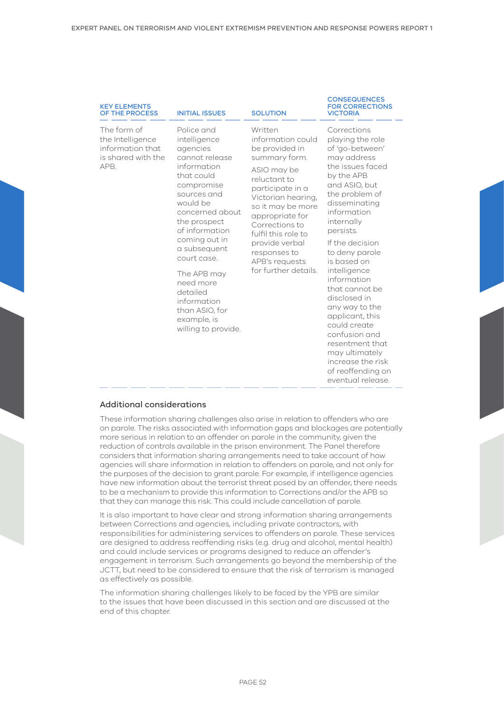| <b>KEY ELEMENTS</b><br>OF THE PROCESS                                             | <b>INITIAL ISSUES</b>                                                                                                                                                                                                                                                                                                                              | <b>SOLUTION</b>                                                                                                                                                                                                                                                                                       | <b>CONSEQUENCES</b><br><b>FOR CORRECTIONS</b><br><b>VICTORIA</b>                                                                                                                                                                                                                                                                                                                                                                                                                                 |
|-----------------------------------------------------------------------------------|----------------------------------------------------------------------------------------------------------------------------------------------------------------------------------------------------------------------------------------------------------------------------------------------------------------------------------------------------|-------------------------------------------------------------------------------------------------------------------------------------------------------------------------------------------------------------------------------------------------------------------------------------------------------|--------------------------------------------------------------------------------------------------------------------------------------------------------------------------------------------------------------------------------------------------------------------------------------------------------------------------------------------------------------------------------------------------------------------------------------------------------------------------------------------------|
| The form of<br>the Intelligence<br>information that<br>is shared with the<br>APB. | Police and<br>intelligence<br>agencies<br>cannot release<br>information<br>that could<br>compromise<br>sources and<br>would be<br>concerned about<br>the prospect<br>of information<br>coming out in<br>a subsequent<br>court case.<br>The APB may<br>need more<br>detailed<br>information<br>than ASIO, for<br>example, is<br>willing to provide. | Written<br>information could<br>be provided in<br>summary form.<br>ASIO may be<br>reluctant to<br>participate in a<br>Victorian hearing,<br>so it may be more<br>appropriate for<br>Corrections to<br>fulfil this role to<br>provide verbal<br>responses to<br>APB's requests<br>for further details. | Corrections<br>playing the role<br>of 'go-between'<br>may address<br>the issues faced<br>by the APB<br>and ASIO, but<br>the problem of<br>disseminating<br>information<br>internally<br>persists.<br>If the decision<br>to deny parole<br>is based on<br>intelligence<br>information<br>that cannot be<br>disclosed in<br>any way to the<br>applicant, this<br>could create<br>confusion and<br>resentment that<br>may ultimately<br>increase the risk<br>of reoffending on<br>eventual release. |

# Additional considerations

These information sharing challenges also arise in relation to offenders who are on parole. The risks associated with information gaps and blockages are potentially more serious in relation to an offender on parole in the community, given the reduction of controls available in the prison environment. The Panel therefore considers that information sharing arrangements need to take account of how agencies will share information in relation to offenders on parole, and not only for the purposes of the decision to grant parole. For example, if intelligence agencies have new information about the terrorist threat posed by an offender, there needs to be a mechanism to provide this information to Corrections and/or the APB so that they can manage this risk. This could include cancellation of parole.

It is also important to have clear and strong information sharing arrangements between Corrections and agencies, including private contractors, with responsibilities for administering services to offenders on parole. These services are designed to address reoffending risks (e.g. drug and alcohol, mental health) and could include services or programs designed to reduce an offender's engagement in terrorism. Such arrangements go beyond the membership of the JCTT, but need to be considered to ensure that the risk of terrorism is managed as effectively as possible.

The information sharing challenges likely to be faced by the YPB are similar to the issues that have been discussed in this section and are discussed at the end of this chapter.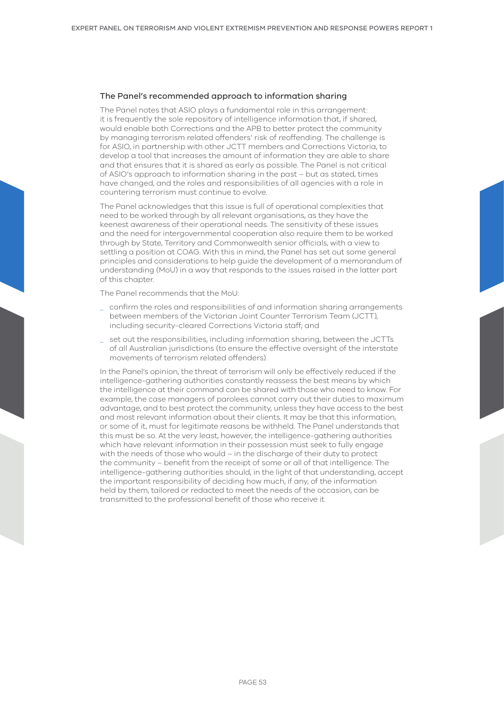#### The Panel's recommended approach to information sharing

The Panel notes that ASIO plays a fundamental role in this arrangement: it is frequently the sole repository of intelligence information that, if shared, would enable both Corrections and the APB to better protect the community by managing terrorism related offenders' risk of reoffending. The challenge is for ASIO, in partnership with other JCTT members and Corrections Victoria, to develop a tool that increases the amount of information they are able to share and that ensures that it is shared as early as possible. The Panel is not critical of ASIO's approach to information sharing in the past – but as stated, times have changed, and the roles and responsibilities of all agencies with a role in countering terrorism must continue to evolve.

The Panel acknowledges that this issue is full of operational complexities that need to be worked through by all relevant organisations, as they have the keenest awareness of their operational needs. The sensitivity of these issues and the need for intergovernmental cooperation also require them to be worked through by State, Territory and Commonwealth senior officials, with a view to settling a position at COAG. With this in mind, the Panel has set out some general principles and considerations to help guide the development of a memorandum of understanding (MoU) in a way that responds to the issues raised in the latter part of this chapter.

The Panel recommends that the MoU:

- \_ confirm the roles and responsibilities of and information sharing arrangements between members of the Victorian Joint Counter Terrorism Team (JCTT), including security-cleared Corrections Victoria staff; and
- set out the responsibilities, including information sharing, between the JCTTs of all Australian jurisdictions (to ensure the effective oversight of the interstate movements of terrorism related offenders).

In the Panel's opinion, the threat of terrorism will only be effectively reduced if the intelligence-gathering authorities constantly reassess the best means by which the intelligence at their command can be shared with those who need to know. For example, the case managers of parolees cannot carry out their duties to maximum advantage, and to best protect the community, unless they have access to the best and most relevant information about their clients. It may be that this information, or some of it, must for legitimate reasons be withheld. The Panel understands that this must be so. At the very least, however, the intelligence-gathering authorities which have relevant information in their possession must seek to fully engage with the needs of those who would – in the discharge of their duty to protect the community – benefit from the receipt of some or all of that intelligence. The intelligence-gathering authorities should, in the light of that understanding, accept the important responsibility of deciding how much, if any, of the information held by them, tailored or redacted to meet the needs of the occasion, can be transmitted to the professional benefit of those who receive it.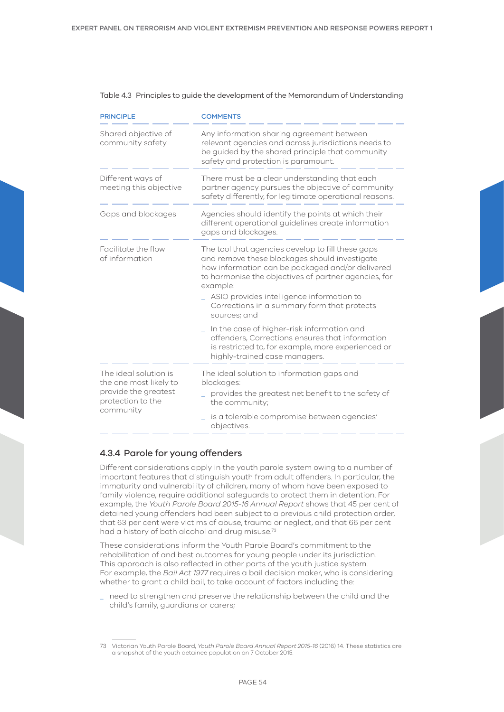| <b>PRINCIPLE</b>                                                                                          | <b>COMMENTS</b>                                                                                                                                                                                                                                                                                                                        |  |  |
|-----------------------------------------------------------------------------------------------------------|----------------------------------------------------------------------------------------------------------------------------------------------------------------------------------------------------------------------------------------------------------------------------------------------------------------------------------------|--|--|
| Shared objective of<br>community safety                                                                   | Any information sharing agreement between<br>relevant agencies and across jurisdictions needs to<br>be guided by the shared principle that community<br>safety and protection is paramount.                                                                                                                                            |  |  |
| Different ways of<br>meeting this objective                                                               | There must be a clear understanding that each<br>partner agency pursues the objective of community<br>safety differently, for legitimate operational reasons.                                                                                                                                                                          |  |  |
| Gaps and blockages                                                                                        | Agencies should identify the points at which their<br>different operational guidelines create information<br>gaps and blockages.                                                                                                                                                                                                       |  |  |
| Facilitate the flow<br>of information                                                                     | The tool that agencies develop to fill these gaps<br>and remove these blockages should investigate<br>how information can be packaged and/or delivered<br>to harmonise the objectives of partner agencies, for<br>example:<br>ASIO provides intelligence information to<br>Corrections in a summary form that protects<br>sources; and |  |  |
|                                                                                                           | In the case of higher-risk information and<br>offenders, Corrections ensures that information<br>is restricted to, for example, more experienced or<br>highly-trained case managers.                                                                                                                                                   |  |  |
| The ideal solution is<br>the one most likely to<br>provide the greatest<br>protection to the<br>community | The ideal solution to information gaps and<br>blockages:<br>provides the greatest net benefit to the safety of<br>the community;                                                                                                                                                                                                       |  |  |
|                                                                                                           | is a tolerable compromise between agencies'<br>objectives.                                                                                                                                                                                                                                                                             |  |  |

# 4.3.4 Parole for young offenders

Different considerations apply in the youth parole system owing to a number of important features that distinguish youth from adult offenders. In particular, the immaturity and vulnerability of children, many of whom have been exposed to family violence, require additional safeguards to protect them in detention. For example, the *Youth Parole Board 2015-16 Annual Report* shows that 45 per cent of detained young offenders had been subject to a previous child protection order, that 63 per cent were victims of abuse, trauma or neglect, and that 66 per cent had a history of both alcohol and drug misuse.<sup>73</sup>

These considerations inform the Youth Parole Board's commitment to the rehabilitation of and best outcomes for young people under its jurisdiction. This approach is also reflected in other parts of the youth justice system. For example, the *Bail Act 1977* requires a bail decision maker, who is considering whether to grant a child bail, to take account of factors including the:

\_ need to strengthen and preserve the relationship between the child and the child's family, guardians or carers;

<sup>73</sup> Victorian Youth Parole Board, *Youth Parole Board Annual Report 2015-16* (2016) 14. These statistics are a snapshot of the youth detainee population on 7 October 2015.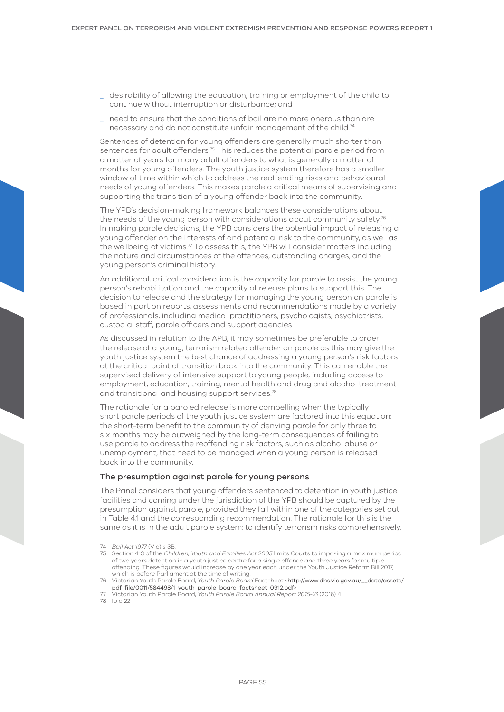- \_ desirability of allowing the education, training or employment of the child to continue without interruption or disturbance; and
- \_ need to ensure that the conditions of bail are no more onerous than are necessary and do not constitute unfair management of the child.74

Sentences of detention for young offenders are generally much shorter than sentences for adult offenders.75 This reduces the potential parole period from a matter of years for many adult offenders to what is generally a matter of months for young offenders. The youth justice system therefore has a smaller window of time within which to address the reoffending risks and behavioural needs of young offenders. This makes parole a critical means of supervising and supporting the transition of a young offender back into the community.

The YPB's decision-making framework balances these considerations about the needs of the young person with considerations about community safety.<sup>76</sup> In making parole decisions, the YPB considers the potential impact of releasing a young offender on the interests of and potential risk to the community, as well as the wellbeing of victims. $77$  To assess this, the YPB will consider matters including the nature and circumstances of the offences, outstanding charges, and the young person's criminal history.

An additional, critical consideration is the capacity for parole to assist the young person's rehabilitation and the capacity of release plans to support this. The decision to release and the strategy for managing the young person on parole is based in part on reports, assessments and recommendations made by a variety of professionals, including medical practitioners, psychologists, psychiatrists, custodial staff, parole officers and support agencies

As discussed in relation to the APB, it may sometimes be preferable to order the release of a young, terrorism related offender on parole as this may give the youth justice system the best chance of addressing a young person's risk factors at the critical point of transition back into the community. This can enable the supervised delivery of intensive support to young people, including access to employment, education, training, mental health and drug and alcohol treatment and transitional and housing support services.<sup>78</sup>

The rationale for a paroled release is more compelling when the typically short parole periods of the youth justice system are factored into this equation: the short-term benefit to the community of denying parole for only three to six months may be outweighed by the long-term consequences of failing to use parole to address the reoffending risk factors, such as alcohol abuse or unemployment, that need to be managed when a young person is released back into the community.

## The presumption against parole for young persons

The Panel considers that young offenders sentenced to detention in youth justice facilities and coming under the jurisdiction of the YPB should be captured by the presumption against parole, provided they fall within one of the categories set out in Table 4.1 and the corresponding recommendation. The rationale for this is the same as it is in the adult parole system: to identify terrorism risks comprehensively.

78 Ibid 22.

<sup>74</sup> *Bail Act 1977* (Vic) s 3B.

<sup>75</sup> Section 413 of the *Children, Youth and Families Act 2005* limits Courts to imposing a maximum period of two years detention in a youth justice centre for a single offence and three years for multiple offending. These figures would increase by one year each under the Youth Justice Reform Bill 2017, which is before Parliament at the time of writing.

<sup>76</sup> Victorian Youth Parole Board, *Youth Parole Board* Factsheet <[http://www.dhs.vic.gov.au/\\_\\_data/assets/](http://www.dhs.vic.gov.au/__data/assets/pdf_file/0011/584498/1_youth_parole_board_factsheet_0912.pdf) [pdf\\_file/0011/584498/1\\_youth\\_parole\\_board\\_factsheet\\_0912.pdf](http://www.dhs.vic.gov.au/__data/assets/pdf_file/0011/584498/1_youth_parole_board_factsheet_0912.pdf)>.

<sup>77</sup> Victorian Youth Parole Board, *Youth Parole Board Annual Report 2015-16* (2016) 4.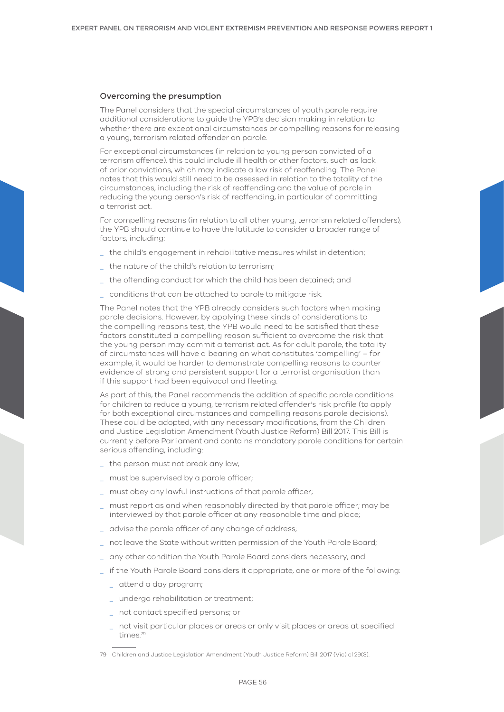#### Overcoming the presumption

The Panel considers that the special circumstances of youth parole require additional considerations to guide the YPB's decision making in relation to whether there are exceptional circumstances or compelling reasons for releasing a young, terrorism related offender on parole.

For exceptional circumstances (in relation to young person convicted of a terrorism offence), this could include ill health or other factors, such as lack of prior convictions, which may indicate a low risk of reoffending. The Panel notes that this would still need to be assessed in relation to the totality of the circumstances, including the risk of reoffending and the value of parole in reducing the young person's risk of reoffending, in particular of committing a terrorist act.

For compelling reasons (in relation to all other young, terrorism related offenders), the YPB should continue to have the latitude to consider a broader range of factors, including:

- the child's engagement in rehabilitative measures whilst in detention;
- the nature of the child's relation to terrorism;
- the offending conduct for which the child has been detained; and
- \_ conditions that can be attached to parole to mitigate risk.

The Panel notes that the YPB already considers such factors when making parole decisions. However, by applying these kinds of considerations to the compelling reasons test, the YPB would need to be satisfied that these factors constituted a compelling reason sufficient to overcome the risk that the young person may commit a terrorist act. As for adult parole, the totality of circumstances will have a bearing on what constitutes 'compelling' – for example, it would be harder to demonstrate compelling reasons to counter evidence of strong and persistent support for a terrorist organisation than if this support had been equivocal and fleeting.

As part of this, the Panel recommends the addition of specific parole conditions for children to reduce a young, terrorism related offender's risk profile (to apply for both exceptional circumstances and compelling reasons parole decisions). These could be adopted, with any necessary modifications, from the Children and Justice Legislation Amendment (Youth Justice Reform) Bill 2017. This Bill is currently before Parliament and contains mandatory parole conditions for certain serious offending, including:

- \_ the person must not break any law;
- must be supervised by a parole officer;
- must obey any lawful instructions of that parole officer;
- \_ must report as and when reasonably directed by that parole officer; may be interviewed by that parole officer at any reasonable time and place;
- \_ advise the parole officer of any change of address;
- not leave the State without written permission of the Youth Parole Board;
- any other condition the Youth Parole Board considers necessary; and
- if the Youth Parole Board considers it appropriate, one or more of the following:
	- \_ attend a day program;
	- \_ undergo rehabilitation or treatment;
	- \_ not contact specified persons; or
	- \_ not visit particular places or areas or only visit places or areas at specified times.79
- 79 Children and Justice Legislation Amendment (Youth Justice Reform) Bill 2017 (Vic) cl 29(3).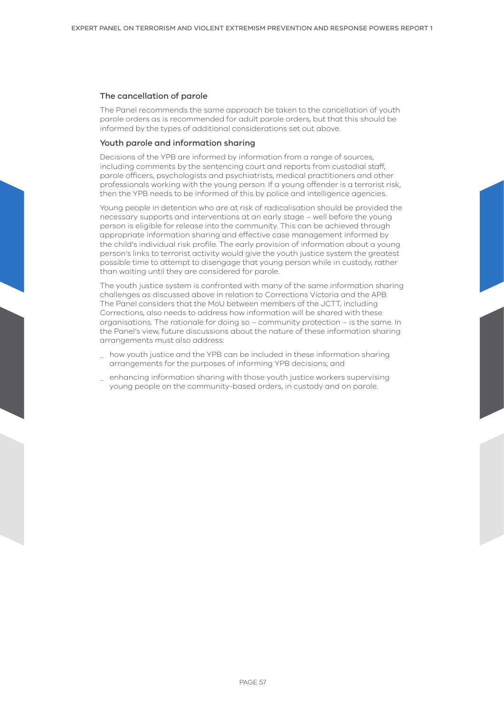### The cancellation of parole

The Panel recommends the same approach be taken to the cancellation of youth parole orders as is recommended for adult parole orders, but that this should be informed by the types of additional considerations set out above.

# Youth parole and information sharing

Decisions of the YPB are informed by information from a range of sources, including comments by the sentencing court and reports from custodial staff, parole officers, psychologists and psychiatrists, medical practitioners and other professionals working with the young person. If a young offender is a terrorist risk, then the YPB needs to be informed of this by police and intelligence agencies.

Young people in detention who are at risk of radicalisation should be provided the necessary supports and interventions at an early stage – well before the young person is eligible for release into the community. This can be achieved through appropriate information sharing and effective case management informed by the child's individual risk profile. The early provision of information about a young person's links to terrorist activity would give the youth justice system the greatest possible time to attempt to disengage that young person while in custody, rather than waiting until they are considered for parole.

The youth justice system is confronted with many of the same information sharing challenges as discussed above in relation to Corrections Victoria and the APB. The Panel considers that the MoU between members of the JCTT, including Corrections, also needs to address how information will be shared with these organisations. The rationale for doing so – community protection – is the same. In the Panel's view, future discussions about the nature of these information sharing arrangements must also address:

- how youth justice and the YPB can be included in these information sharing arrangements for the purposes of informing YPB decisions; and
- \_ enhancing information sharing with those youth justice workers supervising young people on the community-based orders, in custody and on parole.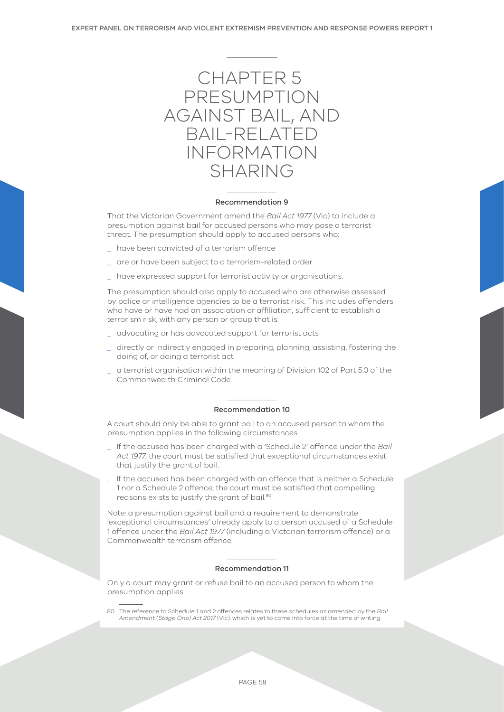

#### Recommendation 9

That the Victorian Government amend the *Bail Act 1977* (Vic) to include a presumption against bail for accused persons who may pose a terrorist threat. The presumption should apply to accused persons who:

- have been convicted of a terrorism offence
- \_ are or have been subject to a terrorism-related order
- \_ have expressed support for terrorist activity or organisations.

The presumption should also apply to accused who are otherwise assessed by police or intelligence agencies to be a terrorist risk. This includes offenders who have or have had an association or affiliation, sufficient to establish a terrorism risk, with any person or group that is:

- \_ advocating or has advocated support for terrorist acts
- directly or indirectly engaged in preparing, planning, assisting, fostering the doing of, or doing a terrorist act
- \_ a terrorist organisation within the meaning of Division 102 of Part 5.3 of the Commonwealth Criminal Code.

#### Recommendation 10

A court should only be able to grant bail to an accused person to whom the presumption applies in the following circumstances:

- \_ If the accused has been charged with a 'Schedule 2' offence under the *Bail Act 1977*, the court must be satisfied that exceptional circumstances exist that justify the grant of bail.
- If the accused has been charged with an offence that is neither a Schedule 1 nor a Schedule 2 offence, the court must be satisfied that compelling reasons exists to justify the grant of bail.80

Note: a presumption against bail and a requirement to demonstrate 'exceptional circumstances' already apply to a person accused of a Schedule 1 offence under the *Bail Act 1977* (including a Victorian terrorism offence) or a Commonwealth terrorism offence.

#### Recommendation 11

Only a court may grant or refuse bail to an accused person to whom the presumption applies.

80 The reference to Schedule 1 and 2 offences relates to these schedules as amended by the *Bail Amendment (Stage One) Act 2017* (Vic), which is yet to come into force at the time of writing.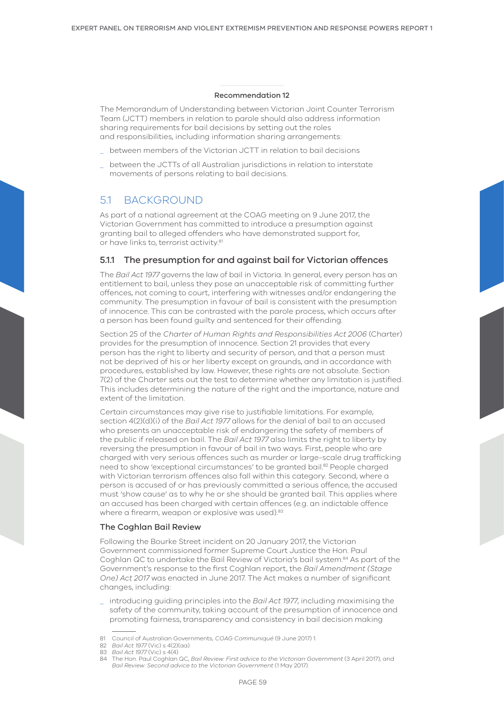#### Recommendation 12

The Memorandum of Understanding between Victorian Joint Counter Terrorism Team (JCTT) members in relation to parole should also address information sharing requirements for bail decisions by setting out the roles and responsibilities, including information sharing arrangements:

- between members of the Victorian JCTT in relation to bail decisions
- between the JCTTs of all Australian jurisdictions in relation to interstate movements of persons relating to bail decisions.

# 5.1 BACKGROUND

As part of a national agreement at the COAG meeting on 9 June 2017, the Victorian Government has committed to introduce a presumption against granting bail to alleged offenders who have demonstrated support for, or have links to, terrorist activity.<sup>81</sup>

# 5.1.1 The presumption for and against bail for Victorian offences

The *Bail Act 1977* governs the law of bail in Victoria. In general, every person has an entitlement to bail, unless they pose an unacceptable risk of committing further offences, not coming to court, interfering with witnesses and/or endangering the community. The presumption in favour of bail is consistent with the presumption of innocence. This can be contrasted with the parole process, which occurs after a person has been found guilty and sentenced for their offending.

Section 25 of the *Charter of Human Rights and Responsibilities Act 2006* (Charter) provides for the presumption of innocence. Section 21 provides that every person has the right to liberty and security of person, and that a person must not be deprived of his or her liberty except on grounds, and in accordance with procedures, established by law. However, these rights are not absolute. Section 7(2) of the Charter sets out the test to determine whether any limitation is justified. This includes determining the nature of the right and the importance, nature and extent of the limitation.

Certain circumstances may give rise to justifiable limitations. For example, section 4(2)(d)(i) of the *Bail Act 1977* allows for the denial of bail to an accused who presents an unacceptable risk of endangering the safety of members of the public if released on bail. The *Bail Act 1977* also limits the right to liberty by reversing the presumption in favour of bail in two ways. First, people who are charged with very serious offences such as murder or large-scale drug trafficking need to show 'exceptional circumstances' to be granted bail.<sup>82</sup> People charged with Victorian terrorism offences also fall within this category. Second, where a person is accused of or has previously committed a serious offence, the accused must 'show cause' as to why he or she should be granted bail. This applies where an accused has been charged with certain offences (e.g. an indictable offence where a firearm, weapon or explosive was used).<sup>83</sup>

#### The Coghlan Bail Review

Following the Bourke Street incident on 20 January 2017, the Victorian Government commissioned former Supreme Court Justice the Hon. Paul Coghlan QC to undertake the Bail Review of Victoria's bail system.84 As part of the Government's response to the first Coghlan report, the *Bail Amendment (Stage One) Act 2017* was enacted in June 2017. The Act makes a number of significant changes, including:

\_ introducing guiding principles into the *Bail Act 1977*, including maximising the safety of the community, taking account of the presumption of innocence and promoting fairness, transparency and consistency in bail decision making

<sup>81</sup> Council of Australian Governments, *COAG Communiqué* (9 June 2017) 1.

<sup>82</sup> *Bail Act 1977* (Vic) s 4(2)(aa).

<sup>83</sup> *Bail Act 1977* (Vic) s 4(4).

<sup>84</sup> The Hon. Paul Coghlan QC, *Bail Review: First advice to the Victorian Government* (3 April 2017); and *Bail Review: Second advice to the Victorian Government* (1 May 2017).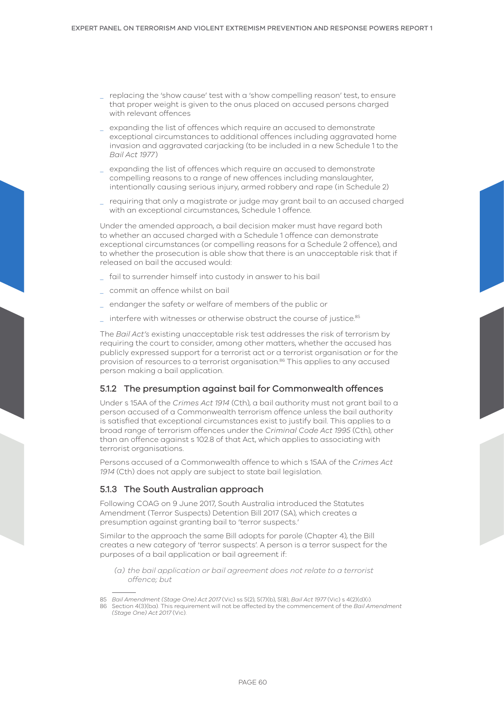- \_ replacing the 'show cause' test with a 'show compelling reason' test, to ensure that proper weight is given to the onus placed on accused persons charged with relevant offences
- \_ expanding the list of offences which require an accused to demonstrate exceptional circumstances to additional offences including aggravated home invasion and aggravated carjacking (to be included in a new Schedule 1 to the *Bail Act 1977* )
- \_ expanding the list of offences which require an accused to demonstrate compelling reasons to a range of new offences including manslaughter, intentionally causing serious injury, armed robbery and rape (in Schedule 2)
- \_ requiring that only a magistrate or judge may grant bail to an accused charged with an exceptional circumstances, Schedule 1 offence.

Under the amended approach, a bail decision maker must have regard both to whether an accused charged with a Schedule 1 offence can demonstrate exceptional circumstances (or compelling reasons for a Schedule 2 offence), and to whether the prosecution is able show that there is an unacceptable risk that if released on bail the accused would:

- \_ fail to surrender himself into custody in answer to his bail
- \_ commit an offence whilst on bail
- \_ endanger the safety or welfare of members of the public or
- interfere with witnesses or otherwise obstruct the course of justice.<sup>85</sup>

The *Bail Act's* existing unacceptable risk test addresses the risk of terrorism by requiring the court to consider, among other matters, whether the accused has publicly expressed support for a terrorist act or a terrorist organisation or for the provision of resources to a terrorist organisation.<sup>86</sup> This applies to any accused person making a bail application.

## 5.1.2 The presumption against bail for Commonwealth offences

Under s 15AA of the *Crimes Act 1914* (Cth), a bail authority must not grant bail to a person accused of a Commonwealth terrorism offence unless the bail authority is satisfied that exceptional circumstances exist to justify bail. This applies to a broad range of terrorism offences under the *Criminal Code Act 1995* (Cth), other than an offence against s 102.8 of that Act, which applies to associating with terrorist organisations.

Persons accused of a Commonwealth offence to which s 15AA of the *Crimes Act 1914* (Cth) does not apply are subject to state bail legislation.

## 5.1.3 The South Australian approach

Following COAG on 9 June 2017, South Australia introduced the Statutes Amendment (Terror Suspects) Detention Bill 2017 (SA), which creates a presumption against granting bail to 'terror suspects.'

Similar to the approach the same Bill adopts for parole (Chapter 4), the Bill creates a new category of 'terror suspects'. A person is a terror suspect for the purposes of a bail application or bail agreement if:

*(a) the bail application or bail agreement does not relate to a terrorist offence; but*

<sup>85</sup> *Bail Amendment (Stage One) Act 2017* (Vic) ss 5(2), 5(7)(b), 5(8); *Bail Act 1977* (Vic) s 4(2)(d)(i).

<sup>86</sup> Section 4(3)(ba). This requirement will not be affected by the commencement of the *Bail Amendment (Stage One) Act 2017* (Vic).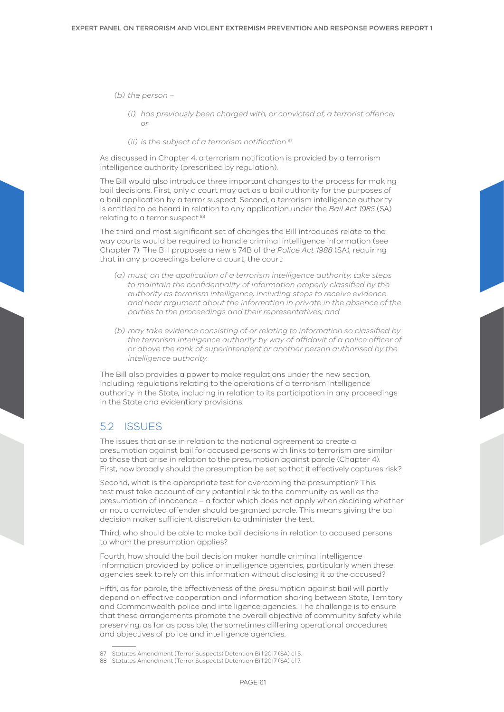*(b) the person –* 

*(i) has previously been charged with, or convicted of, a terrorist offence; or*

*(ii) is the subject of a terrorism notification.*<sup>87</sup>

As discussed in Chapter 4, a terrorism notification is provided by a terrorism intelligence authority (prescribed by regulation).

The Bill would also introduce three important changes to the process for making bail decisions. First, only a court may act as a bail authority for the purposes of a bail application by a terror suspect. Second, a terrorism intelligence authority is entitled to be heard in relation to any application under the *Bail Act 1985* (SA) relating to a terror suspect.<sup>88</sup>

The third and most significant set of changes the Bill introduces relate to the way courts would be required to handle criminal intelligence information (see Chapter 7). The Bill proposes a new s 74B of the *Police Act 1988* (SA), requiring that in any proceedings before a court, the court:

- *(a) must, on the application of a terrorism intelligence authority, take steps to maintain the confidentiality of information properly classified by the authority as terrorism intelligence, including steps to receive evidence and hear argument about the information in private in the absence of the parties to the proceedings and their representatives; and*
- *(b) may take evidence consisting of or relating to information so classified by*  the terrorism intelligence authority by way of affidavit of a police officer of *or above the rank of superintendent or another person authorised by the intelligence authority.*

The Bill also provides a power to make regulations under the new section, including regulations relating to the operations of a terrorism intelligence authority in the State, including in relation to its participation in any proceedings in the State and evidentiary provisions.

# 5.2 ISSUES

The issues that arise in relation to the national agreement to create a presumption against bail for accused persons with links to terrorism are similar to those that arise in relation to the presumption against parole (Chapter 4). First, how broadly should the presumption be set so that it effectively captures risk?

Second, what is the appropriate test for overcoming the presumption? This test must take account of any potential risk to the community as well as the presumption of innocence – a factor which does not apply when deciding whether or not a convicted offender should be granted parole. This means giving the bail decision maker sufficient discretion to administer the test.

Third, who should be able to make bail decisions in relation to accused persons to whom the presumption applies?

Fourth, how should the bail decision maker handle criminal intelligence information provided by police or intelligence agencies, particularly when these agencies seek to rely on this information without disclosing it to the accused?

Fifth, as for parole, the effectiveness of the presumption against bail will partly depend on effective cooperation and information sharing between State, Territory and Commonwealth police and intelligence agencies. The challenge is to ensure that these arrangements promote the overall objective of community safety while preserving, as far as possible, the sometimes differing operational procedures and objectives of police and intelligence agencies.

<sup>87</sup> Statutes Amendment (Terror Suspects) Detention Bill 2017 (SA) cl 5.

<sup>88</sup> Statutes Amendment (Terror Suspects) Detention Bill 2017 (SA) cl 7.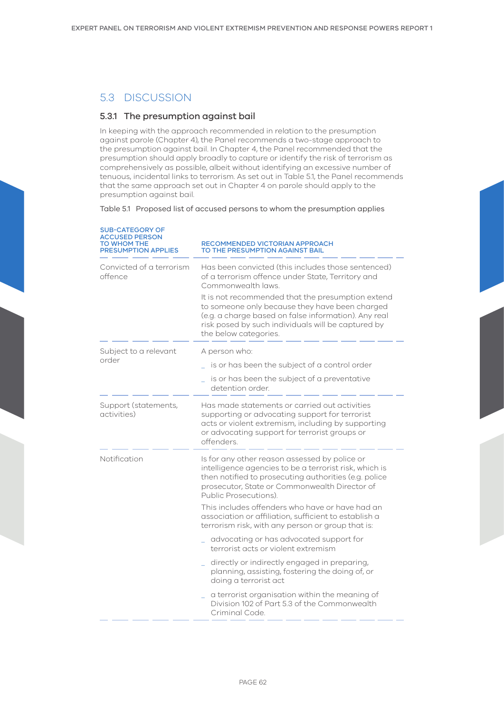# 5.3 DISCUSSION

# 5.3.1 The presumption against bail

In keeping with the approach recommended in relation to the presumption against parole (Chapter 4), the Panel recommends a two-stage approach to the presumption against bail. In Chapter 4, the Panel recommended that the presumption should apply broadly to capture or identify the risk of terrorism as comprehensively as possible, albeit without identifying an excessive number of tenuous, incidental links to terrorism. As set out in Table 5.1, the Panel recommends that the same approach set out in Chapter 4 on parole should apply to the presumption against bail.

Table 5.1 Proposed list of accused persons to whom the presumption applies

| <b>SUB-CATEGORY OF</b><br><b>ACCUSED PERSON</b><br>TO WHOM THE<br><b>PRESUMPTION APPLIES</b> | RECOMMENDED VICTORIAN APPROACH<br>TO THE PRESUMPTION AGAINST BAIL                                                                                                                                                                          |  |  |
|----------------------------------------------------------------------------------------------|--------------------------------------------------------------------------------------------------------------------------------------------------------------------------------------------------------------------------------------------|--|--|
| Convicted of a terrorism<br>offence                                                          | Has been convicted (this includes those sentenced)<br>of a terrorism offence under State, Territory and<br>Commonwealth laws.                                                                                                              |  |  |
|                                                                                              | It is not recommended that the presumption extend<br>to someone only because they have been charged<br>(e.g. a charge based on false information). Any real<br>risk posed by such individuals will be captured by<br>the below categories. |  |  |
| Subject to a relevant                                                                        | A person who:                                                                                                                                                                                                                              |  |  |
| order                                                                                        | is or has been the subject of a control order                                                                                                                                                                                              |  |  |
|                                                                                              | is or has been the subject of a preventative<br>detention order.                                                                                                                                                                           |  |  |
| Support (statements,<br>activities)                                                          | Has made statements or carried out activities<br>supporting or advocating support for terrorist<br>acts or violent extremism, including by supporting<br>or advocating support for terrorist groups or<br>offenders.                       |  |  |
| Notification                                                                                 | Is for any other reason assessed by police or<br>intelligence agencies to be a terrorist risk, which is<br>then notified to prosecuting authorities (e.g. police<br>prosecutor, State or Commonwealth Director of<br>Public Prosecutions). |  |  |
|                                                                                              | This includes offenders who have or have had an<br>association or affiliation, sufficient to establish a<br>terrorism risk, with any person or group that is:                                                                              |  |  |
|                                                                                              | advocating or has advocated support for<br>terrorist acts or violent extremism                                                                                                                                                             |  |  |
|                                                                                              | directly or indirectly engaged in preparing,<br>planning, assisting, fostering the doing of, or<br>doing a terrorist act                                                                                                                   |  |  |
|                                                                                              | a terrorist organisation within the meaning of<br>Division 102 of Part 5.3 of the Commonwealth<br>Criminal Code.                                                                                                                           |  |  |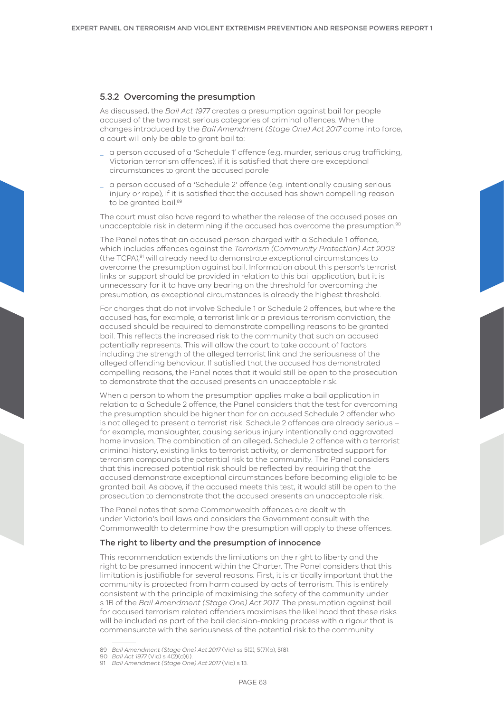### 5.3.2 Overcoming the presumption

As discussed, the *Bail Act 1977* creates a presumption against bail for people accused of the two most serious categories of criminal offences. When the changes introduced by the *Bail Amendment (Stage One) Act 2017* come into force, a court will only be able to grant bail to:

- \_ a person accused of a 'Schedule 1' offence (e.g. murder, serious drug trafficking, Victorian terrorism offences), if it is satisfied that there are exceptional circumstances to grant the accused parole
- \_ a person accused of a 'Schedule 2' offence (e.g. intentionally causing serious injury or rape), if it is satisfied that the accused has shown compelling reason to be granted bail.89

The court must also have regard to whether the release of the accused poses an unacceptable risk in determining if the accused has overcome the presumption.90

The Panel notes that an accused person charged with a Schedule 1 offence, which includes offences against the *Terrorism (Community Protection) Act 2003*  (the TCPA),91 will already need to demonstrate exceptional circumstances to overcome the presumption against bail. Information about this person's terrorist links or support should be provided in relation to this bail application, but it is unnecessary for it to have any bearing on the threshold for overcoming the presumption, as exceptional circumstances is already the highest threshold.

For charges that do not involve Schedule 1 or Schedule 2 offences, but where the accused has, for example, a terrorist link or a previous terrorism conviction, the accused should be required to demonstrate compelling reasons to be granted bail. This reflects the increased risk to the community that such an accused potentially represents. This will allow the court to take account of factors including the strength of the alleged terrorist link and the seriousness of the alleged offending behaviour. If satisfied that the accused has demonstrated compelling reasons, the Panel notes that it would still be open to the prosecution to demonstrate that the accused presents an unacceptable risk.

When a person to whom the presumption applies make a bail application in relation to a Schedule 2 offence, the Panel considers that the test for overcoming the presumption should be higher than for an accused Schedule 2 offender who is not alleged to present a terrorist risk. Schedule 2 offences are already serious – for example, manslaughter, causing serious injury intentionally and aggravated home invasion. The combination of an alleged, Schedule 2 offence with a terrorist criminal history, existing links to terrorist activity, or demonstrated support for terrorism compounds the potential risk to the community. The Panel considers that this increased potential risk should be reflected by requiring that the accused demonstrate exceptional circumstances before becoming eligible to be granted bail. As above, if the accused meets this test, it would still be open to the prosecution to demonstrate that the accused presents an unacceptable risk.

The Panel notes that some Commonwealth offences are dealt with under Victoria's bail laws and considers the Government consult with the Commonwealth to determine how the presumption will apply to these offences.

#### The right to liberty and the presumption of innocence

This recommendation extends the limitations on the right to liberty and the right to be presumed innocent within the Charter. The Panel considers that this limitation is justifiable for several reasons. First, it is critically important that the community is protected from harm caused by acts of terrorism. This is entirely consistent with the principle of maximising the safety of the community under s 1B of the *Bail Amendment (Stage One) Act 2017*. The presumption against bail for accused terrorism related offenders maximises the likelihood that these risks will be included as part of the bail decision-making process with a rigour that is commensurate with the seriousness of the potential risk to the community.

<sup>89</sup> *Bail Amendment (Stage One) Act 2017* (Vic) ss 5(2), 5(7)(b), 5(8).

<sup>90</sup> *Bail Act 1977* (Vic) s 4(2)(d)(i).

<sup>91</sup> *Bail Amendment (Stage One) Act 2017* (Vic) s 13.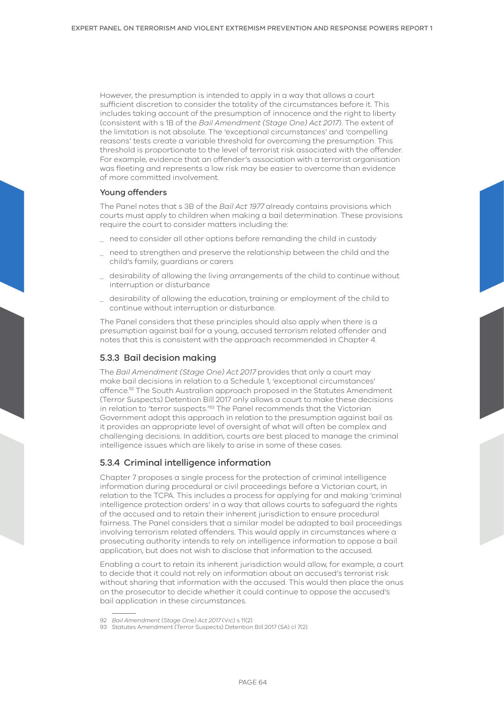However, the presumption is intended to apply in a way that allows a court sufficient discretion to consider the totality of the circumstances before it. This includes taking account of the presumption of innocence and the right to liberty (consistent with s 1B of the *Bail Amendment (Stage One) Act 2017*). The extent of the limitation is not absolute. The 'exceptional circumstances' and 'compelling reasons' tests create a variable threshold for overcoming the presumption. This threshold is proportionate to the level of terrorist risk associated with the offender. For example, evidence that an offender's association with a terrorist organisation was fleeting and represents a low risk may be easier to overcome than evidence of more committed involvement.

## Young offenders

The Panel notes that s 3B of the *Bail Act 1977* already contains provisions which courts must apply to children when making a bail determination. These provisions require the court to consider matters including the:

- \_ need to consider all other options before remanding the child in custody
- \_ need to strengthen and preserve the relationship between the child and the child's family, guardians or carers
- \_ desirability of allowing the living arrangements of the child to continue without interruption or disturbance
- \_ desirability of allowing the education, training or employment of the child to continue without interruption or disturbance.

The Panel considers that these principles should also apply when there is a presumption against bail for a young, accused terrorism related offender and notes that this is consistent with the approach recommended in Chapter 4.

## 5.3.3 Bail decision making

The *Bail Amendment (Stage One) Act 2017* provides that only a court may make bail decisions in relation to a Schedule 1, 'exceptional circumstances' offence.92 The South Australian approach proposed in the Statutes Amendment (Terror Suspects) Detention Bill 2017 only allows a court to make these decisions in relation to 'terror suspects.<sup>'93</sup> The Panel recommends that the Victorian Government adopt this approach in relation to the presumption against bail as it provides an appropriate level of oversight of what will often be complex and challenging decisions. In addition, courts are best placed to manage the criminal intelligence issues which are likely to arise in some of these cases.

# 5.3.4 Criminal intelligence information

Chapter 7 proposes a single process for the protection of criminal intelligence information during procedural or civil proceedings before a Victorian court, in relation to the TCPA. This includes a process for applying for and making 'criminal intelligence protection orders' in a way that allows courts to safeguard the rights of the accused and to retain their inherent jurisdiction to ensure procedural fairness. The Panel considers that a similar model be adapted to bail proceedings involving terrorism related offenders. This would apply in circumstances where a prosecuting authority intends to rely on intelligence information to oppose a bail application, but does not wish to disclose that information to the accused.

Enabling a court to retain its inherent jurisdiction would allow, for example, a court to decide that it could not rely on information about an accused's terrorist risk without sharing that information with the accused. This would then place the onus on the prosecutor to decide whether it could continue to oppose the accused's bail application in these circumstances.

<sup>92</sup> *Bail Amendment (Stage One) Act 2017* (Vic) s 11(2).

<sup>93</sup> Statutes Amendment (Terror Suspects) Detention Bill 2017 (SA) cl 7(2).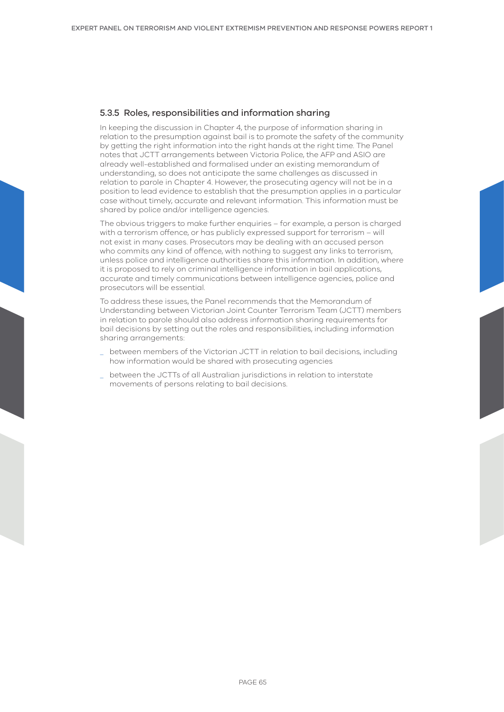# 5.3.5 Roles, responsibilities and information sharing

In keeping the discussion in Chapter 4, the purpose of information sharing in relation to the presumption against bail is to promote the safety of the community by getting the right information into the right hands at the right time. The Panel notes that JCTT arrangements between Victoria Police, the AFP and ASIO are already well-established and formalised under an existing memorandum of understanding, so does not anticipate the same challenges as discussed in relation to parole in Chapter 4. However, the prosecuting agency will not be in a position to lead evidence to establish that the presumption applies in a particular case without timely, accurate and relevant information. This information must be shared by police and/or intelligence agencies.

The obvious triggers to make further enquiries – for example, a person is charged with a terrorism offence, or has publicly expressed support for terrorism – will not exist in many cases. Prosecutors may be dealing with an accused person who commits any kind of offence, with nothing to suggest any links to terrorism, unless police and intelligence authorities share this information. In addition, where it is proposed to rely on criminal intelligence information in bail applications, accurate and timely communications between intelligence agencies, police and prosecutors will be essential.

To address these issues, the Panel recommends that the Memorandum of Understanding between Victorian Joint Counter Terrorism Team (JCTT) members in relation to parole should also address information sharing requirements for bail decisions by setting out the roles and responsibilities, including information sharing arrangements:

- \_ between members of the Victorian JCTT in relation to bail decisions, including how information would be shared with prosecuting agencies
- \_ between the JCTTs of all Australian jurisdictions in relation to interstate movements of persons relating to bail decisions.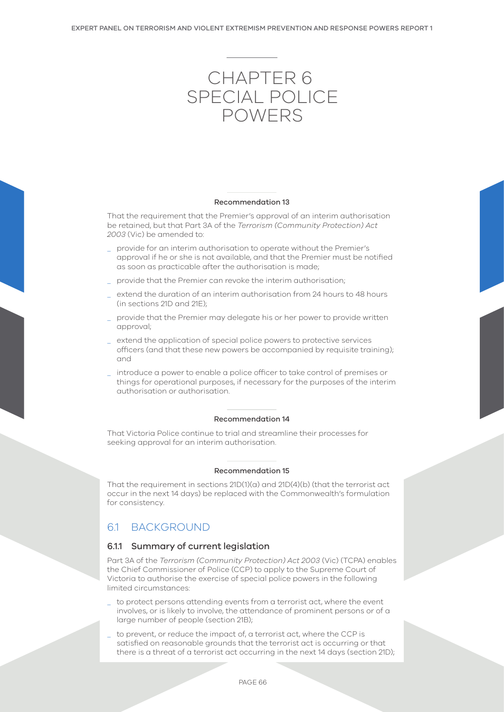# Chapter 6 SPECIAL POLICE POWERS

#### Recommendation 13

That the requirement that the Premier's approval of an interim authorisation be retained, but that Part 3A of the *Terrorism (Community Protection) Act 2003* (Vic) be amended to:

- \_ provide for an interim authorisation to operate without the Premier's approval if he or she is not available, and that the Premier must be notified as soon as practicable after the authorisation is made;
- provide that the Premier can revoke the interim authorisation;
- extend the duration of an interim authorisation from 24 hours to 48 hours (in sections 21D and 21E);
- provide that the Premier may delegate his or her power to provide written approval;
- \_ extend the application of special police powers to protective services officers (and that these new powers be accompanied by requisite training); and

introduce a power to enable a police officer to take control of premises or things for operational purposes, if necessary for the purposes of the interim authorisation or authorisation.

#### Recommendation 14

That Victoria Police continue to trial and streamline their processes for seeking approval for an interim authorisation.

# Recommendation 15

That the requirement in sections 21D(1)(a) and 21D(4)(b) (that the terrorist act occur in the next 14 days) be replaced with the Commonwealth's formulation for consistency.

# 6.1 BACKGROUND

## 6.1.1 Summary of current legislation

Part 3A of the *Terrorism (Community Protection) Act 2003* (Vic) (TCPA) enables the Chief Commissioner of Police (CCP) to apply to the Supreme Court of Victoria to authorise the exercise of special police powers in the following limited circumstances:

- to protect persons attending events from a terrorist act, where the event involves, or is likely to involve, the attendance of prominent persons or of a large number of people (section 21B);
- to prevent, or reduce the impact of, a terrorist act, where the CCP is satisfied on reasonable grounds that the terrorist act is occurring or that there is a threat of a terrorist act occurring in the next 14 days (section 21D);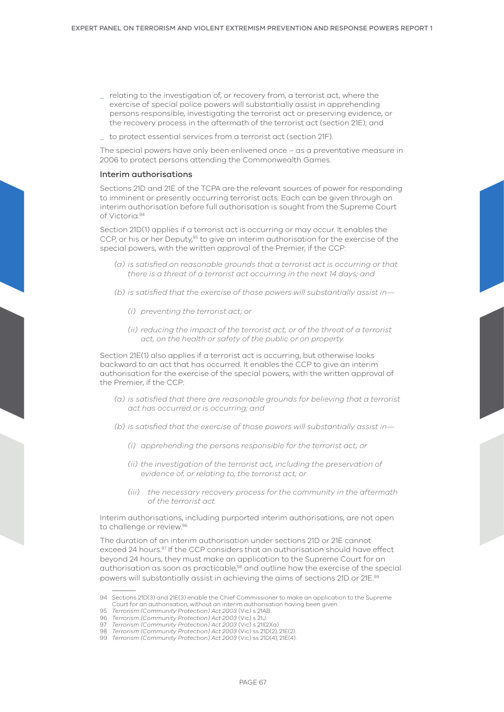- \_ relating to the investigation of, or recovery from, a terrorist act, where the exercise of special police powers will substantially assist in apprehending persons responsible, investigating the terrorist act or preserving evidence, or the recovery process in the aftermath of the terrorist act (section 21E); and
- \_ to protect essential services from a terrorist act (section 21F).

The special powers have only been enlivened once – as a preventative measure in 2006 to protect persons attending the Commonwealth Games.

#### Interim authorisations

Sections 21D and 21E of the TCPA are the relevant sources of power for responding to imminent or presently occurring terrorist acts. Each can be given through an interim authorisation before full authorisation is sought from the Supreme Court of Victoria.94

Section 21D(1) applies if a terrorist act is occurring or may occur. It enables the CCP, or his or her Deputy,95 to give an interim authorisation for the exercise of the special powers, with the written approval of the Premier, if the CCP:

- *(a) is satisfied on reasonable grounds that a terrorist act is occurring or that there is a threat of a terrorist act occurring in the next 14 days; and*
- *(b) is satisfied that the exercise of those powers will substantially assist in—*
	- *(i) preventing the terrorist act; or*
	- *(ii) reducing the impact of the terrorist act, or of the threat of a terrorist act, on the health or safety of the public or on property.*

Section 21E(1) also applies if a terrorist act is occurring, but otherwise looks backward to an act that has occurred. It enables the CCP to give an interim authorisation for the exercise of the special powers, with the written approval of the Premier, if the CCP:

- *(a) is satisfied that there are reasonable grounds for believing that a terrorist act has occurred or is occurring; and*
- *(b) is satisfied that the exercise of those powers will substantially assist in—*
	- *(i) apprehending the persons responsible for the terrorist act; or*
	- *(ii) the investigation of the terrorist act, including the preservation of evidence of, or relating to, the terrorist act; or*
	- *(iii) the necessary recovery process for the community in the aftermath of the terrorist act.*

Interim authorisations, including purported interim authorisations, are not open to challenge or review.96

The duration of an interim authorisation under sections 21D or 21E cannot exceed 24 hours.<sup>97</sup> If the CCP considers that an authorisation should have effect beyond 24 hours, they must make an application to the Supreme Court for an authorisation as soon as practicable,98 and outline how the exercise of the special powers will substantially assist in achieving the aims of sections 21D or 21E.99

<sup>94</sup> Sections 21D(3) and 21E(3) enable the Chief Commissioner to make an application to the Supreme Court for an authorisation, without an interim authorisation having been given.

<sup>95</sup> *Terrorism (Community Protection) Act 2003* (Vic) s 21AB.

<sup>96</sup> *Terrorism (Community Protection) Act 2003* (Vic) s 21J.

<sup>97</sup> *Terrorism (Community Protection) Act 2003* (Vic) s 21I(2)(a). 98 *Terrorism (Community Protection) Act 2003* (Vic) ss 21D(2), 21E(2).

<sup>99</sup> *Terrorism (Community Protection) Act 2003* (Vic) ss 21D(4), 21E(4).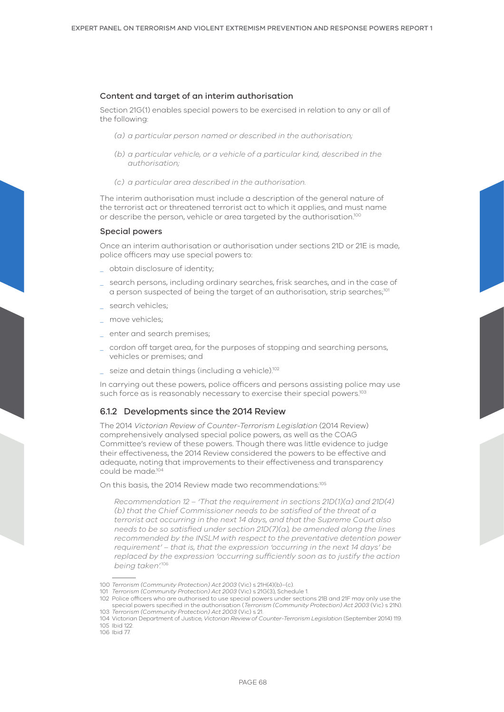#### Content and target of an interim authorisation

Section 21G(1) enables special powers to be exercised in relation to any or all of the following:

- *(a) a particular person named or described in the authorisation;*
- *(b) a particular vehicle, or a vehicle of a particular kind, described in the authorisation;*
- *(c) a particular area described in the authorisation.*

The interim authorisation must include a description of the general nature of the terrorist act or threatened terrorist act to which it applies, and must name or describe the person, vehicle or area targeted by the authorisation.<sup>100</sup>

#### Special powers

Once an interim authorisation or authorisation under sections 21D or 21E is made, police officers may use special powers to:

- \_ obtain disclosure of identity;
- \_ search persons, including ordinary searches, frisk searches, and in the case of a person suspected of being the target of an authorisation, strip searches;<sup>101</sup>
- \_ search vehicles;
- \_ move vehicles;
- \_ enter and search premises;
- \_ cordon off target area, for the purposes of stopping and searching persons, vehicles or premises; and
- \_ seize and detain things (including a vehicle).102

In carrying out these powers, police officers and persons assisting police may use such force as is reasonably necessary to exercise their special powers.<sup>103</sup>

#### 6.1.2 Developments since the 2014 Review

The 2014 *Victorian Review of Counter-Terrorism Legislation* (2014 Review) comprehensively analysed special police powers, as well as the COAG Committee's review of these powers. Though there was little evidence to judge their effectiveness, the 2014 Review considered the powers to be effective and adequate, noting that improvements to their effectiveness and transparency could be made.104

On this basis, the 2014 Review made two recommendations:<sup>105</sup>

*Recommendation 12 – 'That the requirement in sections 21D(1)(a) and 21D(4) (b) that the Chief Commissioner needs to be satisfied of the threat of a terrorist act occurring in the next 14 days, and that the Supreme Court also needs to be so satisfied under section 21D(7)(a), be amended along the lines recommended by the INSLM with respect to the preventative detention power requirement' – that is, that the expression 'occurring in the next 14 days' be replaced by the expression 'occurring sufficiently soon as to justify the action being taken'.*<sup>106</sup>

101 *Terrorism (Community Protection) Act 2003* (Vic) s 21G(3), Schedule 1.

<sup>100</sup> *Terrorism (Community Protection) Act 2003* (Vic) s 21H(4)(b)–(c).

<sup>102</sup> Police officers who are authorised to use special powers under sections 21B and 21F may only use the special powers specified in the authorisation (*Terrorism (Community Protection) Act 2003* (Vic) s 21N). 103 *Terrorism (Community Protection) Act 2003* (Vic) s 21.

<sup>104</sup> Victorian Department of Justice, *Victorian Review of Counter-Terrorism Legislation* (September 2014) 119. 105 Ibid 122.

<sup>106</sup> Ibid 77.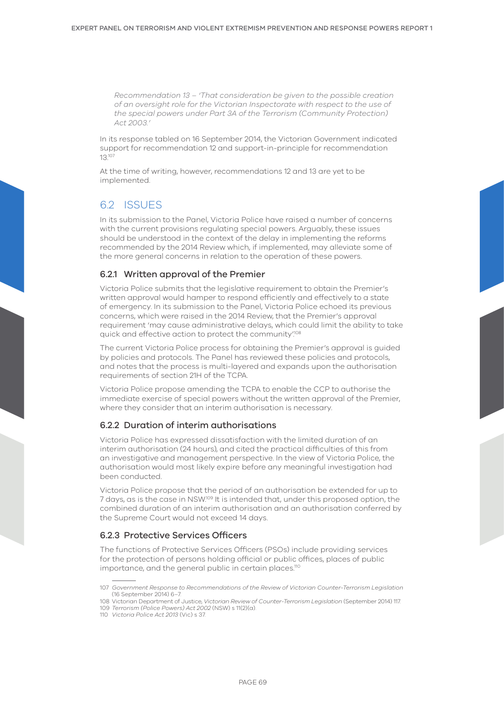*Recommendation 13 – 'That consideration be given to the possible creation of an oversight role for the Victorian Inspectorate with respect to the use of the special powers under Part 3A of the Terrorism (Community Protection) Act 2003.'*

In its response tabled on 16 September 2014, the Victorian Government indicated support for recommendation 12 and support-in-principle for recommendation 13.107

At the time of writing, however, recommendations 12 and 13 are yet to be implemented.

# 6.2 ISSUES

In its submission to the Panel, Victoria Police have raised a number of concerns with the current provisions regulating special powers. Arguably, these issues should be understood in the context of the delay in implementing the reforms recommended by the 2014 Review which, if implemented, may alleviate some of the more general concerns in relation to the operation of these powers.

# 6.2.1 Written approval of the Premier

Victoria Police submits that the legislative requirement to obtain the Premier's written approval would hamper to respond efficiently and effectively to a state of emergency. In its submission to the Panel, Victoria Police echoed its previous concerns, which were raised in the 2014 Review, that the Premier's approval requirement 'may cause administrative delays, which could limit the ability to take quick and effective action to protect the community'.<sup>108</sup>

The current Victoria Police process for obtaining the Premier's approval is guided by policies and protocols. The Panel has reviewed these policies and protocols, and notes that the process is multi-layered and expands upon the authorisation requirements of section 21H of the TCPA.

Victoria Police propose amending the TCPA to enable the CCP to authorise the immediate exercise of special powers without the written approval of the Premier, where they consider that an interim authorisation is necessary.

## 6.2.2 Duration of interim authorisations

Victoria Police has expressed dissatisfaction with the limited duration of an interim authorisation (24 hours), and cited the practical difficulties of this from an investigative and management perspective. In the view of Victoria Police, the authorisation would most likely expire before any meaningful investigation had been conducted.

Victoria Police propose that the period of an authorisation be extended for up to 7 days, as is the case in NSW.109 It is intended that, under this proposed option, the combined duration of an interim authorisation and an authorisation conferred by the Supreme Court would not exceed 14 days.

# 6.2.3 Protective Services Officers

The functions of Protective Services Officers (PSOs) include providing services for the protection of persons holding official or public offices, places of public importance, and the general public in certain places.<sup>110</sup>

<sup>107</sup> *Government Response to Recommendations of the Review of Victorian Counter-Terrorism Legislation*  (16 September 2014) 6–7.

<sup>108</sup> Victorian Department of Justice, *Victorian Review of Counter-Terrorism Legislation* (September 2014) 117. 109 *Terrorism (Police Powers) Act 2002* (NSW) s 11(2)(a).

<sup>110</sup> *Victoria Police Act 2013* (Vic) s 37.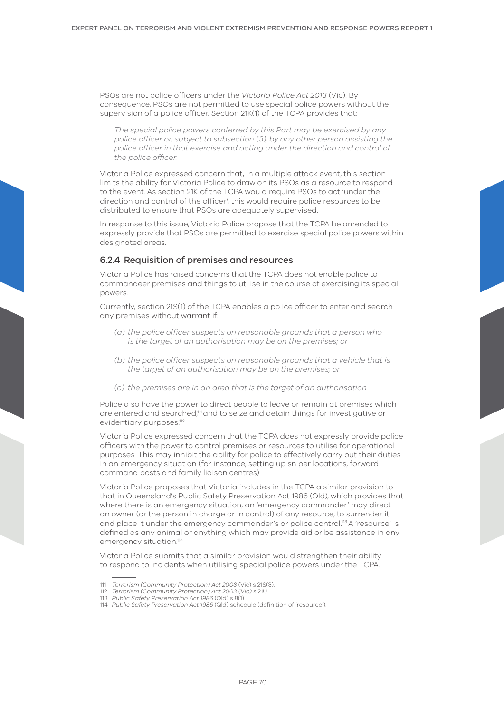PSOs are not police officers under the *Victoria Police Act 2013* (Vic). By consequence, PSOs are not permitted to use special police powers without the supervision of a police officer. Section 21K(1) of the TCPA provides that:

*The special police powers conferred by this Part may be exercised by any police officer or, subject to subsection (3), by any other person assisting the police officer in that exercise and acting under the direction and control of the police officer.*

Victoria Police expressed concern that, in a multiple attack event, this section limits the ability for Victoria Police to draw on its PSOs as a resource to respond to the event. As section 21K of the TCPA would require PSOs to act 'under the direction and control of the officer', this would require police resources to be distributed to ensure that PSOs are adequately supervised.

In response to this issue, Victoria Police propose that the TCPA be amended to expressly provide that PSOs are permitted to exercise special police powers within designated areas.

## 6.2.4 Requisition of premises and resources

Victoria Police has raised concerns that the TCPA does not enable police to commandeer premises and things to utilise in the course of exercising its special powers.

Currently, section 21S(1) of the TCPA enables a police officer to enter and search any premises without warrant if:

- *(a) the police officer suspects on reasonable grounds that a person who is the target of an authorisation may be on the premises; or*
- *(b) the police officer suspects on reasonable grounds that a vehicle that is the target of an authorisation may be on the premises; or*
- *(c) the premises are in an area that is the target of an authorisation.*

Police also have the power to direct people to leave or remain at premises which are entered and searched,<sup>111</sup> and to seize and detain things for investigative or evidentiary purposes.<sup>112</sup>

Victoria Police expressed concern that the TCPA does not expressly provide police officers with the power to control premises or resources to utilise for operational purposes. This may inhibit the ability for police to effectively carry out their duties in an emergency situation (for instance, setting up sniper locations, forward command posts and family liaison centres).

Victoria Police proposes that Victoria includes in the TCPA a similar provision to that in Queensland's Public Safety Preservation Act 1986 (Qld), which provides that where there is an emergency situation, an 'emergency commander' may direct an owner (or the person in charge or in control) of any resource, to surrender it and place it under the emergency commander's or police control.113A 'resource' is defined as any animal or anything which may provide aid or be assistance in any emergency situation.<sup>114</sup>

Victoria Police submits that a similar provision would strengthen their ability to respond to incidents when utilising special police powers under the TCPA.

<sup>111</sup> *Terrorism (Community Protection) Act 2003* (Vic) s 21S(3).

<sup>112</sup> *Terrorism (Community Protection) Act 2003 (Vic)* s 21U.

<sup>113</sup> *Public Safety Preservation Act 1986* (Qld) s 8(1).

<sup>114</sup> *Public Safety Preservation Act 1986* (Qld) schedule (definition of 'resource').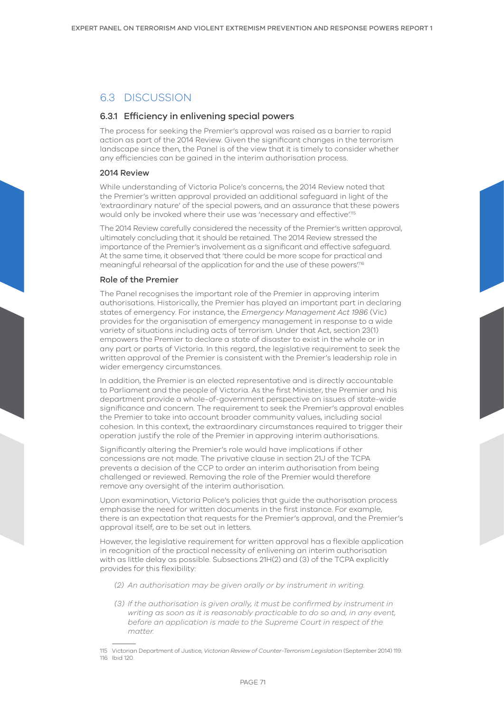# 6.3 DISCUSSION

# 6.3.1 Efficiency in enlivening special powers

The process for seeking the Premier's approval was raised as a barrier to rapid action as part of the 2014 Review. Given the significant changes in the terrorism landscape since then, the Panel is of the view that it is timely to consider whether any efficiencies can be gained in the interim authorisation process.

#### 2014 Review

While understanding of Victoria Police's concerns, the 2014 Review noted that the Premier's written approval provided an additional safeguard in light of the 'extraordinary nature' of the special powers, and an assurance that these powers would only be invoked where their use was 'necessary and effective'.115

The 2014 Review carefully considered the necessity of the Premier's written approval, ultimately concluding that it should be retained. The 2014 Review stressed the importance of the Premier's involvement as a significant and effective safeguard. At the same time, it observed that 'there could be more scope for practical and meaningful rehearsal of the application for and the use of these powers.<sup>116</sup>

#### Role of the Premier

The Panel recognises the important role of the Premier in approving interim authorisations. Historically, the Premier has played an important part in declaring states of emergency. For instance, the *Emergency Management Act 1986* (Vic) provides for the organisation of emergency management in response to a wide variety of situations including acts of terrorism. Under that Act, section 23(1) empowers the Premier to declare a state of disaster to exist in the whole or in any part or parts of Victoria. In this regard, the legislative requirement to seek the written approval of the Premier is consistent with the Premier's leadership role in wider emergency circumstances.

In addition, the Premier is an elected representative and is directly accountable to Parliament and the people of Victoria. As the first Minister, the Premier and his department provide a whole-of-government perspective on issues of state-wide significance and concern. The requirement to seek the Premier's approval enables the Premier to take into account broader community values, including social cohesion. In this context, the extraordinary circumstances required to trigger their operation justify the role of the Premier in approving interim authorisations.

Significantly altering the Premier's role would have implications if other concessions are not made. The privative clause in section 21J of the TCPA prevents a decision of the CCP to order an interim authorisation from being challenged or reviewed. Removing the role of the Premier would therefore remove any oversight of the interim authorisation.

Upon examination, Victoria Police's policies that guide the authorisation process emphasise the need for written documents in the first instance. For example, there is an expectation that requests for the Premier's approval, and the Premier's approval itself, are to be set out in letters.

However, the legislative requirement for written approval has a flexible application in recognition of the practical necessity of enlivening an interim authorisation with as little delay as possible. Subsections 21H(2) and (3) of the TCPA explicitly provides for this flexibility:

- *(2) An authorisation may be given orally or by instrument in writing.*
- *(3) If the authorisation is given orally, it must be confirmed by instrument in writing as soon as it is reasonably practicable to do so and, in any event, before an application is made to the Supreme Court in respect of the matter.*

<sup>115</sup> Victorian Department of Justice, *Victorian Review of Counter-Terrorism Legislation* (September 2014) 119. 116 Ibid 120.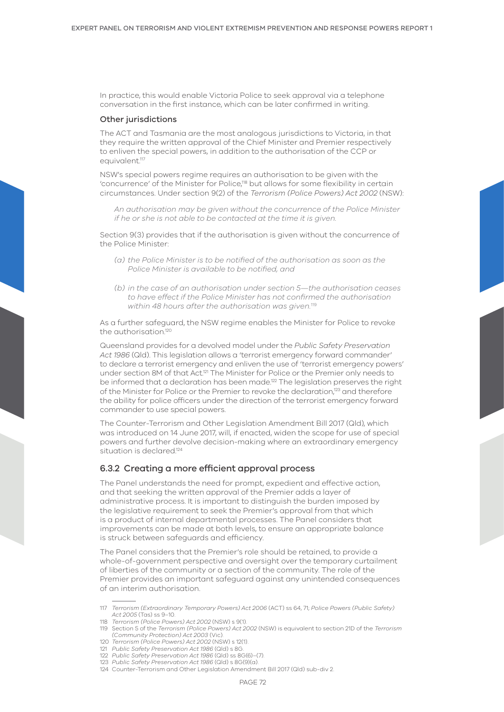In practice, this would enable Victoria Police to seek approval via a telephone conversation in the first instance, which can be later confirmed in writing.

#### Other jurisdictions

The ACT and Tasmania are the most analogous jurisdictions to Victoria, in that they require the written approval of the Chief Minister and Premier respectively to enliven the special powers, in addition to the authorisation of the CCP or equivalent.<sup>117</sup>

NSW's special powers regime requires an authorisation to be given with the 'concurrence' of the Minister for Police,118 but allows for some flexibility in certain circumstances. Under section 9(2) of the *Terrorism (Police Powers) Act 2002* (NSW):

*An authorisation may be given without the concurrence of the Police Minister if he or she is not able to be contacted at the time it is given.*

Section 9(3) provides that if the authorisation is given without the concurrence of the Police Minister:

- *(a) the Police Minister is to be notified of the authorisation as soon as the Police Minister is available to be notified, and*
- *(b) in the case of an authorisation under section 5—the authorisation ceases to have effect if the Police Minister has not confirmed the authorisation within 48 hours after the authorisation was given.*<sup>119</sup>

As a further safeguard, the NSW regime enables the Minister for Police to revoke the authorisation<sup>120</sup>

Queensland provides for a devolved model under the *Public Safety Preservation Act 1986* (Qld). This legislation allows a 'terrorist emergency forward commander' to declare a terrorist emergency and enliven the use of 'terrorist emergency powers' under section 8M of that Act.<sup>121</sup> The Minister for Police or the Premier only needs to be informed that a declaration has been made.<sup>122</sup> The legislation preserves the right of the Minister for Police or the Premier to revoke the declaration,<sup>123</sup> and therefore the ability for police officers under the direction of the terrorist emergency forward commander to use special powers.

The Counter-Terrorism and Other Legislation Amendment Bill 2017 (Qld), which was introduced on 14 June 2017, will, if enacted, widen the scope for use of special powers and further devolve decision-making where an extraordinary emergency situation is declared<sup>124</sup>

# 6.3.2 Creating a more efficient approval process

The Panel understands the need for prompt, expedient and effective action, and that seeking the written approval of the Premier adds a layer of administrative process. It is important to distinguish the burden imposed by the legislative requirement to seek the Premier's approval from that which is a product of internal departmental processes. The Panel considers that improvements can be made at both levels, to ensure an appropriate balance is struck between safeguards and efficiency.

The Panel considers that the Premier's role should be retained, to provide a whole-of-government perspective and oversight over the temporary curtailment of liberties of the community or a section of the community. The role of the Premier provides an important safeguard against any unintended consequences of an interim authorisation.

<sup>117</sup> *Terrorism (Extraordinary Temporary Powers) Act 2006* (ACT) ss 64, 71; *Police Powers (Public Safety) Act 2005* (Tas) ss 9–10.

<sup>118</sup> *Terrorism (Police Powers) Act 2002* (NSW) s 9(1).

<sup>119</sup> Section 5 of the *Terrorism (Police Powers) Act 2002* (NSW) is equivalent to section 21D of the *Terrorism (Community Protection) Act 2003* (Vic). 120 *Terrorism (Police Powers) Act 2002* (NSW) s 12(1).

<sup>121</sup> *Public Safety Preservation Act 1986* (Qld) s 8G.

<sup>122</sup> *Public Safety Preservation Act 1986* (Qld) ss 8G(6)–(7).

<sup>123</sup> *Public Safety Preservation Act 1986* (Qld) s 8G(9)(a).

<sup>124</sup> Counter-Terrorism and Other Legislation Amendment Bill 2017 (Qld) sub-div 2.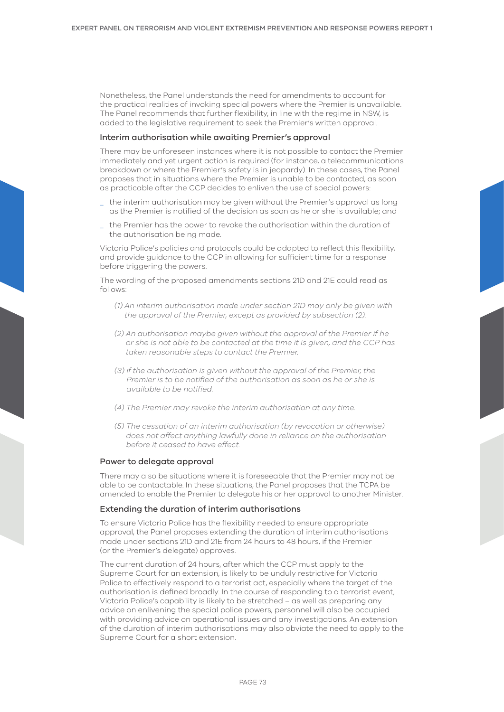Nonetheless, the Panel understands the need for amendments to account for the practical realities of invoking special powers where the Premier is unavailable. The Panel recommends that further flexibility, in line with the regime in NSW, is added to the legislative requirement to seek the Premier's written approval.

#### Interim authorisation while awaiting Premier's approval

There may be unforeseen instances where it is not possible to contact the Premier immediately and yet urgent action is required (for instance, a telecommunications breakdown or where the Premier's safety is in jeopardy). In these cases, the Panel proposes that in situations where the Premier is unable to be contacted, as soon as practicable after the CCP decides to enliven the use of special powers:

- \_ the interim authorisation may be given without the Premier's approval as long as the Premier is notified of the decision as soon as he or she is available; and
- \_ the Premier has the power to revoke the authorisation within the duration of the authorisation being made.

Victoria Police's policies and protocols could be adapted to reflect this flexibility, and provide guidance to the CCP in allowing for sufficient time for a response before triggering the powers.

The wording of the proposed amendments sections 21D and 21E could read as follows:

- *(1) An interim authorisation made under section 21D may only be given with the approval of the Premier, except as provided by subsection (2).*
- *(2) An authorisation maybe given without the approval of the Premier if he or she is not able to be contacted at the time it is given, and the CCP has taken reasonable steps to contact the Premier.*
- *(3) If the authorisation is given without the approval of the Premier, the Premier is to be notified of the authorisation as soon as he or she is available to be notified.*
- *(4) The Premier may revoke the interim authorisation at any time.*
- *(5) The cessation of an interim authorisation (by revocation or otherwise) does not affect anything lawfully done in reliance on the authorisation before it ceased to have effect.*

#### Power to delegate approval

There may also be situations where it is foreseeable that the Premier may not be able to be contactable. In these situations, the Panel proposes that the TCPA be amended to enable the Premier to delegate his or her approval to another Minister.

#### Extending the duration of interim authorisations

To ensure Victoria Police has the flexibility needed to ensure appropriate approval, the Panel proposes extending the duration of interim authorisations made under sections 21D and 21E from 24 hours to 48 hours, if the Premier (or the Premier's delegate) approves.

The current duration of 24 hours, after which the CCP must apply to the Supreme Court for an extension, is likely to be unduly restrictive for Victoria Police to effectively respond to a terrorist act, especially where the target of the authorisation is defined broadly. In the course of responding to a terrorist event, Victoria Police's capability is likely to be stretched – as well as preparing any advice on enlivening the special police powers, personnel will also be occupied with providing advice on operational issues and any investigations. An extension of the duration of interim authorisations may also obviate the need to apply to the Supreme Court for a short extension.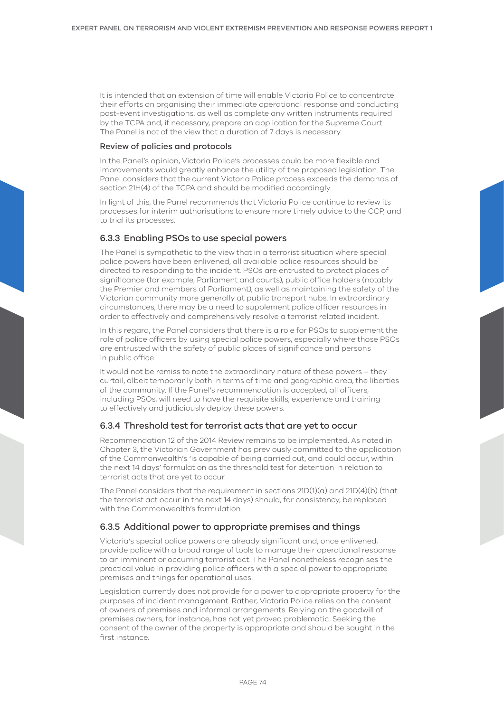It is intended that an extension of time will enable Victoria Police to concentrate their efforts on organising their immediate operational response and conducting post-event investigations, as well as complete any written instruments required by the TCPA and, if necessary, prepare an application for the Supreme Court. The Panel is not of the view that a duration of 7 days is necessary.

#### Review of policies and protocols

In the Panel's opinion, Victoria Police's processes could be more flexible and improvements would greatly enhance the utility of the proposed legislation. The Panel considers that the current Victoria Police process exceeds the demands of section 21H(4) of the TCPA and should be modified accordingly.

In light of this, the Panel recommends that Victoria Police continue to review its processes for interim authorisations to ensure more timely advice to the CCP, and to trial its processes.

# 6.3.3 Enabling PSOs to use special powers

The Panel is sympathetic to the view that in a terrorist situation where special police powers have been enlivened, all available police resources should be directed to responding to the incident. PSOs are entrusted to protect places of significance (for example, Parliament and courts), public office holders (notably the Premier and members of Parliament), as well as maintaining the safety of the Victorian community more generally at public transport hubs. In extraordinary circumstances, there may be a need to supplement police officer resources in order to effectively and comprehensively resolve a terrorist related incident.

In this regard, the Panel considers that there is a role for PSOs to supplement the role of police officers by using special police powers, especially where those PSOs are entrusted with the safety of public places of significance and persons in public office.

It would not be remiss to note the extraordinary nature of these powers – they curtail, albeit temporarily both in terms of time and geographic area, the liberties of the community. If the Panel's recommendation is accepted, all officers, including PSOs, will need to have the requisite skills, experience and training to effectively and judiciously deploy these powers.

# 6.3.4 Threshold test for terrorist acts that are yet to occur

Recommendation 12 of the 2014 Review remains to be implemented. As noted in Chapter 3, the Victorian Government has previously committed to the application of the Commonwealth's 'is capable of being carried out, and could occur, within the next 14 days' formulation as the threshold test for detention in relation to terrorist acts that are yet to occur.

The Panel considers that the requirement in sections 21D(1)(a) and 21D(4)(b) (that the terrorist act occur in the next 14 days) should, for consistency, be replaced with the Commonwealth's formulation.

# 6.3.5 Additional power to appropriate premises and things

Victoria's special police powers are already significant and, once enlivened, provide police with a broad range of tools to manage their operational response to an imminent or occurring terrorist act. The Panel nonetheless recognises the practical value in providing police officers with a special power to appropriate premises and things for operational uses.

Legislation currently does not provide for a power to appropriate property for the purposes of incident management. Rather, Victoria Police relies on the consent of owners of premises and informal arrangements. Relying on the goodwill of premises owners, for instance, has not yet proved problematic. Seeking the consent of the owner of the property is appropriate and should be sought in the first instance.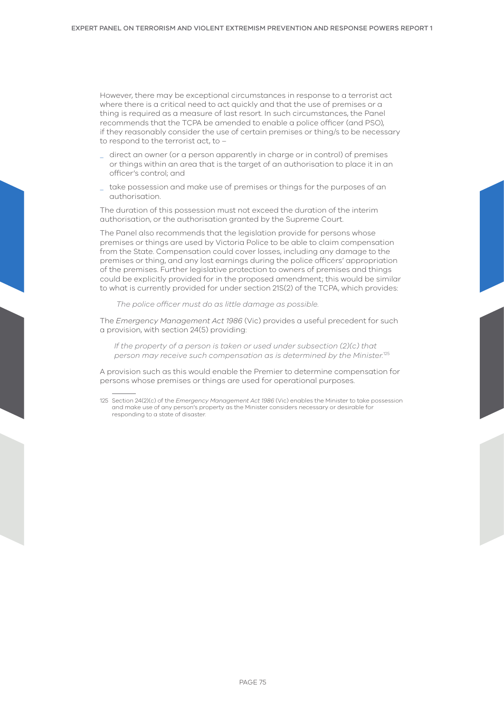However, there may be exceptional circumstances in response to a terrorist act where there is a critical need to act quickly and that the use of premises or a thing is required as a measure of last resort. In such circumstances, the Panel recommends that the TCPA be amended to enable a police officer (and PSO), if they reasonably consider the use of certain premises or thing/s to be necessary to respond to the terrorist act, to –

- \_ direct an owner (or a person apparently in charge or in control) of premises or things within an area that is the target of an authorisation to place it in an officer's control; and
- \_ take possession and make use of premises or things for the purposes of an authorisation.

The duration of this possession must not exceed the duration of the interim authorisation, or the authorisation granted by the Supreme Court.

The Panel also recommends that the legislation provide for persons whose premises or things are used by Victoria Police to be able to claim compensation from the State. Compensation could cover losses, including any damage to the premises or thing, and any lost earnings during the police officers' appropriation of the premises. Further legislative protection to owners of premises and things could be explicitly provided for in the proposed amendment; this would be similar to what is currently provided for under section 21S(2) of the TCPA, which provides:

*The police officer must do as little damage as possible.*

The *Emergency Management Act 1986* (Vic) provides a useful precedent for such a provision, with section 24(5) providing:

*If the property of a person is taken or used under subsection (2)(c) that person may receive such compensation as is determined by the Minister.*<sup>125</sup>

A provision such as this would enable the Premier to determine compensation for persons whose premises or things are used for operational purposes.

<sup>125</sup> Section 24(2)(c) of the *Emergency Management Act 1986* (Vic) enables the Minister to take possession and make use of any person's property as the Minister considers necessary or desirable for responding to a state of disaster.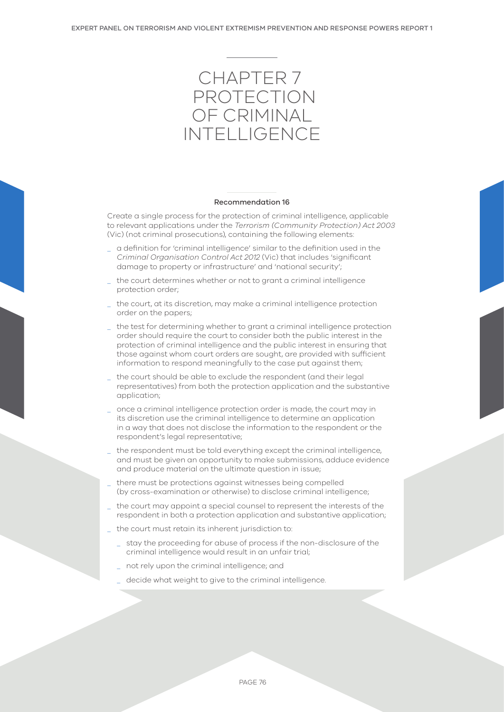

#### Recommendation 16

Create a single process for the protection of criminal intelligence, applicable to relevant applications under the *Terrorism (Community Protection) Act 2003*  (Vic) (not criminal prosecutions), containing the following elements:

- \_ a definition for 'criminal intelligence' similar to the definition used in the *Criminal Organisation Control Act 2012* (Vic) that includes 'significant damage to property or infrastructure' and 'national security';
- the court determines whether or not to grant a criminal intelligence protection order;
- the court, at its discretion, may make a criminal intelligence protection order on the papers;
- \_ the test for determining whether to grant a criminal intelligence protection order should require the court to consider both the public interest in the protection of criminal intelligence and the public interest in ensuring that those against whom court orders are sought, are provided with sufficient information to respond meaningfully to the case put against them;
- the court should be able to exclude the respondent (and their legal representatives) from both the protection application and the substantive application;
- once a criminal intelligence protection order is made, the court may in its discretion use the criminal intelligence to determine an application in a way that does not disclose the information to the respondent or the respondent's legal representative;
- the respondent must be told everything except the criminal intelligence, and must be given an opportunity to make submissions, adduce evidence and produce material on the ultimate question in issue;
- there must be protections against witnesses being compelled (by cross-examination or otherwise) to disclose criminal intelligence;
- the court may appoint a special counsel to represent the interests of the respondent in both a protection application and substantive application;
- the court must retain its inherent jurisdiction to:
	- \_ stay the proceeding for abuse of process if the non-disclosure of the criminal intelligence would result in an unfair trial;
	- not rely upon the criminal intelligence; and
	- decide what weight to give to the criminal intelligence.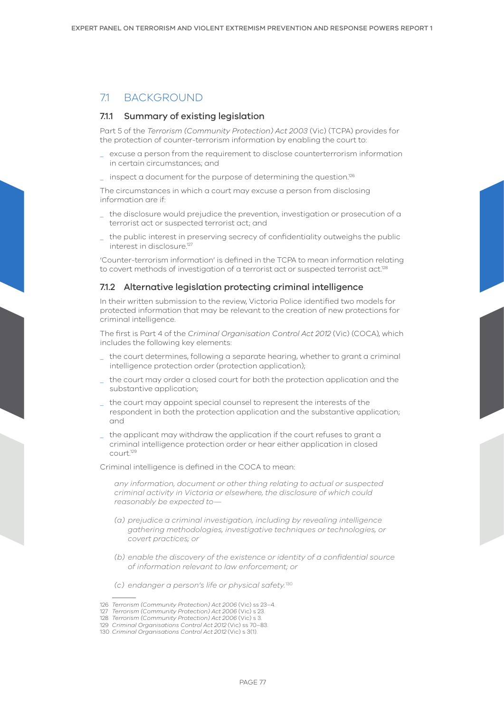# 71 BACKGROUND

# 7.1.1 Summary of existing legislation

Part 5 of the *Terrorism (Community Protection) Act 2003* (Vic) (TCPA) provides for the protection of counter-terrorism information by enabling the court to:

- \_ excuse a person from the requirement to disclose counterterrorism information in certain circumstances; and
- \_ inspect a document for the purpose of determining the question.126

The circumstances in which a court may excuse a person from disclosing information are if:

- \_ the disclosure would prejudice the prevention, investigation or prosecution of a terrorist act or suspected terrorist act; and
- \_ the public interest in preserving secrecy of confidentiality outweighs the public interest in disclosure.<sup>127</sup>

'Counter-terrorism information' is defined in the TCPA to mean information relating to covert methods of investigation of a terrorist act or suspected terrorist act.<sup>128</sup>

## 7.1.2 Alternative legislation protecting criminal intelligence

In their written submission to the review, Victoria Police identified two models for protected information that may be relevant to the creation of new protections for criminal intelligence.

The first is Part 4 of the *Criminal Organisation Control Act 2012* (Vic) (COCA), which includes the following key elements:

- the court determines, following a separate hearing, whether to grant a criminal intelligence protection order (protection application);
- \_ the court may order a closed court for both the protection application and the substantive application;
- \_ the court may appoint special counsel to represent the interests of the respondent in both the protection application and the substantive application; and
- \_ the applicant may withdraw the application if the court refuses to grant a criminal intelligence protection order or hear either application in closed court.129

Criminal intelligence is defined in the COCA to mean:

*any information, document or other thing relating to actual or suspected criminal activity in Victoria or elsewhere, the disclosure of which could reasonably be expected to—* 

- *(a) prejudice a criminal investigation, including by revealing intelligence gathering methodologies, investigative techniques or technologies, or covert practices; or*
- *(b) enable the discovery of the existence or identity of a confidential source of information relevant to law enforcement; or*
- *(c) endanger a person's life or physical safety.*<sup>130</sup>

<sup>126</sup> *Terrorism (Community Protection) Act 2006* (Vic) ss 23–4.

<sup>127</sup> *Terrorism (Community Protection) Act 2006* (Vic) s 23.

<sup>128</sup> *Terrorism (Community Protection) Act 2006* (Vic) s 3.

<sup>129</sup> *Criminal Organisations Control Act 2012* (Vic) ss 70–83.

<sup>130</sup> *Criminal Organisations Control Act 2012* (Vic) s 3(1).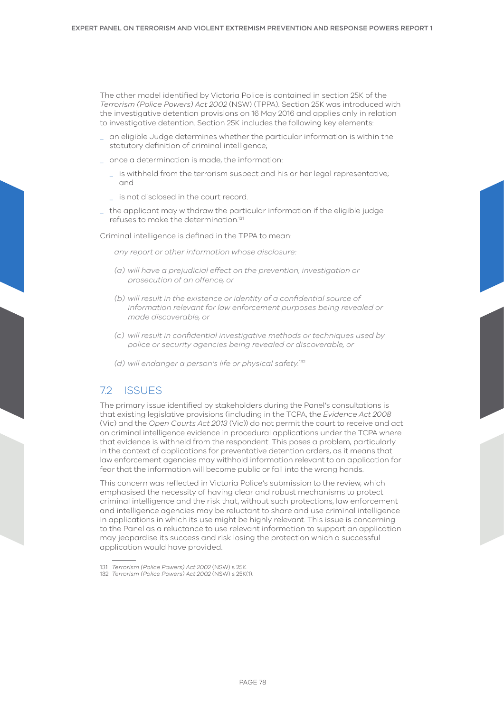The other model identified by Victoria Police is contained in section 25K of the *Terrorism (Police Powers) Act 2002* (NSW) (TPPA). Section 25K was introduced with the investigative detention provisions on 16 May 2016 and applies only in relation to investigative detention. Section 25K includes the following key elements:

- \_ an eligible Judge determines whether the particular information is within the statutory definition of criminal intelligence;
- \_ once a determination is made, the information:
	- is withheld from the terrorism suspect and his or her legal representative; and
	- is not disclosed in the court record.
- \_ the applicant may withdraw the particular information if the eligible judge refuses to make the determination.131

Criminal intelligence is defined in the TPPA to mean:

*any report or other information whose disclosure:*

- *(a) will have a prejudicial effect on the prevention, investigation or prosecution of an offence, or*
- *(b) will result in the existence or identity of a confidential source of information relevant for law enforcement purposes being revealed or made discoverable, or*
- *(c) will result in confidential investigative methods or techniques used by police or security agencies being revealed or discoverable, or*
- *(d) will endanger a person's life or physical safety.*<sup>132</sup>

# 72 ISSUES

The primary issue identified by stakeholders during the Panel's consultations is that existing legislative provisions (including in the TCPA, the *Evidence Act 2008* (Vic) and the *Open Courts Act 2013* (Vic)) do not permit the court to receive and act on criminal intelligence evidence in procedural applications under the TCPA where that evidence is withheld from the respondent. This poses a problem, particularly in the context of applications for preventative detention orders, as it means that law enforcement agencies may withhold information relevant to an application for fear that the information will become public or fall into the wrong hands.

This concern was reflected in Victoria Police's submission to the review, which emphasised the necessity of having clear and robust mechanisms to protect criminal intelligence and the risk that, without such protections, law enforcement and intelligence agencies may be reluctant to share and use criminal intelligence in applications in which its use might be highly relevant. This issue is concerning to the Panel as a reluctance to use relevant information to support an application may jeopardise its success and risk losing the protection which a successful application would have provided.

<sup>131</sup> *Terrorism (Police Powers) Act 2002* (NSW) s 25K.

<sup>132</sup> *Terrorism (Police Powers) Act 2002* (NSW) s 25K(1).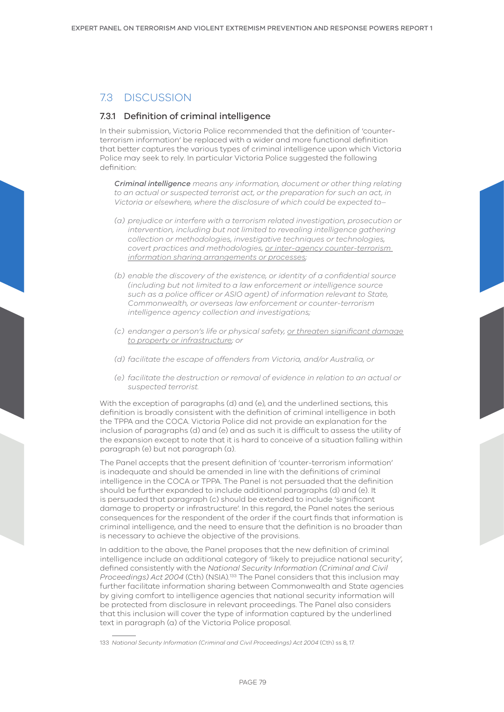# 7.3 DISCUSSION

# 7.3.1 Definition of criminal intelligence

In their submission, Victoria Police recommended that the definition of 'counterterrorism information' be replaced with a wider and more functional definition that better captures the various types of criminal intelligence upon which Victoria Police may seek to rely. In particular Victoria Police suggested the following definition:

*Criminal intelligence means any information, document or other thing relating to an actual or suspected terrorist act, or the preparation for such an act, in Victoria or elsewhere, where the disclosure of which could be expected to–*

- *(a) prejudice or interfere with a terrorism related investigation, prosecution or intervention, including but not limited to revealing intelligence gathering collection or methodologies, investigative techniques or technologies, covert practices and methodologies, or inter-agency counter-terrorism information sharing arrangements or processes;*
- *(b) enable the discovery of the existence, or identity of a confidential source (including but not limited to a law enforcement or intelligence source such as a police officer or ASIO agent) of information relevant to State, Commonwealth, or overseas law enforcement or counter-terrorism intelligence agency collection and investigations;*
- *(c) endanger a person's life or physical safety, or threaten significant damage to property or infrastructure; or*
- *(d) facilitate the escape of offenders from Victoria, and/or Australia, or*
- *(e) facilitate the destruction or removal of evidence in relation to an actual or suspected terrorist.*

With the exception of paragraphs (d) and (e), and the underlined sections, this definition is broadly consistent with the definition of criminal intelligence in both the TPPA and the COCA. Victoria Police did not provide an explanation for the inclusion of paragraphs (d) and (e) and as such it is difficult to assess the utility of the expansion except to note that it is hard to conceive of a situation falling within paragraph (e) but not paragraph (a).

The Panel accepts that the present definition of 'counter-terrorism information' is inadequate and should be amended in line with the definitions of criminal intelligence in the COCA or TPPA. The Panel is not persuaded that the definition should be further expanded to include additional paragraphs (d) and (e). It is persuaded that paragraph (c) should be extended to include 'significant damage to property or infrastructure'. In this regard, the Panel notes the serious consequences for the respondent of the order if the court finds that information is criminal intelligence, and the need to ensure that the definition is no broader than is necessary to achieve the objective of the provisions.

In addition to the above, the Panel proposes that the new definition of criminal intelligence include an additional category of 'likely to prejudice national security', defined consistently with the *National Security Information (Criminal and Civil Proceedings) Act 2004* (Cth) (NSIA)*.* 133 The Panel considers that this inclusion may further facilitate information sharing between Commonwealth and State agencies by giving comfort to intelligence agencies that national security information will be protected from disclosure in relevant proceedings. The Panel also considers that this inclusion will cover the type of information captured by the underlined text in paragraph (a) of the Victoria Police proposal.

<sup>133</sup> *National Security Information (Criminal and Civil Proceedings) Act 2004* (Cth) ss 8, 17.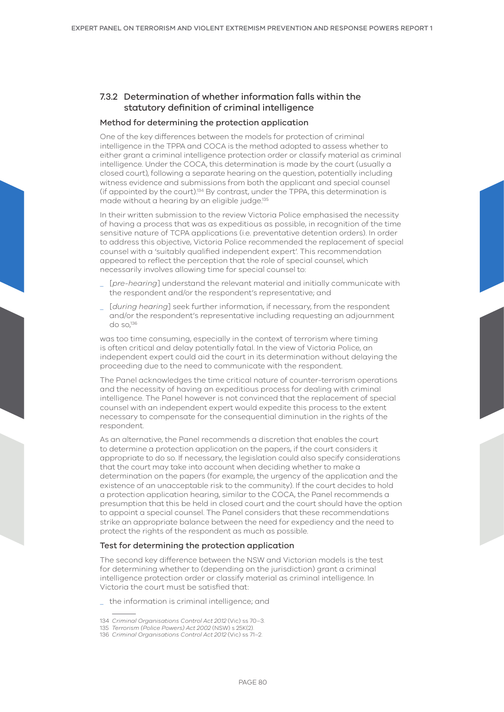# 7.3.2 Determination of whether information falls within the statutory definition of criminal intelligence

#### Method for determining the protection application

One of the key differences between the models for protection of criminal intelligence in the TPPA and COCA is the method adopted to assess whether to either grant a criminal intelligence protection order or classify material as criminal intelligence. Under the COCA, this determination is made by the court (usually a closed court), following a separate hearing on the question, potentially including witness evidence and submissions from both the applicant and special counsel (if appointed by the court).134 By contrast, under the TPPA, this determination is made without a hearing by an eligible judge.<sup>135</sup>

In their written submission to the review Victoria Police emphasised the necessity of having a process that was as expeditious as possible, in recognition of the time sensitive nature of TCPA applications (i.e. preventative detention orders). In order to address this objective, Victoria Police recommended the replacement of special counsel with a 'suitably qualified independent expert'. This recommendation appeared to reflect the perception that the role of special counsel, which necessarily involves allowing time for special counsel to:

- \_ [*pre-hearing*] understand the relevant material and initially communicate with the respondent and/or the respondent's representative; and
- \_ [*during hearing*] seek further information, if necessary, from the respondent and/or the respondent's representative including requesting an adjournment do so,136

was too time consuming, especially in the context of terrorism where timing is often critical and delay potentially fatal. In the view of Victoria Police, an independent expert could aid the court in its determination without delaying the proceeding due to the need to communicate with the respondent.

The Panel acknowledges the time critical nature of counter-terrorism operations and the necessity of having an expeditious process for dealing with criminal intelligence. The Panel however is not convinced that the replacement of special counsel with an independent expert would expedite this process to the extent necessary to compensate for the consequential diminution in the rights of the respondent.

As an alternative, the Panel recommends a discretion that enables the court to determine a protection application on the papers, if the court considers it appropriate to do so. If necessary, the legislation could also specify considerations that the court may take into account when deciding whether to make a determination on the papers (for example, the urgency of the application and the existence of an unacceptable risk to the community). If the court decides to hold a protection application hearing, similar to the COCA, the Panel recommends a presumption that this be held in closed court and the court should have the option to appoint a special counsel. The Panel considers that these recommendations strike an appropriate balance between the need for expediency and the need to protect the rights of the respondent as much as possible.

#### Test for determining the protection application

The second key difference between the NSW and Victorian models is the test for determining whether to (depending on the jurisdiction) grant a criminal intelligence protection order or classify material as criminal intelligence. In Victoria the court must be satisfied that:

\_ the information is criminal intelligence; and

<sup>134</sup> *Criminal Organisations Control Act 2012* (Vic) ss 70–3.

<sup>135</sup> *Terrorism (Police Powers) Act 2002* (NSW) s 25K(2).

<sup>136</sup> *Criminal Organisations Control Act 2012* (Vic) ss 71–2.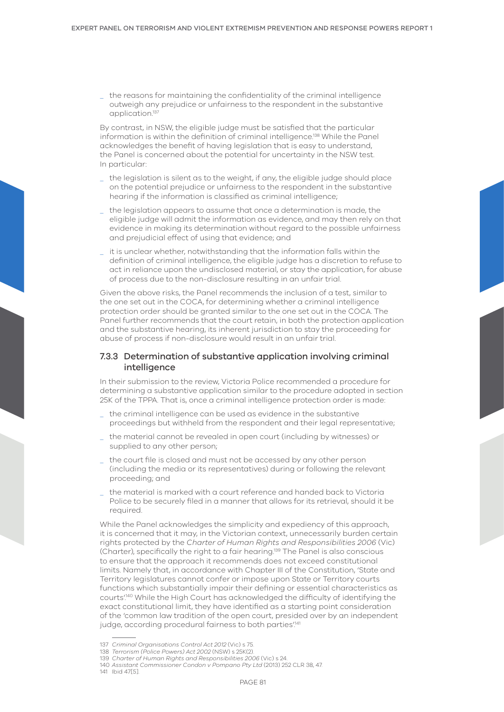\_ the reasons for maintaining the confidentiality of the criminal intelligence outweigh any prejudice or unfairness to the respondent in the substantive application.<sup>13</sup>

By contrast, in NSW, the eligible judge must be satisfied that the particular information is within the definition of criminal intelligence.138 While the Panel acknowledges the benefit of having legislation that is easy to understand, the Panel is concerned about the potential for uncertainty in the NSW test. In particular:

- \_ the legislation is silent as to the weight, if any, the eligible judge should place on the potential prejudice or unfairness to the respondent in the substantive hearing if the information is classified as criminal intelligence;
- \_ the legislation appears to assume that once a determination is made, the eligible judge will admit the information as evidence, and may then rely on that evidence in making its determination without regard to the possible unfairness and prejudicial effect of using that evidence; and
- \_ it is unclear whether, notwithstanding that the information falls within the definition of criminal intelligence, the eligible judge has a discretion to refuse to act in reliance upon the undisclosed material, or stay the application, for abuse of process due to the non-disclosure resulting in an unfair trial.

Given the above risks, the Panel recommends the inclusion of a test, similar to the one set out in the COCA, for determining whether a criminal intelligence protection order should be granted similar to the one set out in the COCA. The Panel further recommends that the court retain, in both the protection application and the substantive hearing, its inherent jurisdiction to stay the proceeding for abuse of process if non-disclosure would result in an unfair trial.

# 7.3.3 Determination of substantive application involving criminal intelligence

In their submission to the review, Victoria Police recommended a procedure for determining a substantive application similar to the procedure adopted in section 25K of the TPPA. That is, once a criminal intelligence protection order is made:

- \_ the criminal intelligence can be used as evidence in the substantive proceedings but withheld from the respondent and their legal representative;
- \_ the material cannot be revealed in open court (including by witnesses) or supplied to any other person;
- the court file is closed and must not be accessed by any other person (including the media or its representatives) during or following the relevant proceeding; and
- \_ the material is marked with a court reference and handed back to Victoria Police to be securely filed in a manner that allows for its retrieval, should it be required.

While the Panel acknowledges the simplicity and expediency of this approach, it is concerned that it may, in the Victorian context, unnecessarily burden certain rights protected by the *Charter of Human Rights and Responsibilities 2006* (Vic) (Charter), specifically the right to a fair hearing.139 The Panel is also conscious to ensure that the approach it recommends does not exceed constitutional limits. Namely that, in accordance with Chapter III of the Constitution, 'State and Territory legislatures cannot confer or impose upon State or Territory courts functions which substantially impair their defining or essential characteristics as courts'.140 While the High Court has acknowledged the difficulty of identifying the exact constitutional limit, they have identified as a starting point consideration of the 'common law tradition of the open court, presided over by an independent judge, according procedural fairness to both parties.<sup>141</sup>

140 *Assistant Commissioner Condon v Pompano Pty Ltd* (2013) 252 CLR 38, 47.

<sup>137</sup> *Criminal Organisations Control Act 2012* (Vic) s 75.

<sup>138</sup> *Terrorism (Police Powers) Act 2002* (NSW) s 25K(2).

<sup>139</sup> *Charter of Human Rights and Responsibilities 2006* (Vic) s 24.

<sup>141</sup> Ibid 47[5].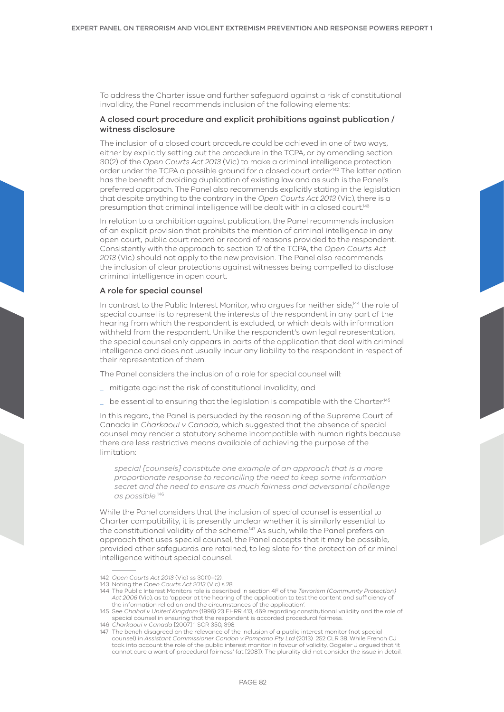To address the Charter issue and further safeguard against a risk of constitutional invalidity, the Panel recommends inclusion of the following elements:

## A closed court procedure and explicit prohibitions against publication / witness disclosure

The inclusion of a closed court procedure could be achieved in one of two ways, either by explicitly setting out the procedure in the TCPA, or by amending section 30(2) of the *Open Courts Act 2013* (Vic) to make a criminal intelligence protection order under the TCPA a possible ground for a closed court order.142 The latter option has the benefit of avoiding duplication of existing law and as such is the Panel's preferred approach. The Panel also recommends explicitly stating in the legislation that despite anything to the contrary in the *Open Courts Act 2013* (Vic), there is a presumption that criminal intelligence will be dealt with in a closed court.143

In relation to a prohibition against publication, the Panel recommends inclusion of an explicit provision that prohibits the mention of criminal intelligence in any open court, public court record or record of reasons provided to the respondent. Consistently with the approach to section 12 of the TCPA, the *Open Courts Act 2013* (Vic) should not apply to the new provision. The Panel also recommends the inclusion of clear protections against witnesses being compelled to disclose criminal intelligence in open court.

#### A role for special counsel

In contrast to the Public Interest Monitor, who argues for neither side,<sup>144</sup> the role of special counsel is to represent the interests of the respondent in any part of the hearing from which the respondent is excluded, or which deals with information withheld from the respondent. Unlike the respondent's own legal representation, the special counsel only appears in parts of the application that deal with criminal intelligence and does not usually incur any liability to the respondent in respect of their representation of them.

The Panel considers the inclusion of a role for special counsel will:

- \_ mitigate against the risk of constitutional invalidity; and
- $\_$  be essential to ensuring that the legislation is compatible with the Charter.<sup>145</sup>

In this regard, the Panel is persuaded by the reasoning of the Supreme Court of Canada in *Charkaoui v Canada*, which suggested that the absence of special counsel may render a statutory scheme incompatible with human rights because there are less restrictive means available of achieving the purpose of the limitation:

*special [counsels] constitute one example of an approach that is a more proportionate response to reconciling the need to keep some information secret and the need to ensure as much fairness and adversarial challenge as possible.*<sup>146</sup>

While the Panel considers that the inclusion of special counsel is essential to Charter compatibility, it is presently unclear whether it is similarly essential to the constitutional validity of the scheme.<sup>147</sup> As such, while the Panel prefers an approach that uses special counsel, the Panel accepts that it may be possible, provided other safeguards are retained, to legislate for the protection of criminal intelligence without special counsel.

<sup>142</sup> *Open Courts Act 2013* (Vic) ss 30(1)–(2).

<sup>143</sup> Noting the *Open Courts Act 2013* (Vic) s 28.

<sup>144</sup> The Public Interest Monitors role is described in section 4F of the *Terrorism (Community Protection) Act 2006* (Vic), as to 'appear at the hearing of the application to test the content and sufficiency of the information relied on and the circumstances of the application'.

<sup>145</sup> See *Chahal v United Kingdom* (1996) 23 EHRR 413, 469 regarding constitutional validity and the role of special counsel in ensuring that the respondent is accorded procedural fairness.

<sup>146</sup> *Charkaoui v Canada* [2007] 1 SCR 350, 398.

<sup>147</sup> The bench disagreed on the relevance of the inclusion of a public interest monitor (not special counsel) in *Assistant Commissioner Condon v Pompano Pty Ltd* (2013) 252 CLR 38. While French CJ took into account the role of the public interest monitor in favour of validity, Gageler J argued that 'it cannot cure a want of procedural fairness' (at [208]). The plurality did not consider the issue in detail.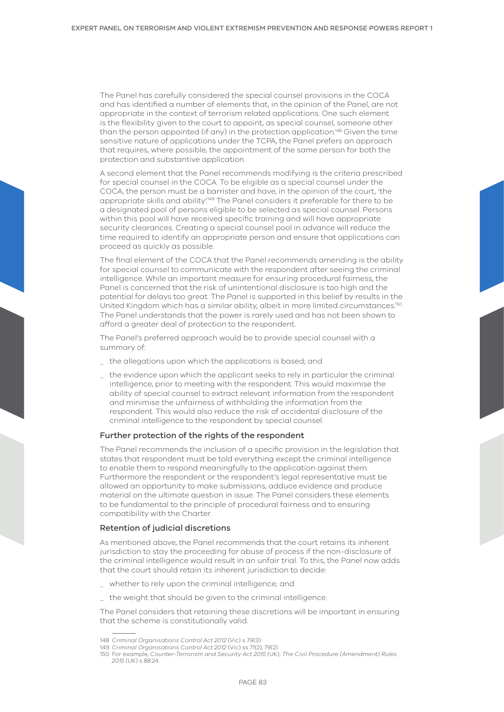The Panel has carefully considered the special counsel provisions in the COCA and has identified a number of elements that, in the opinion of the Panel, are not appropriate in the context of terrorism related applications. One such element is the flexibility given to the court to appoint, as special counsel, someone other than the person appointed (if any) in the protection application.148 Given the time sensitive nature of applications under the TCPA, the Panel prefers an approach that requires, where possible, the appointment of the same person for both the protection and substantive application.

A second element that the Panel recommends modifying is the criteria prescribed for special counsel in the COCA. To be eligible as a special counsel under the COCA, the person must be a barrister and have, in the opinion of the court, 'the appropriate skills and ability'.149 The Panel considers it preferable for there to be a designated pool of persons eligible to be selected as special counsel. Persons within this pool will have received specific training and will have appropriate security clearances. Creating a special counsel pool in advance will reduce the time required to identify an appropriate person and ensure that applications can proceed as quickly as possible.

The final element of the COCA that the Panel recommends amending is the ability for special counsel to communicate with the respondent after seeing the criminal intelligence. While an important measure for ensuring procedural fairness, the Panel is concerned that the risk of unintentional disclosure is too high and the potential for delays too great. The Panel is supported in this belief by results in the United Kingdom which has a similar ability, albeit in more limited circumstances.<sup>150</sup> The Panel understands that the power is rarely used and has not been shown to afford a greater deal of protection to the respondent.

The Panel's preferred approach would be to provide special counsel with a summary of:

- the allegations upon which the applications is based; and
- \_ the evidence upon which the applicant seeks to rely in particular the criminal intelligence, prior to meeting with the respondent. This would maximise the ability of special counsel to extract relevant information from the respondent and minimise the unfairness of withholding the information from the respondent. This would also reduce the risk of accidental disclosure of the criminal intelligence to the respondent by special counsel.

#### Further protection of the rights of the respondent

The Panel recommends the inclusion of a specific provision in the legislation that states that respondent must be told everything except the criminal intelligence to enable them to respond meaningfully to the application against them. Furthermore the respondent or the respondent's legal representative must be allowed an opportunity to make submissions, adduce evidence and produce material on the ultimate question in issue. The Panel considers these elements to be fundamental to the principle of procedural fairness and to ensuring compatibility with the Charter.

#### Retention of judicial discretions

As mentioned above, the Panel recommends that the court retains its inherent jurisdiction to stay the proceeding for abuse of process if the non-disclosure of the criminal intelligence would result in an unfair trial. To this, the Panel now adds that the court should retain its inherent jurisdiction to decide:

- \_ whether to rely upon the criminal intelligence; and
- the weight that should be given to the criminal intelligence.

The Panel considers that retaining these discretions will be important in ensuring that the scheme is constitutionally valid.

<sup>148</sup> *Criminal Organisations Control Act 2012* (Vic) s 79(3).

<sup>149</sup> *Criminal Organisations Control Act 2012* (Vic) ss 71(2), 79(2).

<sup>150</sup> For example, *Counter-Terrorism and Security Act 2015* (UK); *The Civil Procedure (Amendment) Rules 2015* (UK) s 88.24.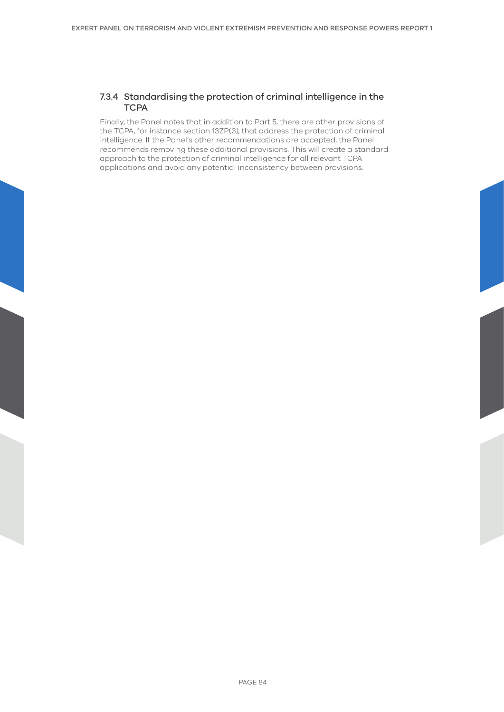# 7.3.4 Standardising the protection of criminal intelligence in the **TCPA**

Finally, the Panel notes that in addition to Part 5, there are other provisions of the TCPA, for instance section 13ZP(3), that address the protection of criminal intelligence. If the Panel's other recommendations are accepted, the Panel recommends removing these additional provisions. This will create a standard approach to the protection of criminal intelligence for all relevant TCPA applications and avoid any potential inconsistency between provisions.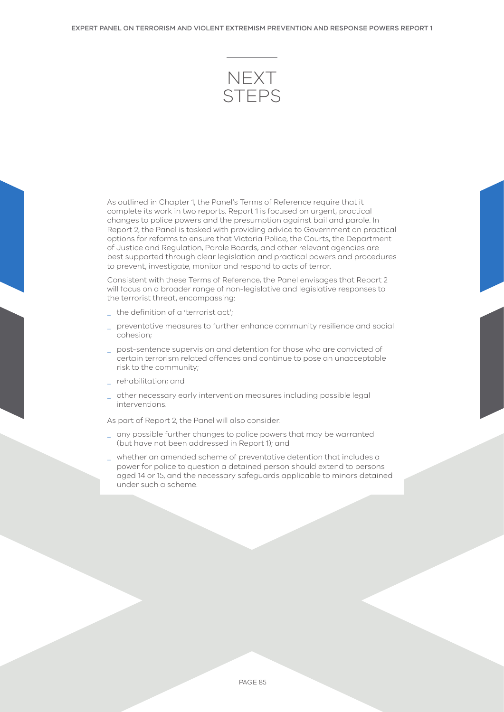

As outlined in Chapter 1, the Panel's Terms of Reference require that it complete its work in two reports. Report 1 is focused on urgent, practical changes to police powers and the presumption against bail and parole. In Report 2, the Panel is tasked with providing advice to Government on practical options for reforms to ensure that Victoria Police, the Courts, the Department of Justice and Regulation, Parole Boards, and other relevant agencies are best supported through clear legislation and practical powers and procedures to prevent, investigate, monitor and respond to acts of terror.

Consistent with these Terms of Reference, the Panel envisages that Report 2 will focus on a broader range of non-legislative and legislative responses to the terrorist threat, encompassing:

- \_ the definition of a 'terrorist act';
- \_ preventative measures to further enhance community resilience and social cohesion;
- \_ post-sentence supervision and detention for those who are convicted of certain terrorism related offences and continue to pose an unacceptable risk to the community;
- \_ rehabilitation; and
- \_ other necessary early intervention measures including possible legal interventions.

As part of Report 2, the Panel will also consider:

- any possible further changes to police powers that may be warranted (but have not been addressed in Report 1); and
- \_ whether an amended scheme of preventative detention that includes a power for police to question a detained person should extend to persons aged 14 or 15, and the necessary safeguards applicable to minors detained under such a scheme.